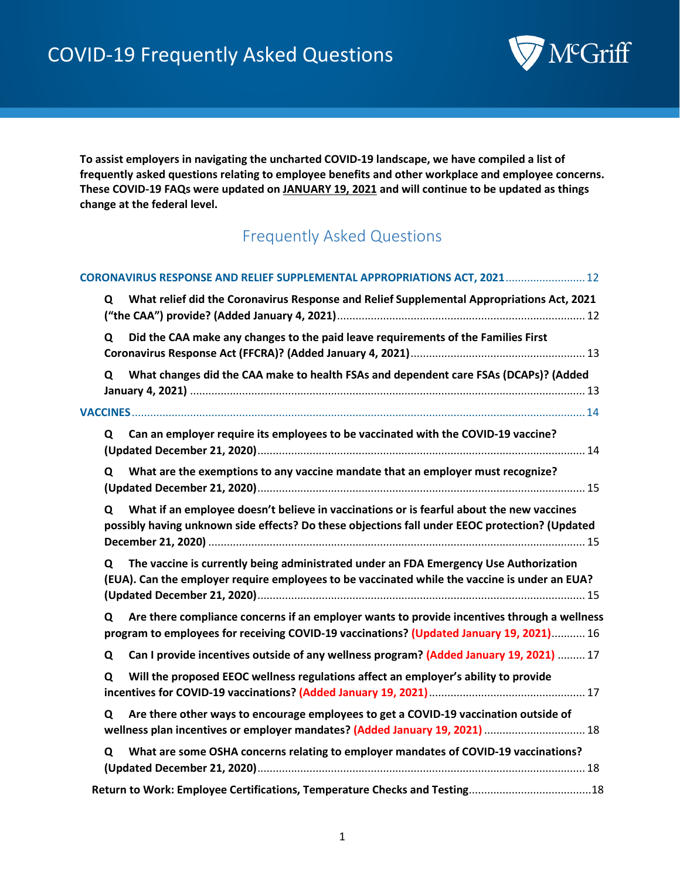

**To assist employers in navigating the uncharted COVID-19 landscape, we have compiled a list of frequently asked questions relating to employee benefits and other workplace and employee concerns. These COVID-19 FAQs were updated on JANUARY 19, 2021 and will continue to be updated as things change at the federal level.** 

### Frequently Asked Questions

| CORONAVIRUS RESPONSE AND RELIEF SUPPLEMENTAL APPROPRIATIONS ACT, 2021 12                                                                                                                        |
|-------------------------------------------------------------------------------------------------------------------------------------------------------------------------------------------------|
| What relief did the Coronavirus Response and Relief Supplemental Appropriations Act, 2021<br>Q                                                                                                  |
| Did the CAA make any changes to the paid leave requirements of the Families First<br>Q                                                                                                          |
| What changes did the CAA make to health FSAs and dependent care FSAs (DCAPs)? (Added<br>Q                                                                                                       |
|                                                                                                                                                                                                 |
| Can an employer require its employees to be vaccinated with the COVID-19 vaccine?<br>Q                                                                                                          |
| What are the exemptions to any vaccine mandate that an employer must recognize?<br>Q                                                                                                            |
| What if an employee doesn't believe in vaccinations or is fearful about the new vaccines<br>Q<br>possibly having unknown side effects? Do these objections fall under EEOC protection? (Updated |
| The vaccine is currently being administrated under an FDA Emergency Use Authorization<br>Q<br>(EUA). Can the employer require employees to be vaccinated while the vaccine is under an EUA?     |
| Are there compliance concerns if an employer wants to provide incentives through a wellness<br>Q<br>program to employees for receiving COVID-19 vaccinations? (Updated January 19, 2021) 16     |
| Can I provide incentives outside of any wellness program? (Added January 19, 2021)  17<br>Q                                                                                                     |
| Will the proposed EEOC wellness regulations affect an employer's ability to provide<br>Q                                                                                                        |
| Are there other ways to encourage employees to get a COVID-19 vaccination outside of<br>Q<br>wellness plan incentives or employer mandates? (Added January 19, 2021)  18                        |
| What are some OSHA concerns relating to employer mandates of COVID-19 vaccinations?<br>Q                                                                                                        |
|                                                                                                                                                                                                 |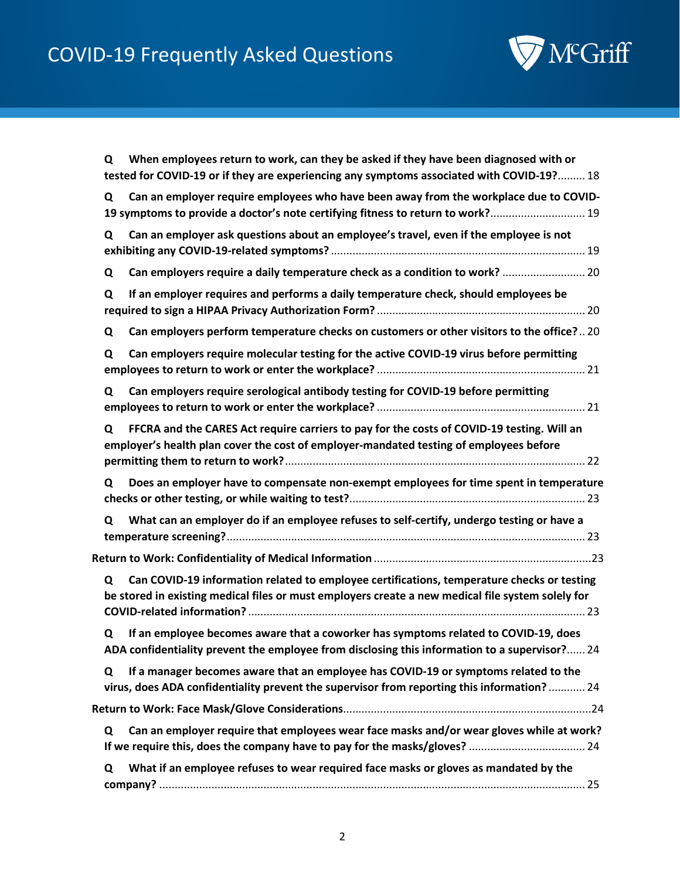

| When employees return to work, can they be asked if they have been diagnosed with or<br>Q<br>tested for COVID-19 or if they are experiencing any symptoms associated with COVID-19? 18               |
|------------------------------------------------------------------------------------------------------------------------------------------------------------------------------------------------------|
| Can an employer require employees who have been away from the workplace due to COVID-<br>Q<br>19 symptoms to provide a doctor's note certifying fitness to return to work? 19                        |
| Can an employer ask questions about an employee's travel, even if the employee is not<br>Q                                                                                                           |
| Can employers require a daily temperature check as a condition to work?  20<br>Q                                                                                                                     |
| If an employer requires and performs a daily temperature check, should employees be<br>Q                                                                                                             |
| Can employers perform temperature checks on customers or other visitors to the office? 20<br>Q                                                                                                       |
| Can employers require molecular testing for the active COVID-19 virus before permitting<br>Q                                                                                                         |
| Can employers require serological antibody testing for COVID-19 before permitting<br>Q                                                                                                               |
| FFCRA and the CARES Act require carriers to pay for the costs of COVID-19 testing. Will an<br>Q<br>employer's health plan cover the cost of employer-mandated testing of employees before            |
| Does an employer have to compensate non-exempt employees for time spent in temperature<br>Q                                                                                                          |
| What can an employer do if an employee refuses to self-certify, undergo testing or have a<br>Q                                                                                                       |
|                                                                                                                                                                                                      |
| Can COVID-19 information related to employee certifications, temperature checks or testing<br>Q<br>be stored in existing medical files or must employers create a new medical file system solely for |
| If an employee becomes aware that a coworker has symptoms related to COVID-19, does<br>Q<br>ADA confidentiality prevent the employee from disclosing this information to a supervisor? 24            |
| If a manager becomes aware that an employee has COVID-19 or symptoms related to the<br>Q<br>virus, does ADA confidentiality prevent the supervisor from reporting this information? 24               |
|                                                                                                                                                                                                      |
| Can an employer require that employees wear face masks and/or wear gloves while at work?<br>Q                                                                                                        |
| What if an employee refuses to wear required face masks or gloves as mandated by the<br>Q                                                                                                            |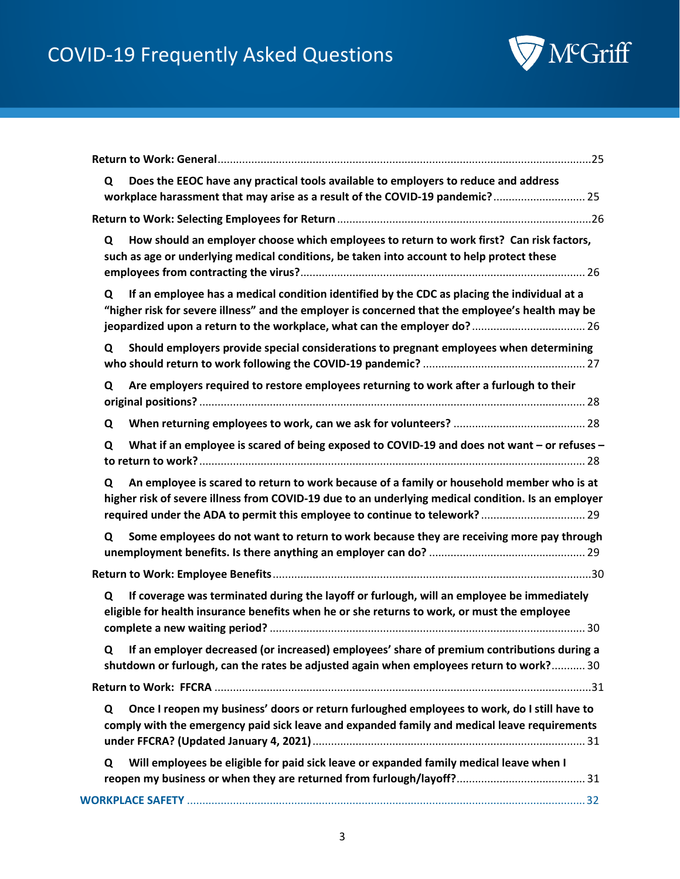

| Does the EEOC have any practical tools available to employers to reduce and address<br>Q<br>workplace harassment that may arise as a result of the COVID-19 pandemic? 25                                                                                                            |
|-------------------------------------------------------------------------------------------------------------------------------------------------------------------------------------------------------------------------------------------------------------------------------------|
|                                                                                                                                                                                                                                                                                     |
| How should an employer choose which employees to return to work first? Can risk factors,<br>Q<br>such as age or underlying medical conditions, be taken into account to help protect these                                                                                          |
| If an employee has a medical condition identified by the CDC as placing the individual at a<br>Q<br>"higher risk for severe illness" and the employer is concerned that the employee's health may be                                                                                |
| Should employers provide special considerations to pregnant employees when determining<br>Q                                                                                                                                                                                         |
| Are employers required to restore employees returning to work after a furlough to their<br>Q                                                                                                                                                                                        |
| Q                                                                                                                                                                                                                                                                                   |
| What if an employee is scared of being exposed to COVID-19 and does not want – or refuses –<br>Q                                                                                                                                                                                    |
| An employee is scared to return to work because of a family or household member who is at<br>Q<br>higher risk of severe illness from COVID-19 due to an underlying medical condition. Is an employer<br>required under the ADA to permit this employee to continue to telework?  29 |
| Some employees do not want to return to work because they are receiving more pay through<br>Q                                                                                                                                                                                       |
|                                                                                                                                                                                                                                                                                     |
| If coverage was terminated during the layoff or furlough, will an employee be immediately<br>Q<br>eligible for health insurance benefits when he or she returns to work, or must the employee                                                                                       |
| Q If an employer decreased (or increased) employees' share of premium contributions during a<br>shutdown or furlough, can the rates be adjusted again when employees return to work? 30                                                                                             |
|                                                                                                                                                                                                                                                                                     |
| Once I reopen my business' doors or return furloughed employees to work, do I still have to<br>Q<br>comply with the emergency paid sick leave and expanded family and medical leave requirements                                                                                    |
| Will employees be eligible for paid sick leave or expanded family medical leave when I<br>Q                                                                                                                                                                                         |
|                                                                                                                                                                                                                                                                                     |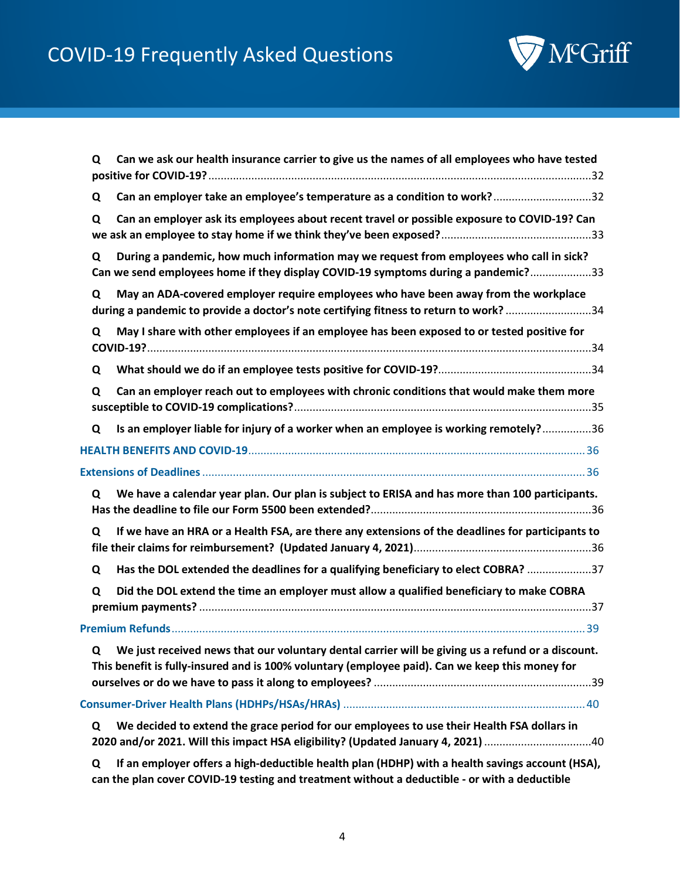

| Can we ask our health insurance carrier to give us the names of all employees who have tested<br>Q                                                                                                        |  |
|-----------------------------------------------------------------------------------------------------------------------------------------------------------------------------------------------------------|--|
| Can an employer take an employee's temperature as a condition to work?32<br>Q                                                                                                                             |  |
| Can an employer ask its employees about recent travel or possible exposure to COVID-19? Can<br>Q                                                                                                          |  |
| During a pandemic, how much information may we request from employees who call in sick?<br>Q<br>Can we send employees home if they display COVID-19 symptoms during a pandemic?33                         |  |
| May an ADA-covered employer require employees who have been away from the workplace<br>Q<br>during a pandemic to provide a doctor's note certifying fitness to return to work?34                          |  |
| May I share with other employees if an employee has been exposed to or tested positive for<br>Q                                                                                                           |  |
| Q                                                                                                                                                                                                         |  |
| Can an employer reach out to employees with chronic conditions that would make them more<br>Q                                                                                                             |  |
| Is an employer liable for injury of a worker when an employee is working remotely?36<br>Q                                                                                                                 |  |
|                                                                                                                                                                                                           |  |
|                                                                                                                                                                                                           |  |
| We have a calendar year plan. Our plan is subject to ERISA and has more than 100 participants.<br>Q                                                                                                       |  |
| If we have an HRA or a Health FSA, are there any extensions of the deadlines for participants to<br>Q                                                                                                     |  |
| Has the DOL extended the deadlines for a qualifying beneficiary to elect COBRA? 37<br>Q                                                                                                                   |  |
| Did the DOL extend the time an employer must allow a qualified beneficiary to make COBRA<br>Q                                                                                                             |  |
|                                                                                                                                                                                                           |  |
| We just received news that our voluntary dental carrier will be giving us a refund or a discount.<br>Q<br>This benefit is fully-insured and is 100% voluntary (employee paid). Can we keep this money for |  |
|                                                                                                                                                                                                           |  |
| We decided to extend the grace period for our employees to use their Health FSA dollars in<br>Q<br>2020 and/or 2021. Will this impact HSA eligibility? (Updated January 4, 2021) 40                       |  |
| If an employer offers a high-deductible health plan (HDHP) with a health savings account (HSA),<br>Q                                                                                                      |  |

**[can the plan cover COVID-19 testing and treatment without a deductible -](#page-39-2) or with a deductible**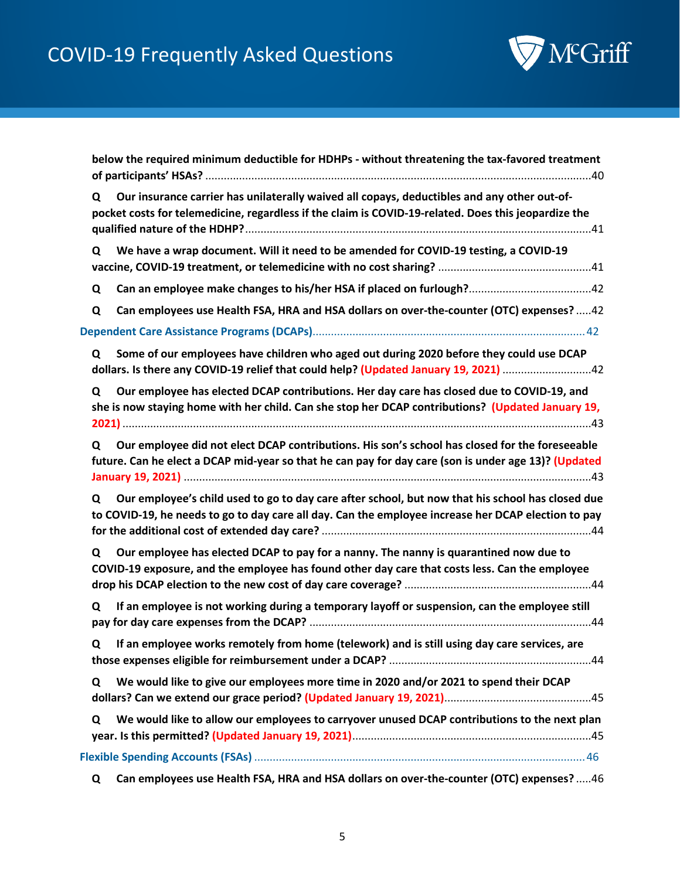

|   | below the required minimum deductible for HDHPs - without threatening the tax-favored treatment                                                                                                         |
|---|---------------------------------------------------------------------------------------------------------------------------------------------------------------------------------------------------------|
| Q | Our insurance carrier has unilaterally waived all copays, deductibles and any other out-of-<br>pocket costs for telemedicine, regardless if the claim is COVID-19-related. Does this jeopardize the     |
| Q | We have a wrap document. Will it need to be amended for COVID-19 testing, a COVID-19                                                                                                                    |
| Q |                                                                                                                                                                                                         |
| Q | Can employees use Health FSA, HRA and HSA dollars on over-the-counter (OTC) expenses?  42                                                                                                               |
|   |                                                                                                                                                                                                         |
| Q | Some of our employees have children who aged out during 2020 before they could use DCAP<br>dollars. Is there any COVID-19 relief that could help? (Updated January 19, 2021) 22                         |
| Q | Our employee has elected DCAP contributions. Her day care has closed due to COVID-19, and<br>she is now staying home with her child. Can she stop her DCAP contributions? (Updated January 19,          |
| Q | Our employee did not elect DCAP contributions. His son's school has closed for the foreseeable<br>future. Can he elect a DCAP mid-year so that he can pay for day care (son is under age 13)? (Updated  |
| Q | Our employee's child used to go to day care after school, but now that his school has closed due<br>to COVID-19, he needs to go to day care all day. Can the employee increase her DCAP election to pay |
| Q | Our employee has elected DCAP to pay for a nanny. The nanny is quarantined now due to<br>COVID-19 exposure, and the employee has found other day care that costs less. Can the employee                 |
| Q | If an employee is not working during a temporary layoff or suspension, can the employee still                                                                                                           |
|   | Q If an employee works remotely from home (telework) and is still using day care services, are                                                                                                          |
| Q | We would like to give our employees more time in 2020 and/or 2021 to spend their DCAP                                                                                                                   |
| Q | We would like to allow our employees to carryover unused DCAP contributions to the next plan                                                                                                            |
|   |                                                                                                                                                                                                         |
| Q | Can employees use Health FSA, HRA and HSA dollars on over-the-counter (OTC) expenses? 46                                                                                                                |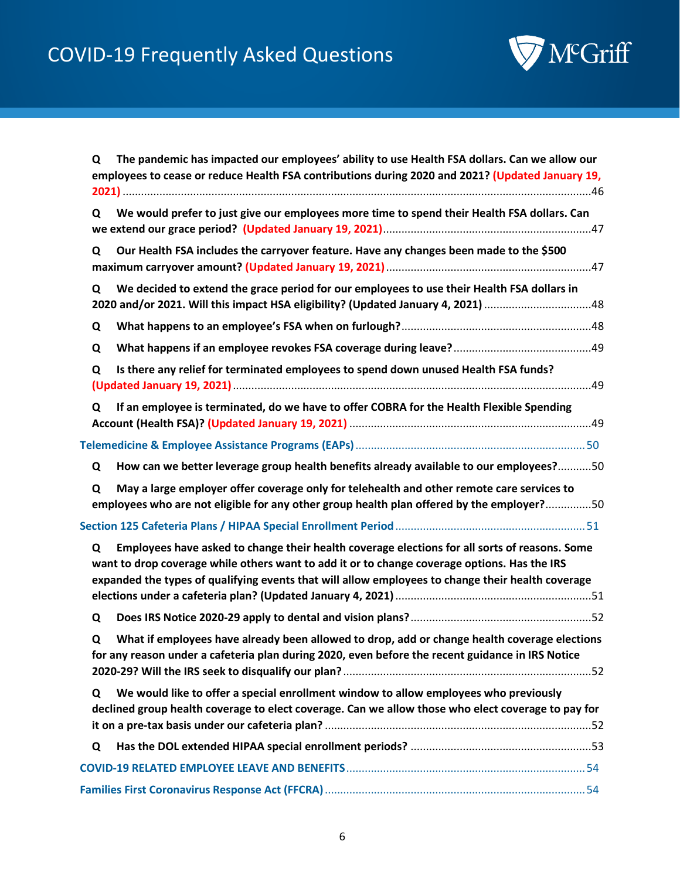

| Q | The pandemic has impacted our employees' ability to use Health FSA dollars. Can we allow our<br>employees to cease or reduce Health FSA contributions during 2020 and 2021? (Updated January 19,                                                                                                   |
|---|----------------------------------------------------------------------------------------------------------------------------------------------------------------------------------------------------------------------------------------------------------------------------------------------------|
| Q | We would prefer to just give our employees more time to spend their Health FSA dollars. Can                                                                                                                                                                                                        |
| Q | Our Health FSA includes the carryover feature. Have any changes been made to the \$500                                                                                                                                                                                                             |
| Q | We decided to extend the grace period for our employees to use their Health FSA dollars in<br>2020 and/or 2021. Will this impact HSA eligibility? (Updated January 4, 2021) 48                                                                                                                     |
| Q |                                                                                                                                                                                                                                                                                                    |
| Q |                                                                                                                                                                                                                                                                                                    |
| Q | Is there any relief for terminated employees to spend down unused Health FSA funds?                                                                                                                                                                                                                |
| Q | If an employee is terminated, do we have to offer COBRA for the Health Flexible Spending                                                                                                                                                                                                           |
|   |                                                                                                                                                                                                                                                                                                    |
| Q | How can we better leverage group health benefits already available to our employees?50                                                                                                                                                                                                             |
| Q | May a large employer offer coverage only for telehealth and other remote care services to<br>employees who are not eligible for any other group health plan offered by the employer?50                                                                                                             |
|   |                                                                                                                                                                                                                                                                                                    |
| Q | Employees have asked to change their health coverage elections for all sorts of reasons. Some<br>want to drop coverage while others want to add it or to change coverage options. Has the IRS<br>expanded the types of qualifying events that will allow employees to change their health coverage |
| Q |                                                                                                                                                                                                                                                                                                    |
| Q | What if employees have already been allowed to drop, add or change health coverage elections<br>for any reason under a cafeteria plan during 2020, even before the recent guidance in IRS Notice                                                                                                   |
| Q | We would like to offer a special enrollment window to allow employees who previously<br>declined group health coverage to elect coverage. Can we allow those who elect coverage to pay for                                                                                                         |
| Q |                                                                                                                                                                                                                                                                                                    |
|   |                                                                                                                                                                                                                                                                                                    |
|   |                                                                                                                                                                                                                                                                                                    |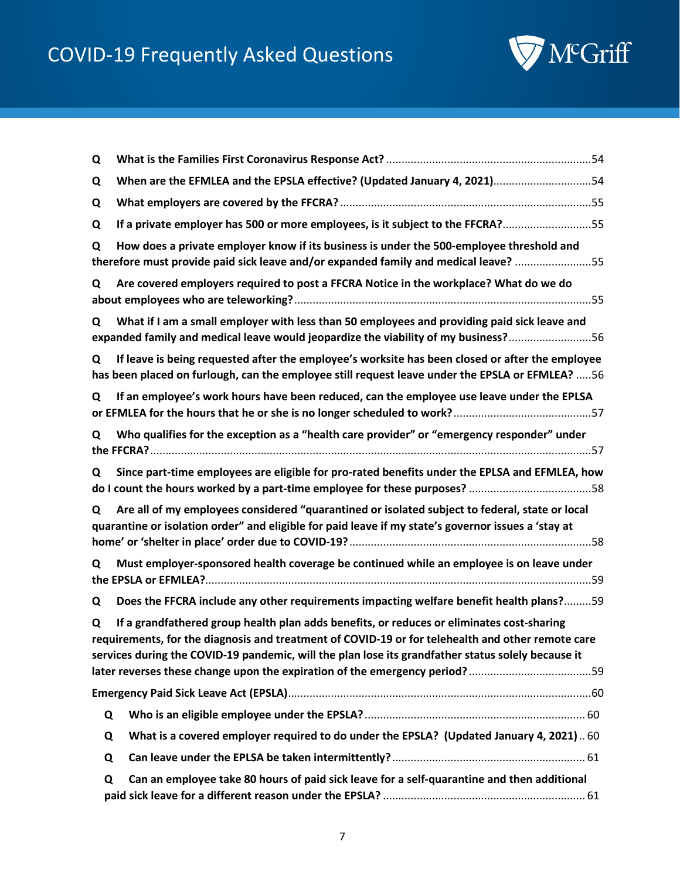

| Q |                                                                                                                                                                                                                                                                                                      |
|---|------------------------------------------------------------------------------------------------------------------------------------------------------------------------------------------------------------------------------------------------------------------------------------------------------|
| Q | When are the EFMLEA and the EPSLA effective? (Updated January 4, 2021) 54                                                                                                                                                                                                                            |
| Q |                                                                                                                                                                                                                                                                                                      |
| Q | If a private employer has 500 or more employees, is it subject to the FFCRA?55                                                                                                                                                                                                                       |
| Q | How does a private employer know if its business is under the 500-employee threshold and<br>therefore must provide paid sick leave and/or expanded family and medical leave? 55                                                                                                                      |
| Q | Are covered employers required to post a FFCRA Notice in the workplace? What do we do                                                                                                                                                                                                                |
| Q | What if I am a small employer with less than 50 employees and providing paid sick leave and<br>expanded family and medical leave would jeopardize the viability of my business?56                                                                                                                    |
| Q | If leave is being requested after the employee's worksite has been closed or after the employee<br>has been placed on furlough, can the employee still request leave under the EPSLA or EFMLEA? 56                                                                                                   |
| Q | If an employee's work hours have been reduced, can the employee use leave under the EPLSA                                                                                                                                                                                                            |
| Q | Who qualifies for the exception as a "health care provider" or "emergency responder" under                                                                                                                                                                                                           |
| Q | Since part-time employees are eligible for pro-rated benefits under the EPLSA and EFMLEA, how                                                                                                                                                                                                        |
| Q | Are all of my employees considered "quarantined or isolated subject to federal, state or local<br>quarantine or isolation order" and eligible for paid leave if my state's governor issues a 'stay at                                                                                                |
| Q | Must employer-sponsored health coverage be continued while an employee is on leave under                                                                                                                                                                                                             |
| Q | Does the FFCRA include any other requirements impacting welfare benefit health plans?59                                                                                                                                                                                                              |
| Q | If a grandfathered group health plan adds benefits, or reduces or eliminates cost-sharing<br>requirements, for the diagnosis and treatment of COVID-19 or for telehealth and other remote care<br>services during the COVID-19 pandemic, will the plan lose its grandfather status solely because it |
|   |                                                                                                                                                                                                                                                                                                      |
| Q |                                                                                                                                                                                                                                                                                                      |
| Q | What is a covered employer required to do under the EPSLA? (Updated January 4, 2021) 60                                                                                                                                                                                                              |
| Q |                                                                                                                                                                                                                                                                                                      |
| Q | Can an employee take 80 hours of paid sick leave for a self-quarantine and then additional                                                                                                                                                                                                           |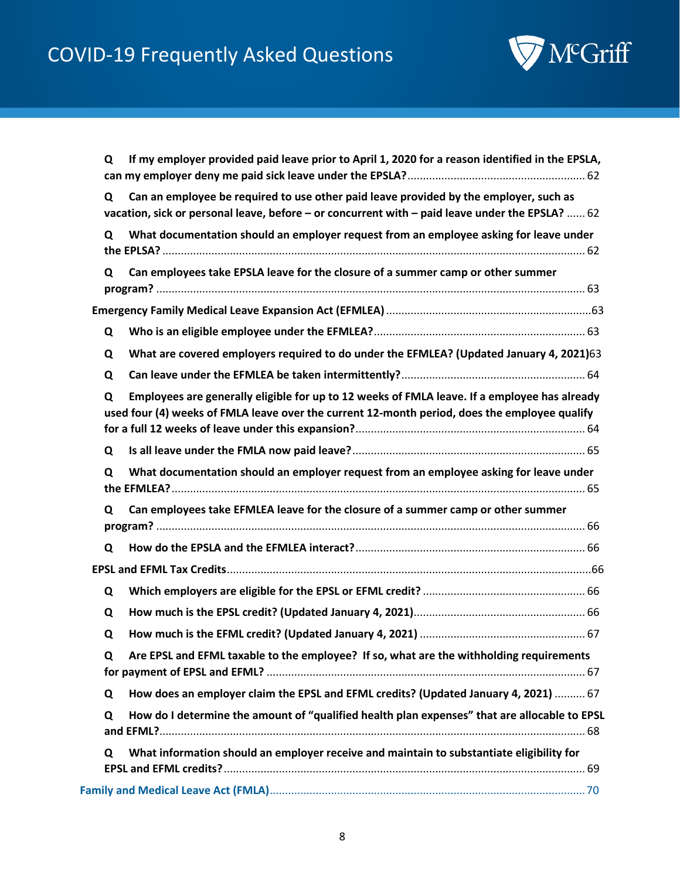

| Q | If my employer provided paid leave prior to April 1, 2020 for a reason identified in the EPSLA,                                                                                               |
|---|-----------------------------------------------------------------------------------------------------------------------------------------------------------------------------------------------|
| Q | Can an employee be required to use other paid leave provided by the employer, such as<br>vacation, sick or personal leave, before - or concurrent with - paid leave under the EPSLA?  62      |
| Q | What documentation should an employer request from an employee asking for leave under                                                                                                         |
| Q | Can employees take EPSLA leave for the closure of a summer camp or other summer                                                                                                               |
|   |                                                                                                                                                                                               |
| Q |                                                                                                                                                                                               |
| Q | What are covered employers required to do under the EFMLEA? (Updated January 4, 2021)63                                                                                                       |
| Q |                                                                                                                                                                                               |
| Q | Employees are generally eligible for up to 12 weeks of FMLA leave. If a employee has already<br>used four (4) weeks of FMLA leave over the current 12-month period, does the employee qualify |
| Q |                                                                                                                                                                                               |
| Q | What documentation should an employer request from an employee asking for leave under                                                                                                         |
| Q | Can employees take EFMLEA leave for the closure of a summer camp or other summer                                                                                                              |
| Q |                                                                                                                                                                                               |
|   |                                                                                                                                                                                               |
| Q |                                                                                                                                                                                               |
| Q |                                                                                                                                                                                               |
| Q |                                                                                                                                                                                               |
| Q | Are EPSL and EFML taxable to the employee? If so, what are the withholding requirements                                                                                                       |
| Q | How does an employer claim the EPSL and EFML credits? (Updated January 4, 2021)  67                                                                                                           |
| Q | How do I determine the amount of "qualified health plan expenses" that are allocable to EPSL                                                                                                  |
| Q | What information should an employer receive and maintain to substantiate eligibility for                                                                                                      |
|   |                                                                                                                                                                                               |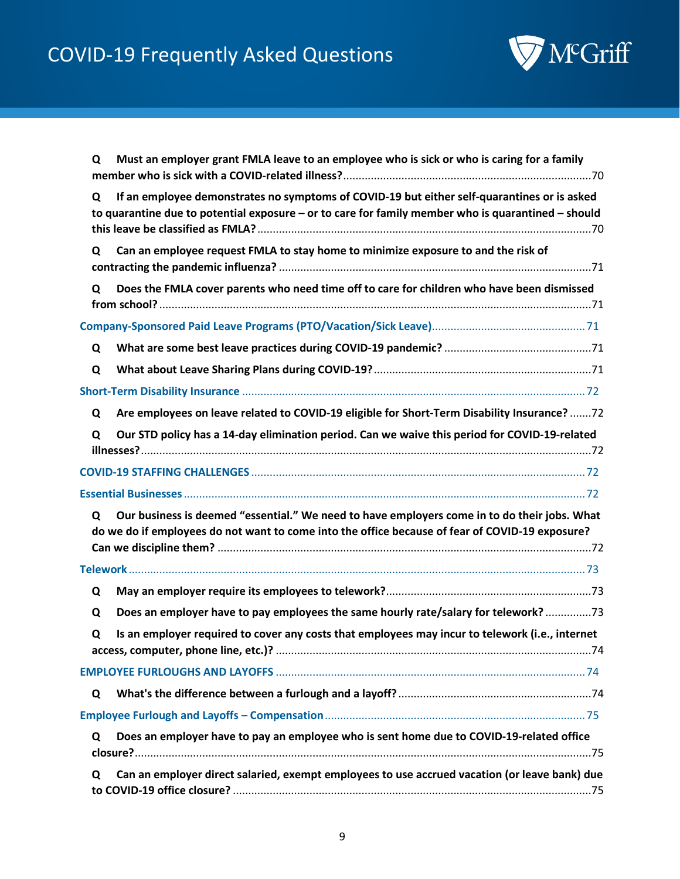

| Q | Must an employer grant FMLA leave to an employee who is sick or who is caring for a family                                                                                                        |
|---|---------------------------------------------------------------------------------------------------------------------------------------------------------------------------------------------------|
| Q | If an employee demonstrates no symptoms of COVID-19 but either self-quarantines or is asked<br>to quarantine due to potential exposure - or to care for family member who is quarantined - should |
| Q | Can an employee request FMLA to stay home to minimize exposure to and the risk of                                                                                                                 |
| Q | Does the FMLA cover parents who need time off to care for children who have been dismissed                                                                                                        |
|   |                                                                                                                                                                                                   |
| Q |                                                                                                                                                                                                   |
| Q |                                                                                                                                                                                                   |
|   |                                                                                                                                                                                                   |
| Q | Are employees on leave related to COVID-19 eligible for Short-Term Disability Insurance? 72                                                                                                       |
| Q | Our STD policy has a 14-day elimination period. Can we waive this period for COVID-19-related                                                                                                     |
|   |                                                                                                                                                                                                   |
|   |                                                                                                                                                                                                   |
| Q | Our business is deemed "essential." We need to have employers come in to do their jobs. What<br>do we do if employees do not want to come into the office because of fear of COVID-19 exposure?   |
|   |                                                                                                                                                                                                   |
| Q |                                                                                                                                                                                                   |
| Q | Does an employer have to pay employees the same hourly rate/salary for telework?73                                                                                                                |
| Q | Is an employer required to cover any costs that employees may incur to telework (i.e., internet                                                                                                   |
|   |                                                                                                                                                                                                   |
| Q |                                                                                                                                                                                                   |
|   |                                                                                                                                                                                                   |
| Q | Does an employer have to pay an employee who is sent home due to COVID-19-related office                                                                                                          |
| Q | Can an employer direct salaried, exempt employees to use accrued vacation (or leave bank) due                                                                                                     |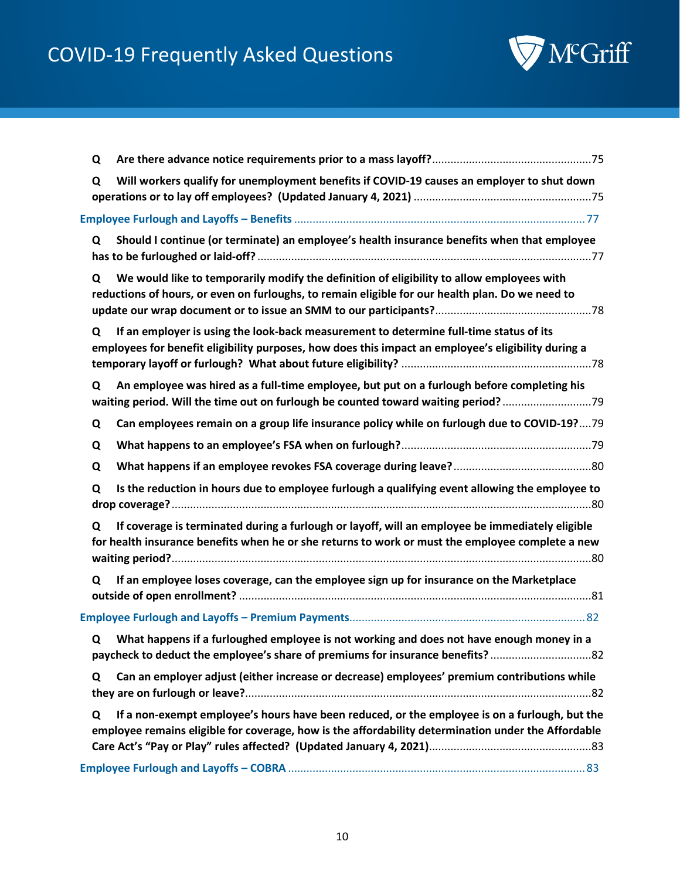

| Q |                                                                                                                                                                                                      |
|---|------------------------------------------------------------------------------------------------------------------------------------------------------------------------------------------------------|
| Q | Will workers qualify for unemployment benefits if COVID-19 causes an employer to shut down                                                                                                           |
|   |                                                                                                                                                                                                      |
|   |                                                                                                                                                                                                      |
| Q | Should I continue (or terminate) an employee's health insurance benefits when that employee                                                                                                          |
| Q | We would like to temporarily modify the definition of eligibility to allow employees with<br>reductions of hours, or even on furloughs, to remain eligible for our health plan. Do we need to        |
| Q | If an employer is using the look-back measurement to determine full-time status of its<br>employees for benefit eligibility purposes, how does this impact an employee's eligibility during a        |
| Q | An employee was hired as a full-time employee, but put on a furlough before completing his<br>waiting period. Will the time out on furlough be counted toward waiting period?                        |
| Q | Can employees remain on a group life insurance policy while on furlough due to COVID-19?79                                                                                                           |
| Q |                                                                                                                                                                                                      |
| Q |                                                                                                                                                                                                      |
| Q | Is the reduction in hours due to employee furlough a qualifying event allowing the employee to                                                                                                       |
| Q | If coverage is terminated during a furlough or layoff, will an employee be immediately eligible<br>for health insurance benefits when he or she returns to work or must the employee complete a new  |
| Q | If an employee loses coverage, can the employee sign up for insurance on the Marketplace                                                                                                             |
|   |                                                                                                                                                                                                      |
| Q | What happens if a furloughed employee is not working and does not have enough money in a<br>paycheck to deduct the employee's share of premiums for insurance benefits?                              |
| Q | Can an employer adjust (either increase or decrease) employees' premium contributions while                                                                                                          |
| Q | If a non-exempt employee's hours have been reduced, or the employee is on a furlough, but the<br>employee remains eligible for coverage, how is the affordability determination under the Affordable |
|   |                                                                                                                                                                                                      |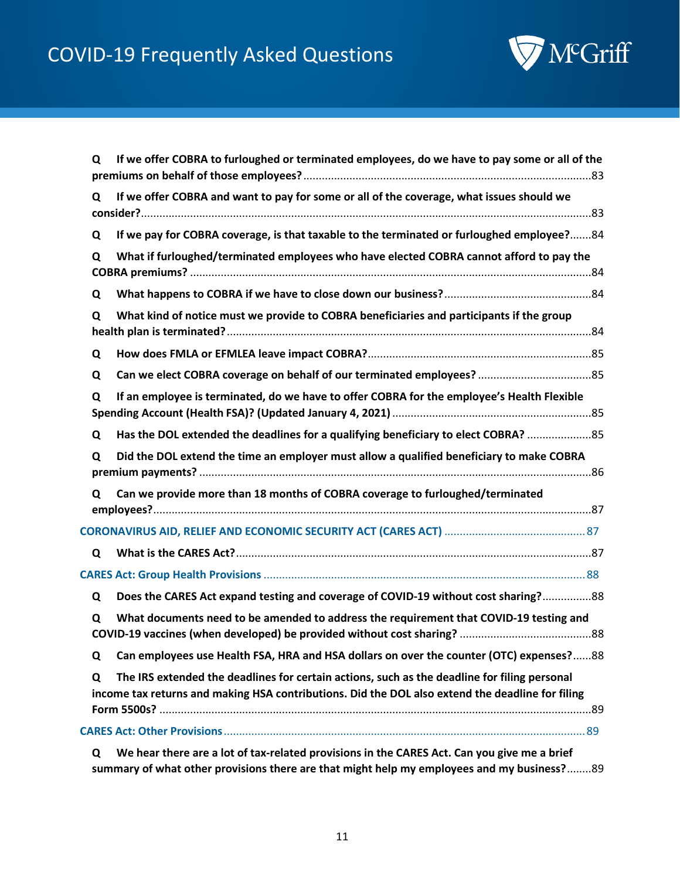# COVID-19 Frequently Asked Questions



| Q | If we offer COBRA to furloughed or terminated employees, do we have to pay some or all of the                                                                                                    |
|---|--------------------------------------------------------------------------------------------------------------------------------------------------------------------------------------------------|
| Q | If we offer COBRA and want to pay for some or all of the coverage, what issues should we                                                                                                         |
| Q | If we pay for COBRA coverage, is that taxable to the terminated or furloughed employee?84                                                                                                        |
| Q | What if furloughed/terminated employees who have elected COBRA cannot afford to pay the                                                                                                          |
| Q |                                                                                                                                                                                                  |
| Q | What kind of notice must we provide to COBRA beneficiaries and participants if the group                                                                                                         |
| Q |                                                                                                                                                                                                  |
| Q |                                                                                                                                                                                                  |
| Q | If an employee is terminated, do we have to offer COBRA for the employee's Health Flexible                                                                                                       |
| Q | Has the DOL extended the deadlines for a qualifying beneficiary to elect COBRA?  85                                                                                                              |
| Q | Did the DOL extend the time an employer must allow a qualified beneficiary to make COBRA                                                                                                         |
| Q | Can we provide more than 18 months of COBRA coverage to furloughed/terminated                                                                                                                    |
|   |                                                                                                                                                                                                  |
| Q |                                                                                                                                                                                                  |
|   |                                                                                                                                                                                                  |
| Q | Does the CARES Act expand testing and coverage of COVID-19 without cost sharing?88                                                                                                               |
| Q | What documents need to be amended to address the requirement that COVID-19 testing and                                                                                                           |
| Q | Can employees use Health FSA, HRA and HSA dollars on over the counter (OTC) expenses?88                                                                                                          |
| Q | The IRS extended the deadlines for certain actions, such as the deadline for filing personal<br>income tax returns and making HSA contributions. Did the DOL also extend the deadline for filing |
|   |                                                                                                                                                                                                  |
| Q | We hear there are a lot of tax-related provisions in the CARES Act. Can you give me a brief                                                                                                      |

**[summary of what other provisions there are that might help my employees and my business?](#page-88-2)**........89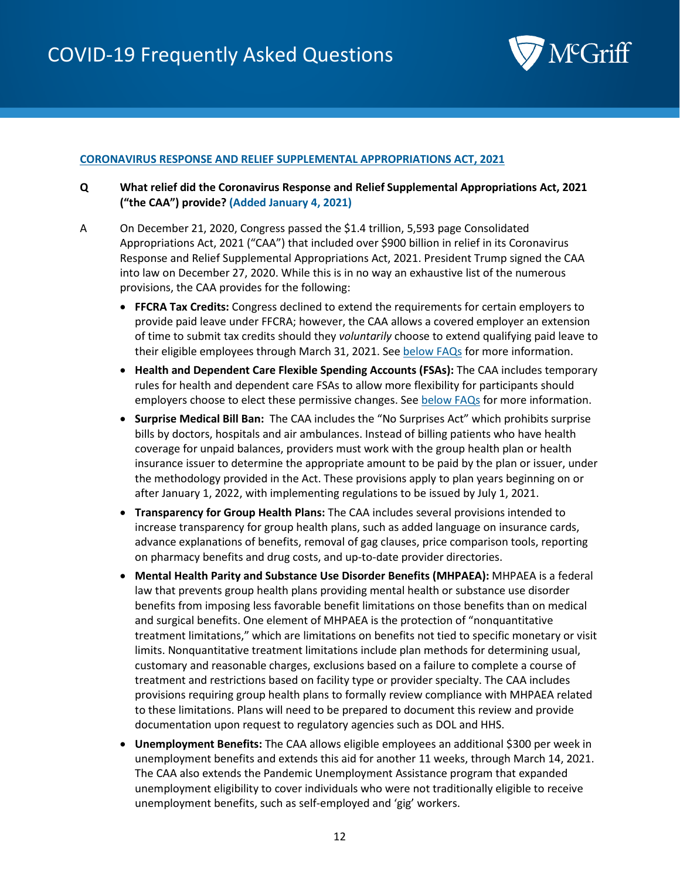

#### <span id="page-11-0"></span>**CORONAVIRUS RESPONSE AND RELIEF SUPPLEMENTAL APPROPRIATIONS ACT, 2021**

- <span id="page-11-1"></span>**Q What relief did the Coronavirus Response and Relief Supplemental Appropriations Act, 2021 ("the CAA") provide? (Added January 4, 2021)**
- A On December 21, 2020, Congress passed the \$1.4 trillion, 5,593 page Consolidated Appropriations Act, 2021 ("CAA") that included over \$900 billion in relief in its Coronavirus Response and Relief Supplemental Appropriations Act, 2021. President Trump signed the CAA into law on December 27, 2020. While this is in no way an exhaustive list of the numerous provisions, the CAA provides for the following:
	- **FFCRA Tax Credits:** Congress declined to extend the requirements for certain employers to provide paid leave under FFCRA; however, the CAA allows a covered employer an extension of time to submit tax credits should they *voluntarily* choose to extend qualifying paid leave to their eligible employees through March 31, 2021. See [below FAQs](#page-12-2) for more information.
	- **Health and Dependent Care Flexible Spending Accounts (FSAs):** The CAA includes temporary rules for health and dependent care FSAs to allow more flexibility for participants should employers choose to elect these permissive changes. Se[e below](#page-12-3) FAQs for more information.
	- **Surprise Medical Bill Ban:** The CAA includes the "No Surprises Act" which prohibits surprise bills by doctors, hospitals and air ambulances. Instead of billing patients who have health coverage for unpaid balances, providers must work with the group health plan or health insurance issuer to determine the appropriate amount to be paid by the plan or issuer, under the methodology provided in the Act. These provisions apply to plan years beginning on or after January 1, 2022, with implementing regulations to be issued by July 1, 2021.
	- **Transparency for Group Health Plans:** The CAA includes several provisions intended to increase transparency for group health plans, such as added language on insurance cards, advance explanations of benefits, removal of gag clauses, price comparison tools, reporting on pharmacy benefits and drug costs, and up-to-date provider directories.
	- **Mental Health Parity and Substance Use Disorder Benefits (MHPAEA):** MHPAEA is a federal law that prevents group health plans providing mental health or substance use disorder benefits from imposing less favorable benefit limitations on those benefits than on medical and surgical benefits. One element of MHPAEA is the protection of "nonquantitative treatment limitations," which are limitations on benefits not tied to specific monetary or visit limits. Nonquantitative treatment limitations include plan methods for determining usual, customary and reasonable charges, exclusions based on a failure to complete a course of treatment and restrictions based on facility type or provider specialty. The CAA includes provisions requiring group health plans to formally review compliance with MHPAEA related to these limitations. Plans will need to be prepared to document this review and provide documentation upon request to regulatory agencies such as DOL and HHS.
	- **Unemployment Benefits:** The CAA allows eligible employees an additional \$300 per week in unemployment benefits and extends this aid for another 11 weeks, through March 14, 2021. The CAA also extends the Pandemic Unemployment Assistance program that expanded unemployment eligibility to cover individuals who were not traditionally eligible to receive unemployment benefits, such as self-employed and 'gig' workers.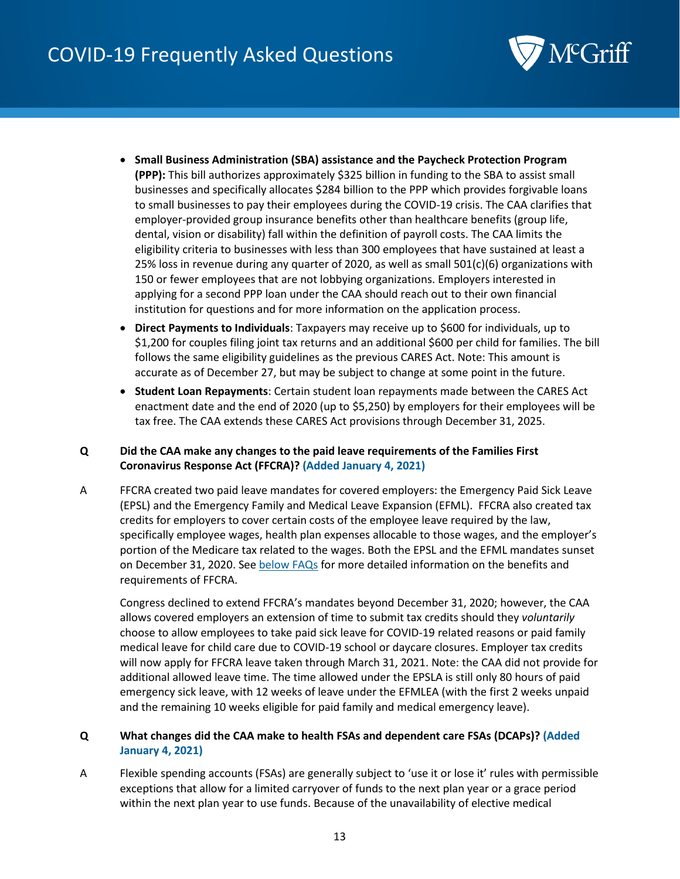## COVID-19 Frequently Asked Questions



- **Small Business Administration (SBA) assistance and the Paycheck Protection Program (PPP):** This bill authorizes approximately \$325 billion in funding to the SBA to assist small businesses and specifically allocates \$284 billion to the PPP which provides forgivable loans to small businesses to pay their employees during the COVID-19 crisis. The CAA clarifies that employer-provided group insurance benefits other than healthcare benefits (group life, dental, vision or disability) fall within the definition of payroll costs. The CAA limits the eligibility criteria to businesses with less than 300 employees that have sustained at least a 25% loss in revenue during any quarter of 2020, as well as small  $501(c)(6)$  organizations with 150 or fewer employees that are not lobbying organizations. Employers interested in applying for a second PPP loan under the CAA should reach out to their own financial institution for questions and for more information on the application process.
- **Direct Payments to Individuals**: Taxpayers may receive up to \$600 for individuals, up to \$1,200 for couples filing joint tax returns and an additional \$600 per child for families. The bill follows the same eligibility guidelines as the previous CARES Act. Note: This amount is accurate as of December 27, but may be subject to change at some point in the future.
- **Student Loan Repayments**: Certain student loan repayments made between the CARES Act enactment date and the end of 2020 (up to \$5,250) by employers for their employees will be tax free. The CAA extends these CARES Act provisions through December 31, 2025.

#### <span id="page-12-2"></span><span id="page-12-0"></span>**Q Did the CAA make any changes to the paid leave requirements of the Families First Coronavirus Response Act (FFCRA)? (Added January 4, 2021)**

A FFCRA created two paid leave mandates for covered employers: the Emergency Paid Sick Leave (EPSL) and the Emergency Family and Medical Leave Expansion (EFML). FFCRA also created tax credits for employers to cover certain costs of the employee leave required by the law, specifically employee wages, health plan expenses allocable to those wages, and the employer's portion of the Medicare tax related to the wages. Both the EPSL and the EFML mandates sunset on December 31, 2020. See [below FAQs](#page-53-1) for more detailed information on the benefits and requirements of FFCRA.

Congress declined to extend FFCRA's mandates beyond December 31, 2020; however, the CAA allows covered employers an extension of time to submit tax credits should they *voluntarily* choose to allow employees to take paid sick leave for COVID-19 related reasons or paid family medical leave for child care due to COVID-19 school or daycare closures. Employer tax credits will now apply for FFCRA leave taken through March 31, 2021. Note: the CAA did not provide for additional allowed leave time. The time allowed under the EPSLA is still only 80 hours of paid emergency sick leave, with 12 weeks of leave under the EFMLEA (with the first 2 weeks unpaid and the remaining 10 weeks eligible for paid family and medical emergency leave).

#### <span id="page-12-3"></span><span id="page-12-1"></span>**Q What changes did the CAA make to health FSAs and dependent care FSAs (DCAPs)? (Added January 4, 2021)**

A Flexible spending accounts (FSAs) are generally subject to 'use it or lose it' rules with permissible exceptions that allow for a limited carryover of funds to the next plan year or a grace period within the next plan year to use funds. Because of the unavailability of elective medical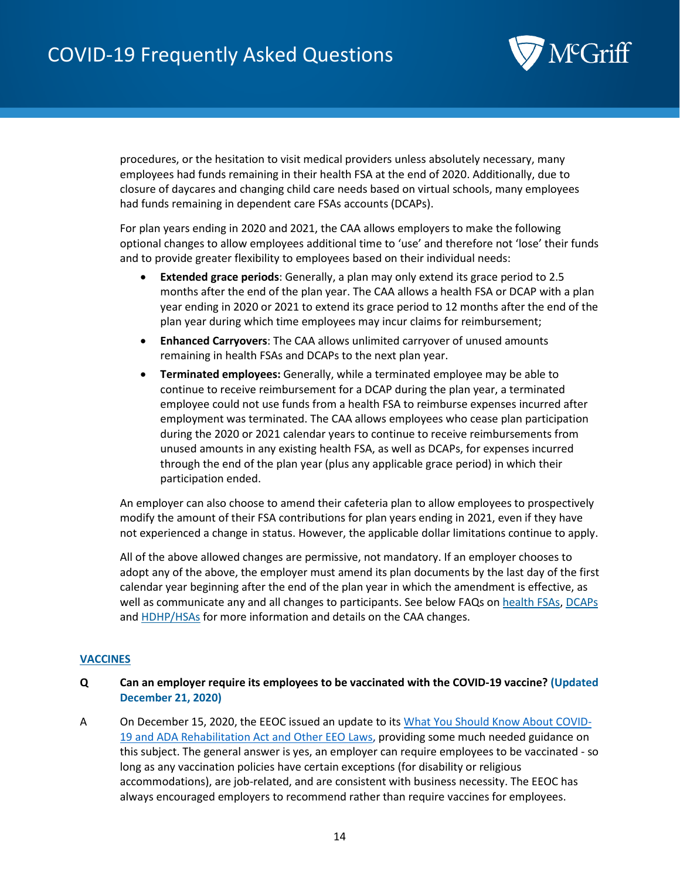

procedures, or the hesitation to visit medical providers unless absolutely necessary, many employees had funds remaining in their health FSA at the end of 2020. Additionally, due to closure of daycares and changing child care needs based on virtual schools, many employees had funds remaining in dependent care FSAs accounts (DCAPs).

For plan years ending in 2020 and 2021, the CAA allows employers to make the following optional changes to allow employees additional time to 'use' and therefore not 'lose' their funds and to provide greater flexibility to employees based on their individual needs:

- **Extended grace periods**: Generally, a plan may only extend its grace period to 2.5 months after the end of the plan year. The CAA allows a health FSA or DCAP with a plan year ending in 2020 or 2021 to extend its grace period to 12 months after the end of the plan year during which time employees may incur claims for reimbursement;
- **Enhanced Carryovers**: The CAA allows unlimited carryover of unused amounts remaining in health FSAs and DCAPs to the next plan year.
- **Terminated employees:** Generally, while a terminated employee may be able to continue to receive reimbursement for a DCAP during the plan year, a terminated employee could not use funds from a health FSA to reimburse expenses incurred after employment was terminated. The CAA allows employees who cease plan participation during the 2020 or 2021 calendar years to continue to receive reimbursements from unused amounts in any existing health FSA, as well as DCAPs, for expenses incurred through the end of the plan year (plus any applicable grace period) in which their participation ended.

An employer can also choose to amend their cafeteria plan to allow employees to prospectively modify the amount of their FSA contributions for plan years ending in 2021, even if they have not experienced a change in status. However, the applicable dollar limitations continue to apply.

All of the above allowed changes are permissive, not mandatory. If an employer chooses to adopt any of the above, the employer must amend its plan documents by the last day of the first calendar year beginning after the end of the plan year in which the amendment is effective, as well as communicate any and all changes to participants. See below FAQs o[n health FSAs,](#page-45-0) [DCAPs](#page-41-2) and **HDHP/HSAs** for more information and details on the CAA changes.

#### <span id="page-13-0"></span>**VACCINES**

- <span id="page-13-1"></span>**Q Can an employer require its employees to be vaccinated with the COVID-19 vaccine? (Updated December 21, 2020)**
- A On December 15, 2020, the EEOC issued an update to it[s What You Should Know About COVID-](https://www.eeoc.gov/wysk/what-you-should-know-about-covid-19-and-ada-rehabilitation-act-and-other-eeo-laws)[19 and ADA Rehabilitation Act and Other EEO Laws,](https://www.eeoc.gov/wysk/what-you-should-know-about-covid-19-and-ada-rehabilitation-act-and-other-eeo-laws) providing some much needed guidance on this subject. The general answer is yes, an employer can require employees to be vaccinated - so long as any vaccination policies have certain exceptions (for disability or religious accommodations), are job-related, and are consistent with business necessity. The EEOC has always encouraged employers to recommend rather than require vaccines for employees.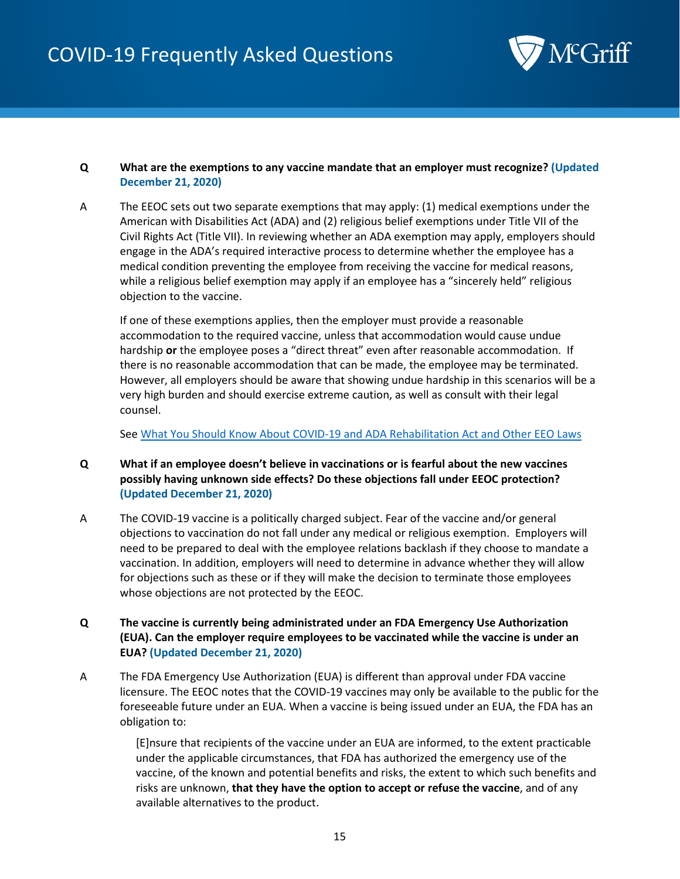

#### <span id="page-14-0"></span>**Q What are the exemptions to any vaccine mandate that an employer must recognize? (Updated December 21, 2020)**

A The EEOC sets out two separate exemptions that may apply: (1) medical exemptions under the American with Disabilities Act (ADA) and (2) religious belief exemptions under Title VII of the Civil Rights Act (Title VII). In reviewing whether an ADA exemption may apply, employers should engage in the ADA's required interactive process to determine whether the employee has a medical condition preventing the employee from receiving the vaccine for medical reasons, while a religious belief exemption may apply if an employee has a "sincerely held" religious objection to the vaccine.

If one of these exemptions applies, then the employer must provide a reasonable accommodation to the required vaccine, unless that accommodation would cause undue hardship **or** the employee poses a "direct threat" even after reasonable accommodation. If there is no reasonable accommodation that can be made, the employee may be terminated. However, all employers should be aware that showing undue hardship in this scenarios will be a very high burden and should exercise extreme caution, as well as consult with their legal counsel.

Se[e What You Should Know About COVID-19 and ADA Rehabilitation Act and Other EEO Laws](https://www.eeoc.gov/wysk/what-you-should-know-about-covid-19-and-ada-rehabilitation-act-and-other-eeo-laws)

#### <span id="page-14-1"></span>**Q What if an employee doesn't believe in vaccinations or is fearful about the new vaccines possibly having unknown side effects? Do these objections fall under EEOC protection? (Updated December 21, 2020)**

- A The COVID-19 vaccine is a politically charged subject. Fear of the vaccine and/or general objections to vaccination do not fall under any medical or religious exemption. Employers will need to be prepared to deal with the employee relations backlash if they choose to mandate a vaccination. In addition, employers will need to determine in advance whether they will allow for objections such as these or if they will make the decision to terminate those employees whose objections are not protected by the EEOC.
- <span id="page-14-2"></span>**Q The vaccine is currently being administrated under an FDA Emergency Use Authorization (EUA). Can the employer require employees to be vaccinated while the vaccine is under an EUA? (Updated December 21, 2020)**
- A The FDA Emergency Use Authorization (EUA) is different than approval under FDA vaccine licensure. The EEOC notes that the COVID-19 vaccines may only be available to the public for the foreseeable future under an EUA. When a vaccine is being issued under an EUA, the FDA has an obligation to:

[E]nsure that recipients of the vaccine under an EUA are informed, to the extent practicable under the applicable circumstances, that FDA has authorized the emergency use of the vaccine, of the known and potential benefits and risks, the extent to which such benefits and risks are unknown, **that they have the option to accept or refuse the vaccine**, and of any available alternatives to the product.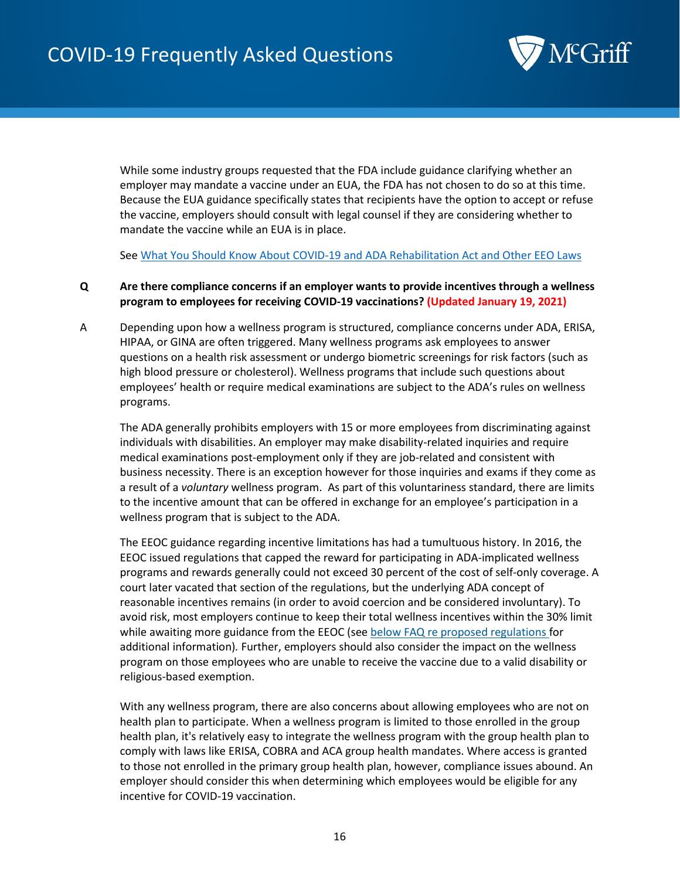

While some industry groups requested that the FDA include guidance clarifying whether an employer may mandate a vaccine under an EUA, the FDA has not chosen to do so at this time. Because the EUA guidance specifically states that recipients have the option to accept or refuse the vaccine, employers should consult with legal counsel if they are considering whether to mandate the vaccine while an EUA is in place.

Se[e What You Should Know About COVID-19 and ADA Rehabilitation Act and Other EEO Laws](https://www.eeoc.gov/wysk/what-you-should-know-about-covid-19-and-ada-rehabilitation-act-and-other-eeo-laws)

#### <span id="page-15-0"></span>**Q Are there compliance concerns if an employer wants to provide incentives through a wellness program to employees for receiving COVID-19 vaccinations? (Updated January 19, 2021)**

A Depending upon how a wellness program is structured, compliance concerns under ADA, ERISA, HIPAA, or GINA are often triggered. Many wellness programs ask employees to answer questions on a health risk assessment or undergo biometric screenings for risk factors (such as high blood pressure or cholesterol). Wellness programs that include such questions about employees' health or require medical examinations are subject to the ADA's rules on wellness programs.

The ADA generally prohibits employers with 15 or more employees from discriminating against individuals with disabilities. An employer may make disability-related inquiries and require medical examinations post-employment only if they are job-related and consistent with business necessity. There is an exception however for those inquiries and exams if they come as a result of a *voluntary* wellness program. As part of this voluntariness standard, there are limits to the incentive amount that can be offered in exchange for an employee's participation in a wellness program that is subject to the ADA.

The EEOC guidance regarding incentive limitations has had a tumultuous history. In 2016, the EEOC issued regulations that capped the reward for participating in ADA-implicated wellness programs and rewards generally could not exceed 30 percent of the cost of self-only coverage. A court later vacated that section of the regulations, but the underlying ADA concept of reasonable incentives remains (in order to avoid coercion and be considered involuntary). To avoid risk, most employers continue to keep their total wellness incentives within the 30% limit while awaiting more guidance from the EEOC (se[e below FAQ re proposed regulations](#page-16-2) for additional information)*.* Further, employers should also consider the impact on the wellness program on those employees who are unable to receive the vaccine due to a valid disability or religious-based exemption.

With any wellness program, there are also concerns about allowing employees who are not on health plan to participate. When a wellness program is limited to those enrolled in the group health plan, it's relatively easy to integrate the wellness program with the group health plan to comply with laws like ERISA, COBRA and ACA group health mandates. Where access is granted to those not enrolled in the primary group health plan, however, compliance issues abound. An employer should consider this when determining which employees would be eligible for any incentive for COVID-19 vaccination.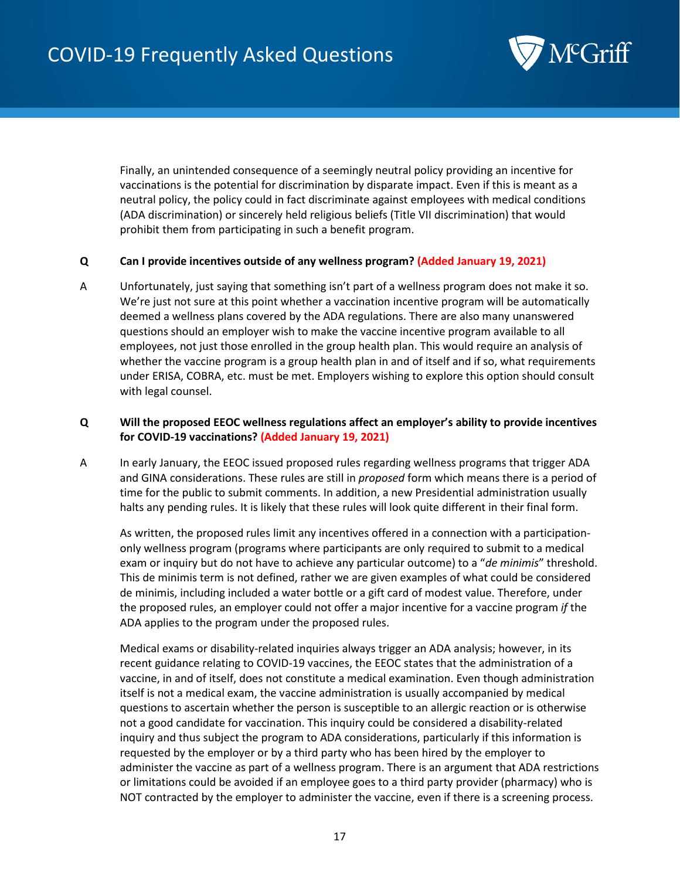

Finally, an unintended consequence of a seemingly neutral policy providing an incentive for vaccinations is the potential for discrimination by disparate impact. Even if this is meant as a neutral policy, the policy could in fact discriminate against employees with medical conditions (ADA discrimination) or sincerely held religious beliefs (Title VII discrimination) that would prohibit them from participating in such a benefit program.

#### <span id="page-16-0"></span>**Q Can I provide incentives outside of any wellness program? (Added January 19, 2021)**

A Unfortunately, just saying that something isn't part of a wellness program does not make it so. We're just not sure at this point whether a vaccination incentive program will be automatically deemed a wellness plans covered by the ADA regulations. There are also many unanswered questions should an employer wish to make the vaccine incentive program available to all employees, not just those enrolled in the group health plan. This would require an analysis of whether the vaccine program is a group health plan in and of itself and if so, what requirements under ERISA, COBRA, etc. must be met. Employers wishing to explore this option should consult with legal counsel.

#### <span id="page-16-2"></span><span id="page-16-1"></span>**Q Will the proposed EEOC wellness regulations affect an employer's ability to provide incentives for COVID-19 vaccinations? (Added January 19, 2021)**

A In early January, the EEOC issued proposed rules regarding wellness programs that trigger ADA and GINA considerations. These rules are still in *proposed* form which means there is a period of time for the public to submit comments. In addition, a new Presidential administration usually halts any pending rules. It is likely that these rules will look quite different in their final form.

As written, the proposed rules limit any incentives offered in a connection with a participationonly wellness program (programs where participants are only required to submit to a medical exam or inquiry but do not have to achieve any particular outcome) to a "*de minimis*" threshold. This de minimis term is not defined, rather we are given examples of what could be considered de minimis, including included a water bottle or a gift card of modest value. Therefore, under the proposed rules, an employer could not offer a major incentive for a vaccine program *if* the ADA applies to the program under the proposed rules.

Medical exams or disability-related inquiries always trigger an ADA analysis; however, in its recent guidance relating to COVID-19 vaccines, the EEOC states that the administration of a vaccine, in and of itself, does not constitute a medical examination. Even though administration itself is not a medical exam, the vaccine administration is usually accompanied by medical questions to ascertain whether the person is susceptible to an allergic reaction or is otherwise not a good candidate for vaccination. This inquiry could be considered a disability-related inquiry and thus subject the program to ADA considerations, particularly if this information is requested by the employer or by a third party who has been hired by the employer to administer the vaccine as part of a wellness program. There is an argument that ADA restrictions or limitations could be avoided if an employee goes to a third party provider (pharmacy) who is NOT contracted by the employer to administer the vaccine, even if there is a screening process.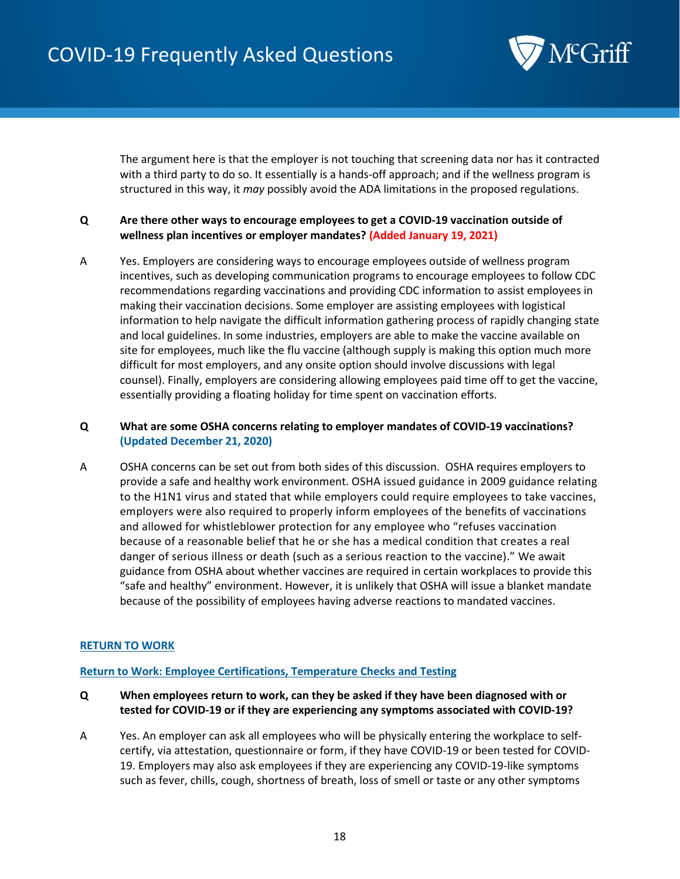

The argument here is that the employer is not touching that screening data nor has it contracted with a third party to do so. It essentially is a hands-off approach; and if the wellness program is structured in this way, it *may* possibly avoid the ADA limitations in the proposed regulations.

#### <span id="page-17-0"></span>**Q Are there other ways to encourage employees to get a COVID-19 vaccination outside of wellness plan incentives or employer mandates? (Added January 19, 2021)**

A Yes. Employers are considering ways to encourage employees outside of wellness program incentives, such as developing communication programs to encourage employees to follow CDC recommendations regarding vaccinations and providing CDC information to assist employees in making their vaccination decisions. Some employer are assisting employees with logistical information to help navigate the difficult information gathering process of rapidly changing state and local guidelines. In some industries, employers are able to make the vaccine available on site for employees, much like the flu vaccine (although supply is making this option much more difficult for most employers, and any onsite option should involve discussions with legal counsel). Finally, employers are considering allowing employees paid time off to get the vaccine, essentially providing a floating holiday for time spent on vaccination efforts.

#### <span id="page-17-1"></span>**Q What are some OSHA concerns relating to employer mandates of COVID-19 vaccinations? (Updated December 21, 2020)**

A OSHA concerns can be set out from both sides of this discussion. OSHA requires employers to provide a safe and healthy work environment. OSHA issued guidance in 2009 guidance relating to the H1N1 virus and stated that while employers could require employees to take vaccines, employers were also required to properly inform employees of the benefits of vaccinations and allowed for whistleblower protection for any employee who "refuses vaccination because of a reasonable belief that he or she has a medical condition that creates a real danger of serious illness or death (such as a serious reaction to the vaccine)." We await guidance from OSHA about whether vaccines are required in certain workplaces to provide this "safe and healthy" environment. However, it is unlikely that OSHA will issue a blanket mandate because of the possibility of employees having adverse reactions to mandated vaccines.

#### **RETURN TO WORK**

#### <span id="page-17-2"></span>**Return to Work: Employee Certifications, Temperature Checks and Testing**

- <span id="page-17-3"></span>**Q When employees return to work, can they be asked if they have been diagnosed with or tested for COVID-19 or if they are experiencing any symptoms associated with COVID-19?**
- A Yes. An employer can ask all employees who will be physically entering the workplace to selfcertify, via attestation, questionnaire or form, if they have COVID-19 or been tested for COVID-19. Employers may also ask employees if they are experiencing any COVID-19-like symptoms such as fever, chills, cough, shortness of breath, loss of smell or taste or any other symptoms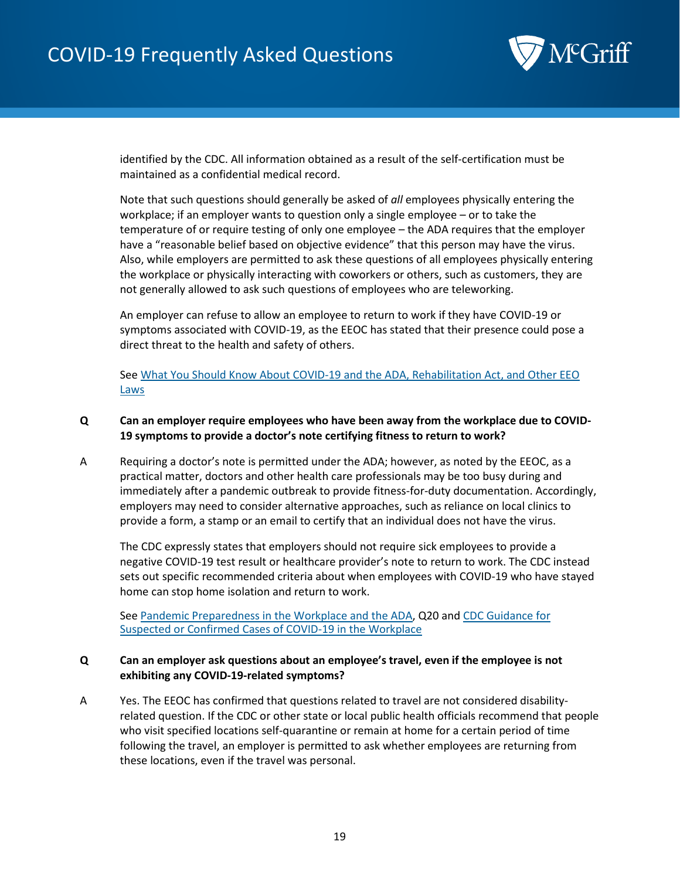

identified by the CDC. All information obtained as a result of the self-certification must be maintained as a confidential medical record.

Note that such questions should generally be asked of *all* employees physically entering the workplace; if an employer wants to question only a single employee – or to take the temperature of or require testing of only one employee – the ADA requires that the employer have a "reasonable belief based on objective evidence" that this person may have the virus. Also, while employers are permitted to ask these questions of all employees physically entering the workplace or physically interacting with coworkers or others, such as customers, they are not generally allowed to ask such questions of employees who are teleworking.

An employer can refuse to allow an employee to return to work if they have COVID-19 or symptoms associated with COVID-19, as the EEOC has stated that their presence could pose a direct threat to the health and safety of others.

Se[e What You Should Know About COVID-19 and the ADA, Rehabilitation Act, and Other EEO](https://www.eeoc.gov/wysk/what-you-should-know-about-covid-19-and-ada-rehabilitation-act-and-other-eeo-laws)  [Laws](https://www.eeoc.gov/wysk/what-you-should-know-about-covid-19-and-ada-rehabilitation-act-and-other-eeo-laws)

#### <span id="page-18-0"></span>**Q Can an employer require employees who have been away from the workplace due to COVID-19 symptoms to provide a doctor's note certifying fitness to return to work?**

A Requiring a doctor's note is permitted under the ADA; however, as noted by the EEOC, as a practical matter, doctors and other health care professionals may be too busy during and immediately after a pandemic outbreak to provide fitness-for-duty documentation. Accordingly, employers may need to consider alternative approaches, such as reliance on local clinics to provide a form, a stamp or an email to certify that an individual does not have the virus.

The CDC expressly states that employers should not require sick employees to provide a negative COVID-19 test result or healthcare provider's note to return to work. The CDC instead sets out specific recommended criteria about when employees with COVID-19 who have stayed home can stop home isolation and return to work.

See [Pandemic Preparedness in the Workplace and the ADA,](https://www.eeoc.gov/laws/guidance/pandemic-preparedness-workplace-and-americans-disabilities-act) Q20 and [CDC Guidance for](https://www.cdc.gov/coronavirus/2019-ncov/community/general-business-faq.html)  [Suspected or Confirmed Cases of COVID-19 in the Workplace](https://www.cdc.gov/coronavirus/2019-ncov/community/general-business-faq.html)

#### <span id="page-18-1"></span>**Q Can an employer ask questions about an employee's travel, even if the employee is not exhibiting any COVID-19-related symptoms?**

A Yes. The EEOC has confirmed that questions related to travel are not considered disabilityrelated question. If the CDC or other state or local public health officials recommend that people who visit specified locations self-quarantine or remain at home for a certain period of time following the travel, an employer is permitted to ask whether employees are returning from these locations, even if the travel was personal.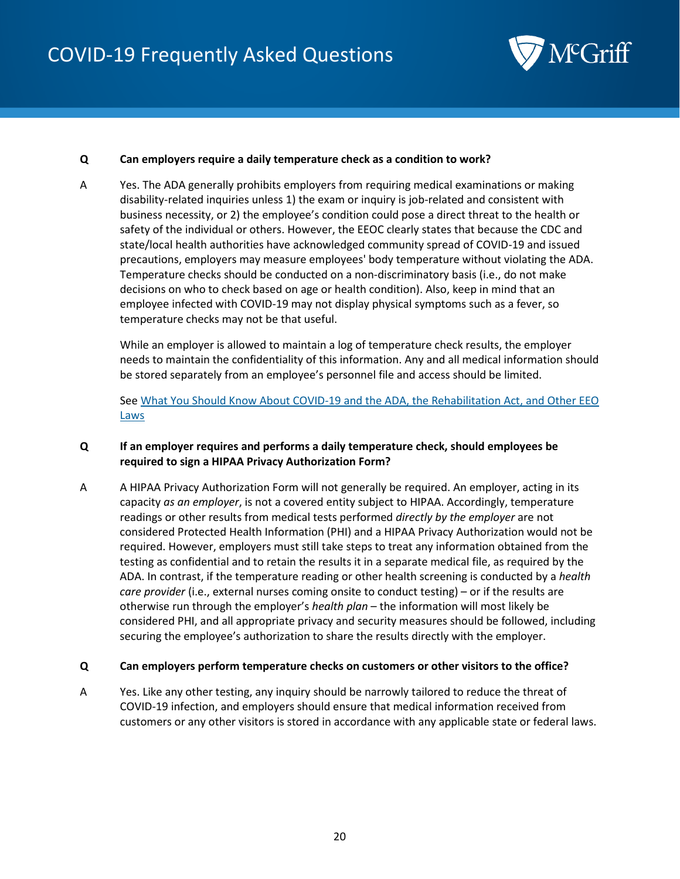

#### <span id="page-19-0"></span>**Q Can employers require a daily temperature check as a condition to work?**

A Yes. The ADA generally prohibits employers from requiring medical examinations or making disability-related inquiries unless 1) the exam or inquiry is job-related and consistent with business necessity, or 2) the employee's condition could pose a direct threat to the health or safety of the individual or others. However, the EEOC clearly states that because the CDC and state/local health authorities have acknowledged community spread of COVID-19 and issued precautions, employers may measure employees' body temperature without violating the ADA. Temperature checks should be conducted on a non-discriminatory basis (i.e., do not make decisions on who to check based on age or health condition). Also, keep in mind that an employee infected with COVID-19 may not display physical symptoms such as a fever, so temperature checks may not be that useful.

While an employer is allowed to maintain a log of temperature check results, the employer needs to maintain the confidentiality of this information. Any and all medical information should be stored separately from an employee's personnel file and access should be limited.

Se[e What You Should Know About COVID-19 and the ADA, the Rehabilitation Act, and Other EEO](https://www.eeoc.gov/wysk/what-you-should-know-about-covid-19-and-ada-rehabilitation-act-and-other-eeo-laws)  **[Laws](https://www.eeoc.gov/wysk/what-you-should-know-about-covid-19-and-ada-rehabilitation-act-and-other-eeo-laws)** 

#### <span id="page-19-1"></span>**Q If an employer requires and performs a daily temperature check, should employees be required to sign a HIPAA Privacy Authorization Form?**

A A HIPAA Privacy Authorization Form will not generally be required. An employer, acting in its capacity *as an employer*, is not a covered entity subject to HIPAA. Accordingly, temperature readings or other results from medical tests performed *directly by the employer* are not considered Protected Health Information (PHI) and a HIPAA Privacy Authorization would not be required. However, employers must still take steps to treat any information obtained from the testing as confidential and to retain the results it in a separate medical file, as required by the ADA. In contrast, if the temperature reading or other health screening is conducted by a *health care provider* (i.e., external nurses coming onsite to conduct testing) – or if the results are otherwise run through the employer's *health plan* – the information will most likely be considered PHI, and all appropriate privacy and security measures should be followed, including securing the employee's authorization to share the results directly with the employer.

#### <span id="page-19-2"></span>**Q Can employers perform temperature checks on customers or other visitors to the office?**

A Yes. Like any other testing, any inquiry should be narrowly tailored to reduce the threat of COVID-19 infection, and employers should ensure that medical information received from customers or any other visitors is stored in accordance with any applicable state or federal laws.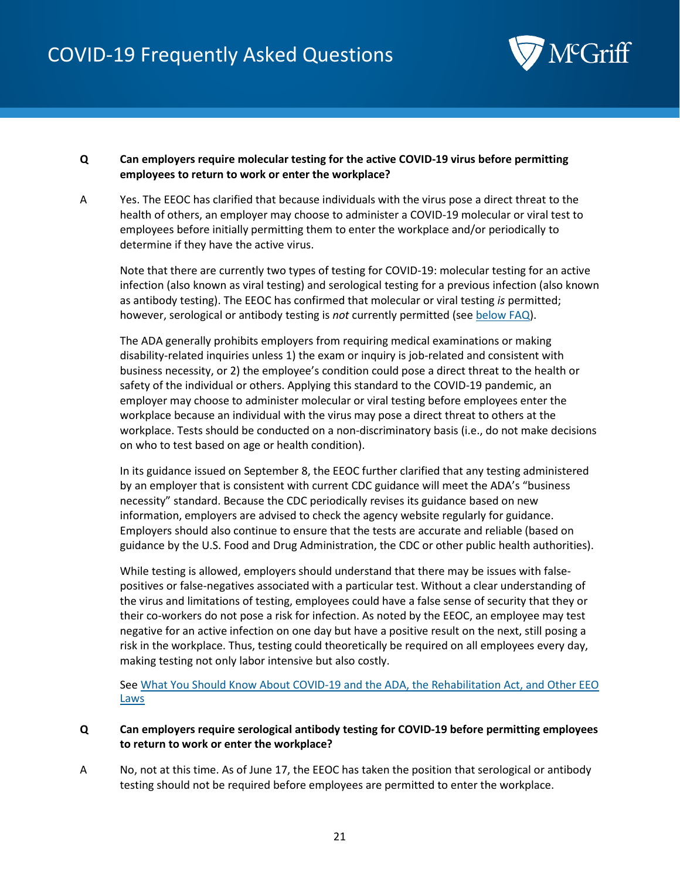

#### <span id="page-20-3"></span><span id="page-20-0"></span>**Q Can employers require molecular testing for the active COVID-19 virus before permitting employees to return to work or enter the workplace?**

A Yes. The EEOC has clarified that because individuals with the virus pose a direct threat to the health of others, an employer may choose to administer a COVID-19 molecular or viral test to employees before initially permitting them to enter the workplace and/or periodically to determine if they have the active virus.

Note that there are currently two types of testing for COVID-19: molecular testing for an active infection (also known as viral testing) and serological testing for a previous infection (also known as antibody testing). The EEOC has confirmed that molecular or viral testing *is* permitted; however, serological or antibody testing is *not* currently permitted (see [below FAQ\)](#page-20-2).

The ADA generally prohibits employers from requiring medical examinations or making disability-related inquiries unless 1) the exam or inquiry is job-related and consistent with business necessity, or 2) the employee's condition could pose a direct threat to the health or safety of the individual or others. Applying this standard to the COVID-19 pandemic, an employer may choose to administer molecular or viral testing before employees enter the workplace because an individual with the virus may pose a direct threat to others at the workplace. Tests should be conducted on a non-discriminatory basis (i.e., do not make decisions on who to test based on age or health condition).

In its guidance issued on September 8, the EEOC further clarified that any testing administered by an employer that is consistent with current CDC guidance will meet the ADA's "business necessity" standard. Because the CDC periodically revises its guidance based on new information, employers are advised to check the agency website regularly for guidance. Employers should also continue to ensure that the tests are accurate and reliable (based on guidance by the U.S. Food and Drug Administration, the CDC or other public health authorities).

While testing is allowed, employers should understand that there may be issues with falsepositives or false-negatives associated with a particular test. Without a clear understanding of the virus and limitations of testing, employees could have a false sense of security that they or their co-workers do not pose a risk for infection. As noted by the EEOC, an employee may test negative for an active infection on one day but have a positive result on the next, still posing a risk in the workplace. Thus, testing could theoretically be required on all employees every day, making testing not only labor intensive but also costly.

Se[e What You Should Know About COVID-19 and the ADA, the Rehabilitation Act, and Other EEO](https://www.eeoc.gov/wysk/what-you-should-know-about-covid-19-and-ada-rehabilitation-act-and-other-eeo-laws)  **[Laws](https://www.eeoc.gov/wysk/what-you-should-know-about-covid-19-and-ada-rehabilitation-act-and-other-eeo-laws)** 

#### <span id="page-20-2"></span><span id="page-20-1"></span>**Q Can employers require serological antibody testing for COVID-19 before permitting employees to return to work or enter the workplace?**

A No, not at this time. As of June 17, the EEOC has taken the position that serological or antibody testing should not be required before employees are permitted to enter the workplace.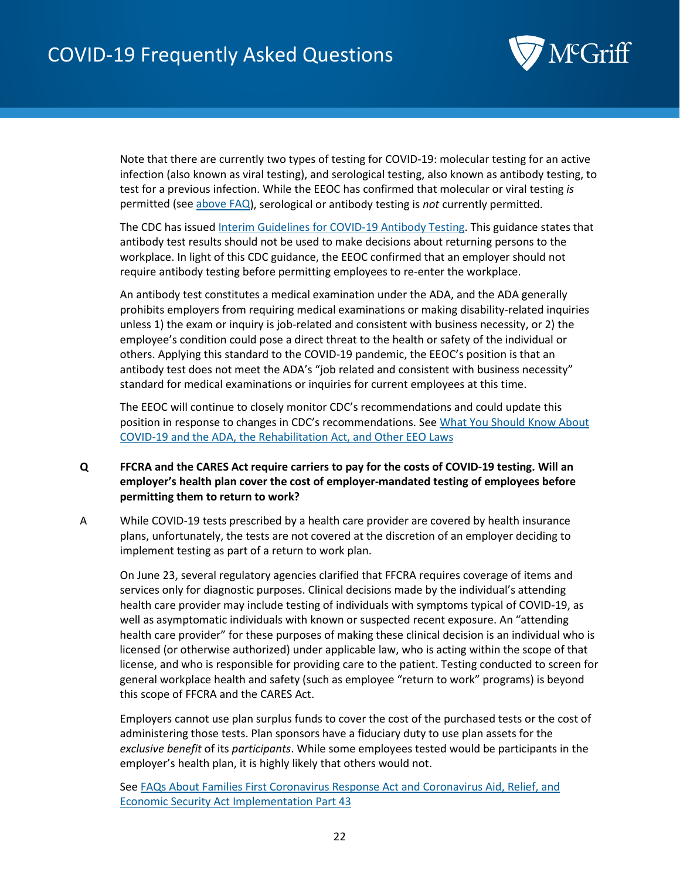

Note that there are currently two types of testing for COVID-19: molecular testing for an active infection (also known as viral testing), and serological testing, also known as antibody testing, to test for a previous infection. While the EEOC has confirmed that molecular or viral testing *is* permitted (se[e above FAQ\)](#page-20-3), serological or antibody testing is *not* currently permitted.

The CDC has issue[d Interim Guidelines for COVID-19 Antibody Testing.](https://www.cdc.gov/coronavirus/2019-ncov/lab/resources/antibody-tests-guidelines.html) This guidance states that antibody test results should not be used to make decisions about returning persons to the workplace. In light of this CDC guidance, the EEOC confirmed that an employer should not require antibody testing before permitting employees to re-enter the workplace.

An antibody test constitutes a medical examination under the ADA, and the ADA generally prohibits employers from requiring medical examinations or making disability-related inquiries unless 1) the exam or inquiry is job-related and consistent with business necessity, or 2) the employee's condition could pose a direct threat to the health or safety of the individual or others. Applying this standard to the COVID-19 pandemic, the EEOC's position is that an antibody test does not meet the ADA's "job related and consistent with business necessity" standard for medical examinations or inquiries for current employees at this time.

The EEOC will continue to closely monitor CDC's recommendations and could update this position in response to changes in CDC's recommendations. See [What You Should Know About](https://www.eeoc.gov/wysk/what-you-should-know-about-covid-19-and-ada-rehabilitation-act-and-other-eeo-laws)  [COVID-19 and the ADA, the Rehabilitation Act, and Other EEO Laws](https://www.eeoc.gov/wysk/what-you-should-know-about-covid-19-and-ada-rehabilitation-act-and-other-eeo-laws)

#### <span id="page-21-0"></span>**Q FFCRA and the CARES Act require carriers to pay for the costs of COVID-19 testing. Will an employer's health plan cover the cost of employer-mandated testing of employees before permitting them to return to work?**

A While COVID-19 tests prescribed by a health care provider are covered by health insurance plans, unfortunately, the tests are not covered at the discretion of an employer deciding to implement testing as part of a return to work plan.

On June 23, several regulatory agencies clarified that FFCRA requires coverage of items and services only for diagnostic purposes. Clinical decisions made by the individual's attending health care provider may include testing of individuals with symptoms typical of COVID-19, as well as asymptomatic individuals with known or suspected recent exposure. An "attending health care provider" for these purposes of making these clinical decision is an individual who is licensed (or otherwise authorized) under applicable law, who is acting within the scope of that license, and who is responsible for providing care to the patient. Testing conducted to screen for general workplace health and safety (such as employee "return to work" programs) is beyond this scope of FFCRA and the CARES Act.

Employers cannot use plan surplus funds to cover the cost of the purchased tests or the cost of administering those tests. Plan sponsors have a fiduciary duty to use plan assets for the *exclusive benefit* of its *participants*. While some employees tested would be participants in the employer's health plan, it is highly likely that others would not.

Se[e FAQs About Families First Coronavirus Response Act and Coronavirus Aid, Relief, and](https://www.dol.gov/sites/dolgov/files/ebsa/about-ebsa/our-activities/resource-center/faqs/aca-part-43.pdf)  [Economic Security Act Implementation Part 43](https://www.dol.gov/sites/dolgov/files/ebsa/about-ebsa/our-activities/resource-center/faqs/aca-part-43.pdf)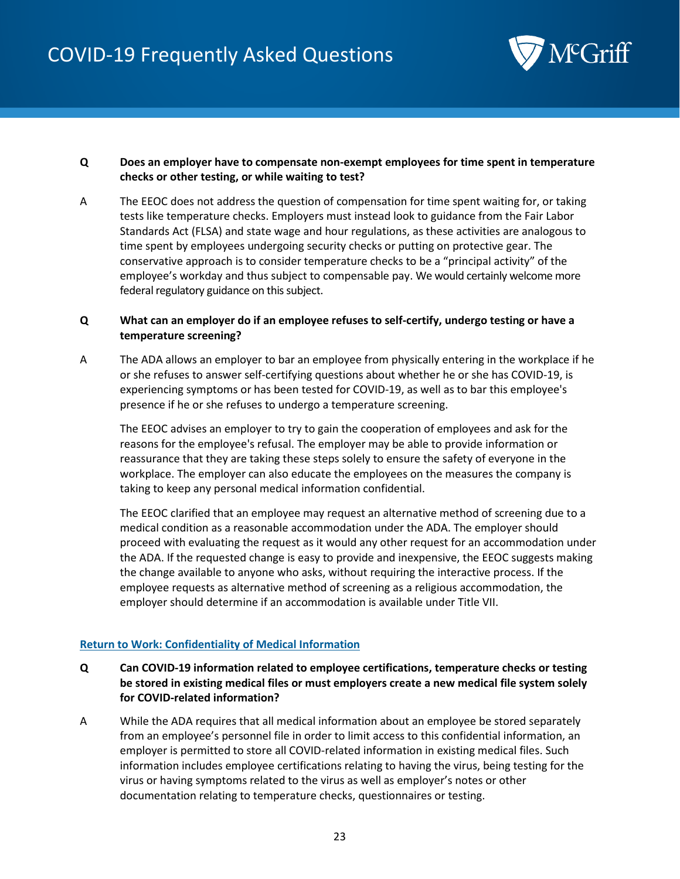

#### <span id="page-22-0"></span>**Q Does an employer have to compensate non-exempt employees for time spent in temperature checks or other testing, or while waiting to test?**

A The EEOC does not address the question of compensation for time spent waiting for, or taking tests like temperature checks. Employers must instead look to guidance from the Fair Labor Standards Act (FLSA) and state wage and hour regulations, as these activities are analogous to time spent by employees undergoing security checks or putting on protective gear. The conservative approach is to consider temperature checks to be a "principal activity" of the employee's workday and thus subject to compensable pay. We would certainly welcome more federal regulatory guidance on this subject.

#### <span id="page-22-1"></span>**Q What can an employer do if an employee refuses to self-certify, undergo testing or have a temperature screening?**

A The ADA allows an employer to bar an employee from physically entering in the workplace if he or she refuses to answer self-certifying questions about whether he or she has COVID-19, is experiencing symptoms or has been tested for COVID-19, as well as to bar this employee's presence if he or she refuses to undergo a temperature screening.

The EEOC advises an employer to try to gain the cooperation of employees and ask for the reasons for the employee's refusal. The employer may be able to provide information or reassurance that they are taking these steps solely to ensure the safety of everyone in the workplace. The employer can also educate the employees on the measures the company is taking to keep any personal medical information confidential.

The EEOC clarified that an employee may request an alternative method of screening due to a medical condition as a reasonable accommodation under the ADA. The employer should proceed with evaluating the request as it would any other request for an accommodation under the ADA. If the requested change is easy to provide and inexpensive, the EEOC suggests making the change available to anyone who asks, without requiring the interactive process. If the employee requests as alternative method of screening as a religious accommodation, the employer should determine if an accommodation is available under Title VII.

#### <span id="page-22-2"></span>**Return to Work: Confidentiality of Medical Information**

- <span id="page-22-3"></span>**Q Can COVID-19 information related to employee certifications, temperature checks or testing be stored in existing medical files or must employers create a new medical file system solely for COVID-related information?**
- A While the ADA requires that all medical information about an employee be stored separately from an employee's personnel file in order to limit access to this confidential information, an employer is permitted to store all COVID-related information in existing medical files. Such information includes employee certifications relating to having the virus, being testing for the virus or having symptoms related to the virus as well as employer's notes or other documentation relating to temperature checks, questionnaires or testing.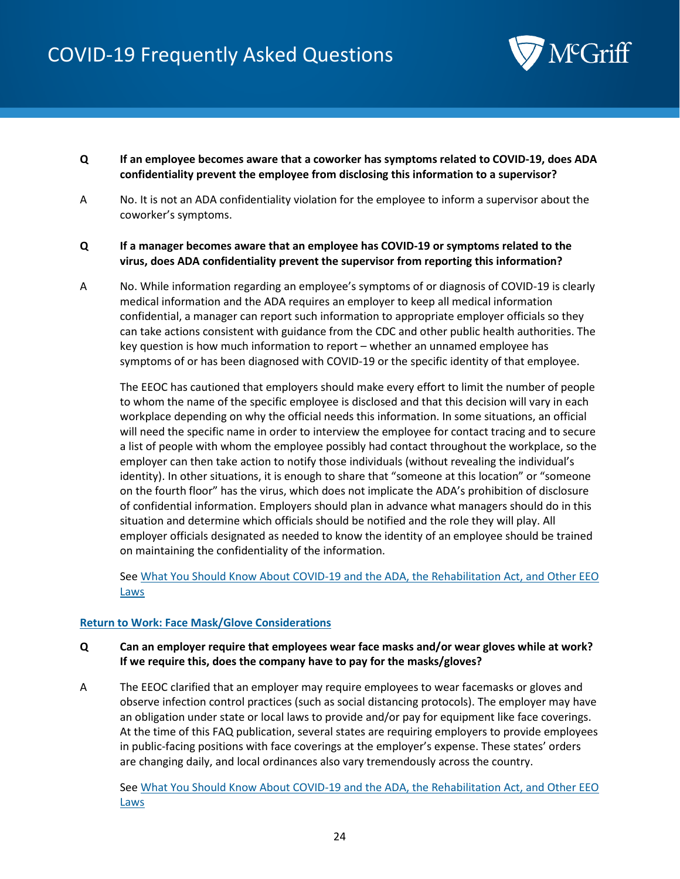

- <span id="page-23-0"></span>**Q If an employee becomes aware that a coworker has symptoms related to COVID-19, does ADA confidentiality prevent the employee from disclosing this information to a supervisor?**
- A No. It is not an ADA confidentiality violation for the employee to inform a supervisor about the coworker's symptoms.

#### <span id="page-23-1"></span>**Q If a manager becomes aware that an employee has COVID-19 or symptoms related to the virus, does ADA confidentiality prevent the supervisor from reporting this information?**

A No. While information regarding an employee's symptoms of or diagnosis of COVID-19 is clearly medical information and the ADA requires an employer to keep all medical information confidential, a manager can report such information to appropriate employer officials so they can take actions consistent with guidance from the CDC and other public health authorities. The key question is how much information to report – whether an unnamed employee has symptoms of or has been diagnosed with COVID-19 or the specific identity of that employee.

The EEOC has cautioned that employers should make every effort to limit the number of people to whom the name of the specific employee is disclosed and that this decision will vary in each workplace depending on why the official needs this information. In some situations, an official will need the specific name in order to interview the employee for contact tracing and to secure a list of people with whom the employee possibly had contact throughout the workplace, so the employer can then take action to notify those individuals (without revealing the individual's identity). In other situations, it is enough to share that "someone at this location" or "someone on the fourth floor" has the virus, which does not implicate the ADA's prohibition of disclosure of confidential information. Employers should plan in advance what managers should do in this situation and determine which officials should be notified and the role they will play. All employer officials designated as needed to know the identity of an employee should be trained on maintaining the confidentiality of the information.

Se[e What You Should Know About COVID-19 and the ADA, the Rehabilitation Act, and Other EEO](https://www.eeoc.gov/wysk/what-you-should-know-about-covid-19-and-ada-rehabilitation-act-and-other-eeo-laws)  [Laws](https://www.eeoc.gov/wysk/what-you-should-know-about-covid-19-and-ada-rehabilitation-act-and-other-eeo-laws)

#### <span id="page-23-2"></span>**Return to Work: Face Mask/Glove Considerations**

- <span id="page-23-3"></span>**Q Can an employer require that employees wear face masks and/or wear gloves while at work? If we require this, does the company have to pay for the masks/gloves?**
- A The EEOC clarified that an employer may require employees to wear facemasks or gloves and observe infection control practices (such as social distancing protocols). The employer may have an obligation under state or local laws to provide and/or pay for equipment like face coverings. At the time of this FAQ publication, several states are requiring employers to provide employees in public-facing positions with face coverings at the employer's expense. These states' orders are changing daily, and local ordinances also vary tremendously across the country.

Se[e What You Should Know About COVID-19 and the ADA, the Rehabilitation Act, and Other EEO](https://www.eeoc.gov/wysk/what-you-should-know-about-covid-19-and-ada-rehabilitation-act-and-other-eeo-laws)  [Laws](https://www.eeoc.gov/wysk/what-you-should-know-about-covid-19-and-ada-rehabilitation-act-and-other-eeo-laws)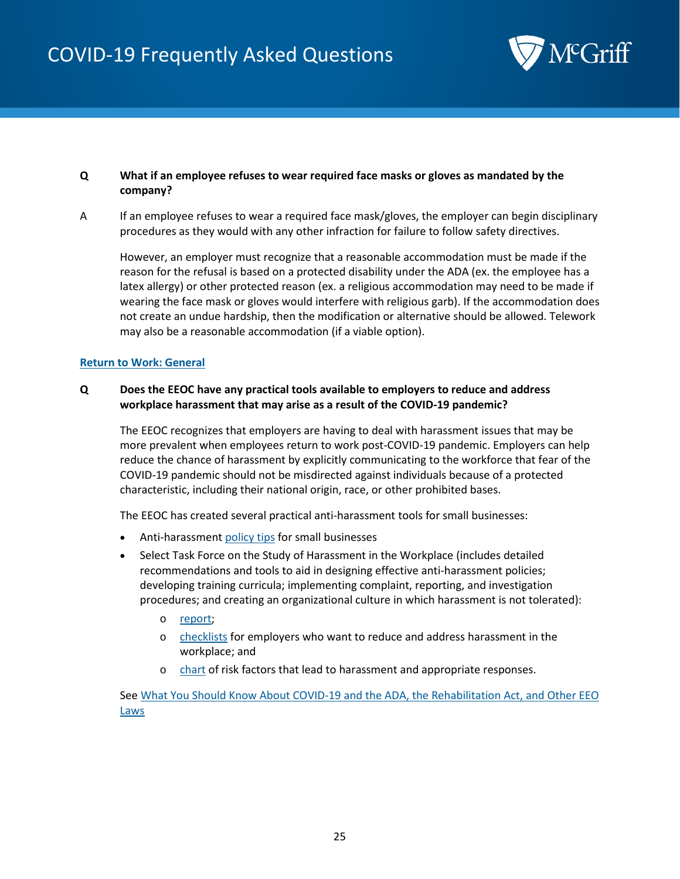

#### <span id="page-24-0"></span>**Q What if an employee refuses to wear required face masks or gloves as mandated by the company?**

A If an employee refuses to wear a required face mask/gloves, the employer can begin disciplinary procedures as they would with any other infraction for failure to follow safety directives.

However, an employer must recognize that a reasonable accommodation must be made if the reason for the refusal is based on a protected disability under the ADA (ex. the employee has a latex allergy) or other protected reason (ex. a religious accommodation may need to be made if wearing the face mask or gloves would interfere with religious garb). If the accommodation does not create an undue hardship, then the modification or alternative should be allowed. Telework may also be a reasonable accommodation (if a viable option).

#### <span id="page-24-2"></span><span id="page-24-1"></span>**Return to Work: General**

#### **Q Does the EEOC have any practical tools available to employers to reduce and address workplace harassment that may arise as a result of the COVID-19 pandemic?**

The EEOC recognizes that employers are having to deal with harassment issues that may be more prevalent when employees return to work post-COVID-19 pandemic. Employers can help reduce the chance of harassment by explicitly communicating to the workforce that fear of the COVID-19 pandemic should not be misdirected against individuals because of a protected characteristic, including their national origin, race, or other prohibited bases.

The EEOC has created several practical anti-harassment tools for small businesses:

- Anti-harassment [policy tips](https://www.eeoc.gov/employers/small-business/harassment-policy-tips) for small businesses
- Select Task Force on the Study of Harassment in the Workplace (includes detailed recommendations and tools to aid in designing effective anti-harassment policies; developing training curricula; implementing complaint, reporting, and investigation procedures; and creating an organizational culture in which harassment is not tolerated):
	- o [report;](https://www.eeoc.gov/select-task-force-study-harassment-workplace)
	- o [checklists](https://www.eeoc.gov/select-task-force-study-harassment-workplace#_Toc453686319) for employers who want to reduce and address harassment in the workplace; and
	- o [chart](https://www.eeoc.gov/chart-risk-factors-harassment-and-responsive-strategies) of risk factors that lead to harassment and appropriate responses.

Se[e What You Should Know About COVID-19 and the ADA, the Rehabilitation Act, and Other EEO](https://www.eeoc.gov/wysk/what-you-should-know-about-covid-19-and-ada-rehabilitation-act-and-other-eeo-laws)  [Laws](https://www.eeoc.gov/wysk/what-you-should-know-about-covid-19-and-ada-rehabilitation-act-and-other-eeo-laws)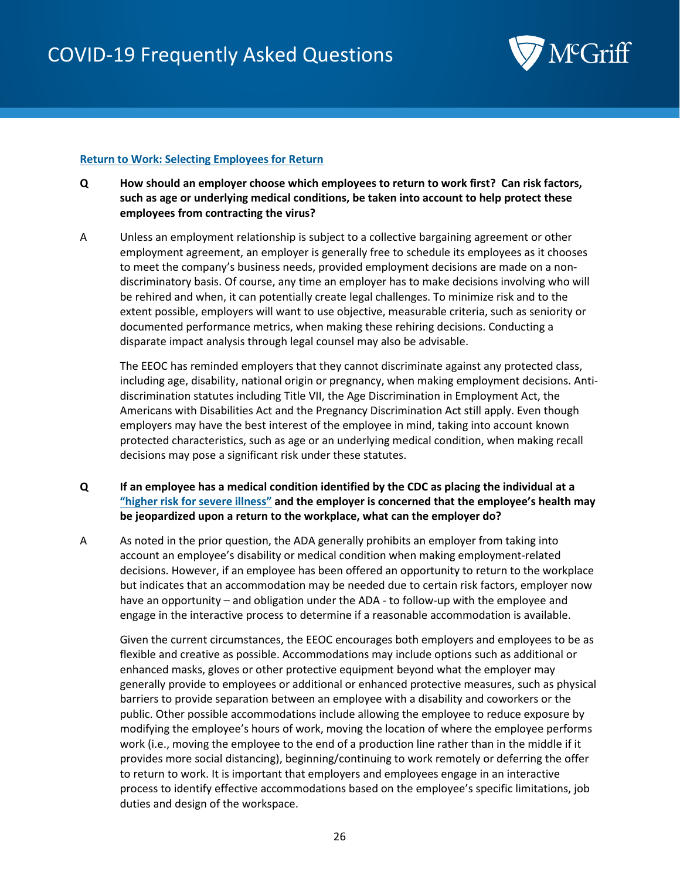

#### <span id="page-25-0"></span>**Return to Work: Selecting Employees for Return**

- <span id="page-25-3"></span><span id="page-25-1"></span>**Q How should an employer choose which employees to return to work first? Can risk factors, such as age or underlying medical conditions, be taken into account to help protect these employees from contracting the virus?**
- A Unless an employment relationship is subject to a collective bargaining agreement or other employment agreement, an employer is generally free to schedule its employees as it chooses to meet the company's business needs, provided employment decisions are made on a nondiscriminatory basis. Of course, any time an employer has to make decisions involving who will be rehired and when, it can potentially create legal challenges. To minimize risk and to the extent possible, employers will want to use objective, measurable criteria, such as seniority or documented performance metrics, when making these rehiring decisions. Conducting a disparate impact analysis through legal counsel may also be advisable.

The EEOC has reminded employers that they cannot discriminate against any protected class, including age, disability, national origin or pregnancy, when making employment decisions. Antidiscrimination statutes including Title VII, the Age Discrimination in Employment Act, the Americans with Disabilities Act and the Pregnancy Discrimination Act still apply. Even though employers may have the best interest of the employee in mind, taking into account known protected characteristics, such as age or an underlying medical condition, when making recall decisions may pose a significant risk under these statutes.

- <span id="page-25-2"></span>**Q If an employee has a medical condition identified by the CDC as placing the individual at a ["higher risk for severe illness"](https://www.cdc.gov/coronavirus/2019-ncov/need-extra-precautions/people-at-higher-risk.html) and the employer is concerned that the employee's health may be jeopardized upon a return to the workplace, what can the employer do?**
- A As noted in the prior question, the ADA generally prohibits an employer from taking into account an employee's disability or medical condition when making employment-related decisions. However, if an employee has been offered an opportunity to return to the workplace but indicates that an accommodation may be needed due to certain risk factors, employer now have an opportunity – and obligation under the ADA - to follow-up with the employee and engage in the interactive process to determine if a reasonable accommodation is available.

Given the current circumstances, the EEOC encourages both employers and employees to be as flexible and creative as possible. Accommodations may include options such as additional or enhanced masks, gloves or other protective equipment beyond what the employer may generally provide to employees or additional or enhanced protective measures, such as physical barriers to provide separation between an employee with a disability and coworkers or the public. Other possible accommodations include allowing the employee to reduce exposure by modifying the employee's hours of work, moving the location of where the employee performs work (i.e., moving the employee to the end of a production line rather than in the middle if it provides more social distancing), beginning/continuing to work remotely or deferring the offer to return to work. It is important that employers and employees engage in an interactive process to identify effective accommodations based on the employee's specific limitations, job duties and design of the workspace.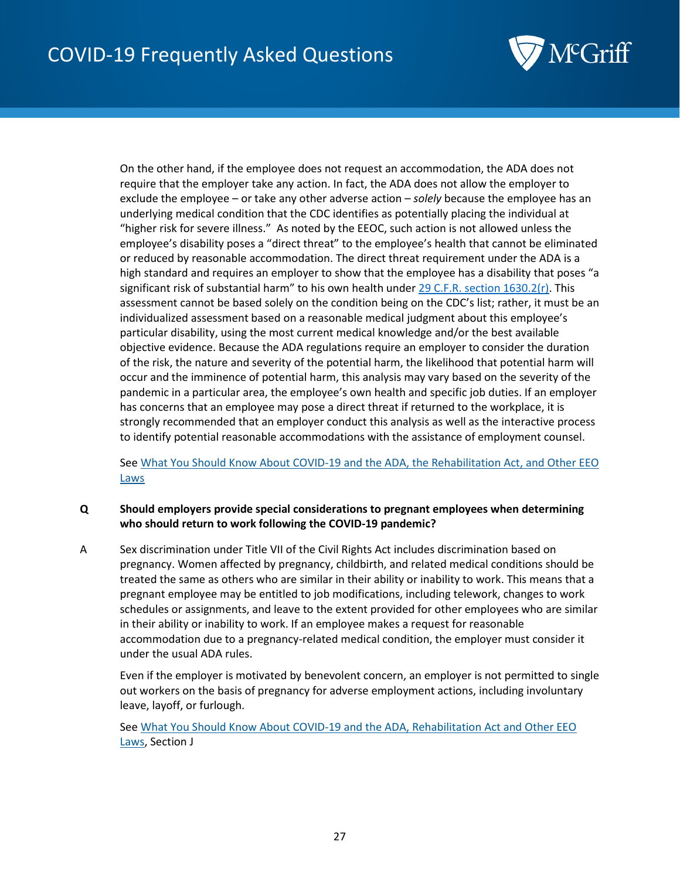

On the other hand, if the employee does not request an accommodation, the ADA does not require that the employer take any action. In fact, the ADA does not allow the employer to exclude the employee – or take any other adverse action – *solely* because the employee has an underlying medical condition that the CDC identifies as potentially placing the individual at "higher risk for severe illness." As noted by the EEOC, such action is not allowed unless the employee's disability poses a "direct threat" to the employee's health that cannot be eliminated or reduced by reasonable accommodation. The direct threat requirement under the ADA is a high standard and requires an employer to show that the employee has a disability that poses "a significant risk of substantial harm" to his own health under [29 C.F.R. section 1630.2\(r\).](https://www.ecfr.gov/cgi-bin/text-idx?SID=28cadc4b7b37847fd37f41f8574b5921&mc=true&node=pt29.4.1630&rgn=div5#se29.4.1630_12) This assessment cannot be based solely on the condition being on the CDC's list; rather, it must be an individualized assessment based on a reasonable medical judgment about this employee's particular disability, using the most current medical knowledge and/or the best available objective evidence. Because the ADA regulations require an employer to consider the duration of the risk, the nature and severity of the potential harm, the likelihood that potential harm will occur and the imminence of potential harm, this analysis may vary based on the severity of the pandemic in a particular area, the employee's own health and specific job duties. If an employer has concerns that an employee may pose a direct threat if returned to the workplace, it is strongly recommended that an employer conduct this analysis as well as the interactive process to identify potential reasonable accommodations with the assistance of employment counsel.

Se[e What You Should Know About COVID-19 and the ADA, the Rehabilitation Act, and Other EEO](https://www.eeoc.gov/wysk/what-you-should-know-about-covid-19-and-ada-rehabilitation-act-and-other-eeo-laws)  [Laws](https://www.eeoc.gov/wysk/what-you-should-know-about-covid-19-and-ada-rehabilitation-act-and-other-eeo-laws)

#### <span id="page-26-0"></span>**Q Should employers provide special considerations to pregnant employees when determining who should return to work following the COVID-19 pandemic?**

A Sex discrimination under Title VII of the Civil Rights Act includes discrimination based on pregnancy. Women affected by pregnancy, childbirth, and related medical conditions should be treated the same as others who are similar in their ability or inability to work. This means that a pregnant employee may be entitled to job modifications, including telework, changes to work schedules or assignments, and leave to the extent provided for other employees who are similar in their ability or inability to work. If an employee makes a request for reasonable accommodation due to a pregnancy-related medical condition, the employer must consider it under the usual ADA rules.

Even if the employer is motivated by benevolent concern, an employer is not permitted to single out workers on the basis of pregnancy for adverse employment actions, including involuntary leave, layoff, or furlough.

See [What You Should Know About COVID-19 and the ADA, Rehabilitation Act and Other EEO](https://www.eeoc.gov/wysk/what-you-should-know-about-covid-19-and-ada-rehabilitation-act-and-other-eeo-laws)  [Laws,](https://www.eeoc.gov/wysk/what-you-should-know-about-covid-19-and-ada-rehabilitation-act-and-other-eeo-laws) Section J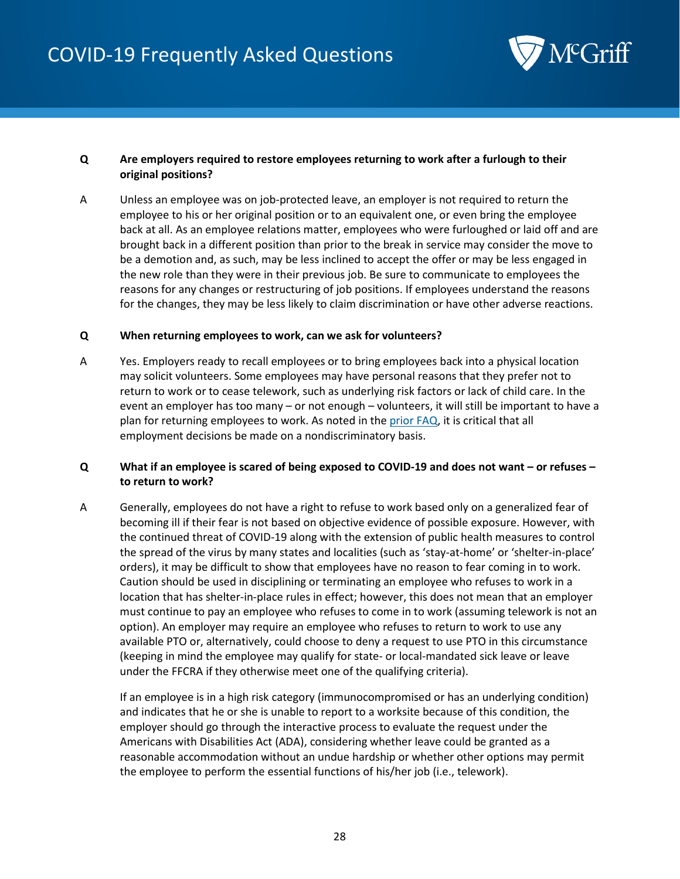

#### <span id="page-27-0"></span>**Q Are employers required to restore employees returning to work after a furlough to their original positions?**

A Unless an employee was on job-protected leave, an employer is not required to return the employee to his or her original position or to an equivalent one, or even bring the employee back at all. As an employee relations matter, employees who were furloughed or laid off and are brought back in a different position than prior to the break in service may consider the move to be a demotion and, as such, may be less inclined to accept the offer or may be less engaged in the new role than they were in their previous job. Be sure to communicate to employees the reasons for any changes or restructuring of job positions. If employees understand the reasons for the changes, they may be less likely to claim discrimination or have other adverse reactions.

#### <span id="page-27-1"></span>**Q When returning employees to work, can we ask for volunteers?**

A Yes. Employers ready to recall employees or to bring employees back into a physical location may solicit volunteers. Some employees may have personal reasons that they prefer not to return to work or to cease telework, such as underlying risk factors or lack of child care. In the event an employer has too many – or not enough – volunteers, it will still be important to have a plan for returning employees to work. As noted in the [prior FAQ,](#page-25-3) it is critical that all employment decisions be made on a nondiscriminatory basis.

#### <span id="page-27-2"></span>**Q What if an employee is scared of being exposed to COVID-19 and does not want – or refuses – to return to work?**

A Generally, employees do not have a right to refuse to work based only on a generalized fear of becoming ill if their fear is not based on objective evidence of possible exposure. However, with the continued threat of COVID-19 along with the extension of public health measures to control the spread of the virus by many states and localities (such as 'stay-at-home' or 'shelter-in-place' orders), it may be difficult to show that employees have no reason to fear coming in to work. Caution should be used in disciplining or terminating an employee who refuses to work in a location that has shelter-in-place rules in effect; however, this does not mean that an employer must continue to pay an employee who refuses to come in to work (assuming telework is not an option). An employer may require an employee who refuses to return to work to use any available PTO or, alternatively, could choose to deny a request to use PTO in this circumstance (keeping in mind the employee may qualify for state- or local-mandated sick leave or leave under the FFCRA if they otherwise meet one of the qualifying criteria).

If an employee is in a high risk category (immunocompromised or has an underlying condition) and indicates that he or she is unable to report to a worksite because of this condition, the employer should go through the interactive process to evaluate the request under the Americans with Disabilities Act (ADA), considering whether leave could be granted as a reasonable accommodation without an undue hardship or whether other options may permit the employee to perform the essential functions of his/her job (i.e., telework).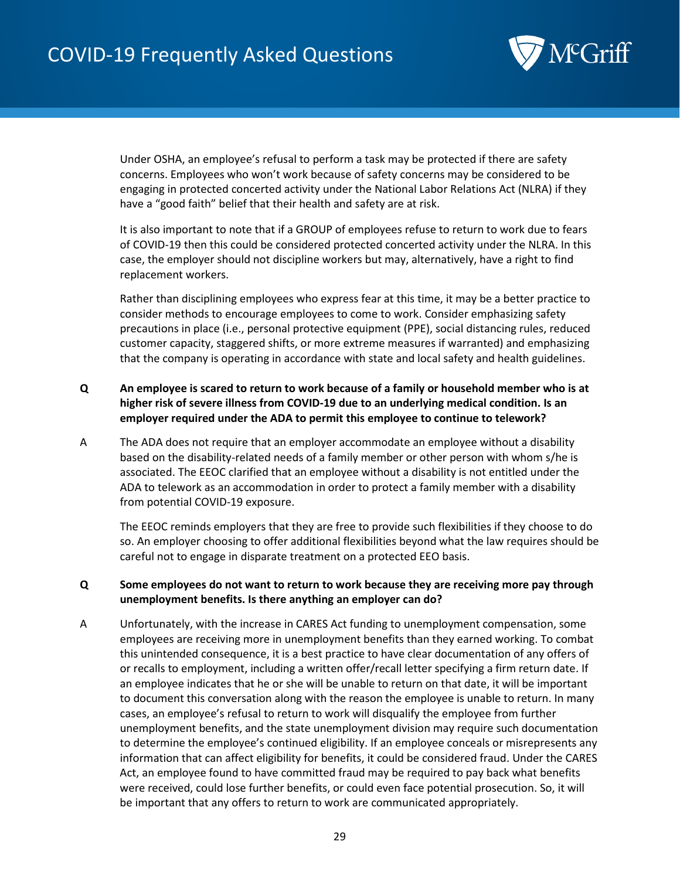

Under OSHA, an employee's refusal to perform a task may be protected if there are safety concerns. Employees who won't work because of safety concerns may be considered to be engaging in protected concerted activity under the National Labor Relations Act (NLRA) if they have a "good faith" belief that their health and safety are at risk.

It is also important to note that if a GROUP of employees refuse to return to work due to fears of COVID-19 then this could be considered protected concerted activity under the NLRA. In this case, the employer should not discipline workers but may, alternatively, have a right to find replacement workers.

Rather than disciplining employees who express fear at this time, it may be a better practice to consider methods to encourage employees to come to work. Consider emphasizing safety precautions in place (i.e., personal protective equipment (PPE), social distancing rules, reduced customer capacity, staggered shifts, or more extreme measures if warranted) and emphasizing that the company is operating in accordance with state and local safety and health guidelines.

#### <span id="page-28-0"></span>**Q An employee is scared to return to work because of a family or household member who is at higher risk of severe illness from COVID-19 due to an underlying medical condition. Is an employer required under the ADA to permit this employee to continue to telework?**

A The ADA does not require that an employer accommodate an employee without a disability based on the disability-related needs of a family member or other person with whom s/he is associated. The EEOC clarified that an employee without a disability is not entitled under the ADA to telework as an accommodation in order to protect a family member with a disability from potential COVID-19 exposure.

The EEOC reminds employers that they are free to provide such flexibilities if they choose to do so. An employer choosing to offer additional flexibilities beyond what the law requires should be careful not to engage in disparate treatment on a protected EEO basis.

#### <span id="page-28-1"></span>**Q Some employees do not want to return to work because they are receiving more pay through unemployment benefits. Is there anything an employer can do?**

A Unfortunately, with the increase in CARES Act funding to unemployment compensation, some employees are receiving more in unemployment benefits than they earned working. To combat this unintended consequence, it is a best practice to have clear documentation of any offers of or recalls to employment, including a written offer/recall letter specifying a firm return date. If an employee indicates that he or she will be unable to return on that date, it will be important to document this conversation along with the reason the employee is unable to return. In many cases, an employee's refusal to return to work will disqualify the employee from further unemployment benefits, and the state unemployment division may require such documentation to determine the employee's continued eligibility. If an employee conceals or misrepresents any information that can affect eligibility for benefits, it could be considered fraud. Under the CARES Act, an employee found to have committed fraud may be required to pay back what benefits were received, could lose further benefits, or could even face potential prosecution. So, it will be important that any offers to return to work are communicated appropriately.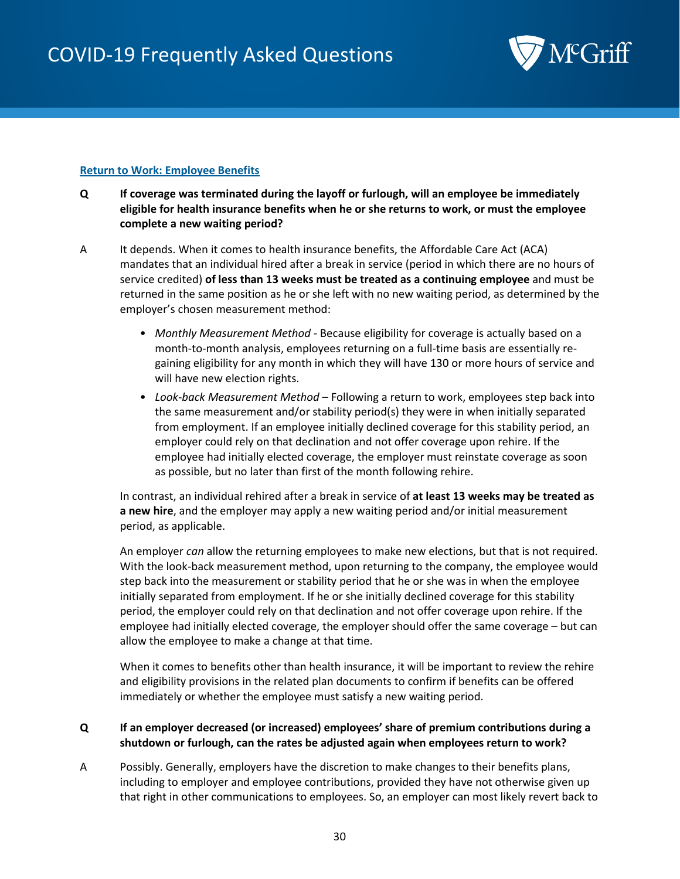

#### <span id="page-29-0"></span>**Return to Work: Employee Benefits**

- <span id="page-29-1"></span>**Q If coverage was terminated during the layoff or furlough, will an employee be immediately eligible for health insurance benefits when he or she returns to work, or must the employee complete a new waiting period?**
- A It depends. When it comes to health insurance benefits, the Affordable Care Act (ACA) mandates that an individual hired after a break in service (period in which there are no hours of service credited) **of less than 13 weeks must be treated as a continuing employee** and must be returned in the same position as he or she left with no new waiting period, as determined by the employer's chosen measurement method:
	- *Monthly Measurement Method* Because eligibility for coverage is actually based on a month-to-month analysis, employees returning on a full-time basis are essentially regaining eligibility for any month in which they will have 130 or more hours of service and will have new election rights.
	- *Look-back Measurement Method* Following a return to work, employees step back into the same measurement and/or stability period(s) they were in when initially separated from employment. If an employee initially declined coverage for this stability period, an employer could rely on that declination and not offer coverage upon rehire. If the employee had initially elected coverage, the employer must reinstate coverage as soon as possible, but no later than first of the month following rehire.

In contrast, an individual rehired after a break in service of **at least 13 weeks may be treated as a new hire**, and the employer may apply a new waiting period and/or initial measurement period, as applicable.

An employer *can* allow the returning employees to make new elections, but that is not required. With the look-back measurement method, upon returning to the company, the employee would step back into the measurement or stability period that he or she was in when the employee initially separated from employment. If he or she initially declined coverage for this stability period, the employer could rely on that declination and not offer coverage upon rehire. If the employee had initially elected coverage, the employer should offer the same coverage – but can allow the employee to make a change at that time.

When it comes to benefits other than health insurance, it will be important to review the rehire and eligibility provisions in the related plan documents to confirm if benefits can be offered immediately or whether the employee must satisfy a new waiting period.

#### <span id="page-29-2"></span>**Q If an employer decreased (or increased) employees' share of premium contributions during a shutdown or furlough, can the rates be adjusted again when employees return to work?**

A Possibly. Generally, employers have the discretion to make changes to their benefits plans, including to employer and employee contributions, provided they have not otherwise given up that right in other communications to employees. So, an employer can most likely revert back to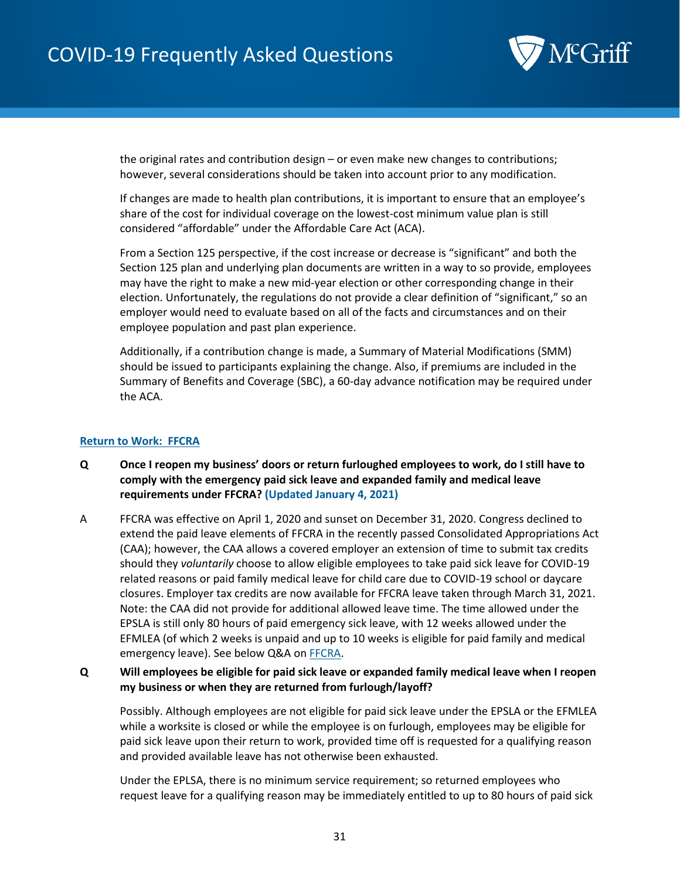

the original rates and contribution design – or even make new changes to contributions; however, several considerations should be taken into account prior to any modification.

If changes are made to health plan contributions, it is important to ensure that an employee's share of the cost for individual coverage on the lowest-cost minimum value plan is still considered "affordable" under the Affordable Care Act (ACA).

From a Section 125 perspective, if the cost increase or decrease is "significant" and both the Section 125 plan and underlying plan documents are written in a way to so provide, employees may have the right to make a new mid-year election or other corresponding change in their election. Unfortunately, the regulations do not provide a clear definition of "significant," so an employer would need to evaluate based on all of the facts and circumstances and on their employee population and past plan experience.

Additionally, if a contribution change is made, a Summary of Material Modifications (SMM) should be issued to participants explaining the change. Also, if premiums are included in the Summary of Benefits and Coverage (SBC), a 60-day advance notification may be required under the ACA.

#### <span id="page-30-0"></span>**Return to Work: FFCRA**

- <span id="page-30-1"></span>**Q Once I reopen my business' doors or return furloughed employees to work, do I still have to comply with the emergency paid sick leave and expanded family and medical leave requirements under FFCRA? (Updated January 4, 2021)**
- A FFCRA was effective on April 1, 2020 and sunset on December 31, 2020. Congress declined to extend the paid leave elements of FFCRA in the recently passed Consolidated Appropriations Act (CAA); however, the CAA allows a covered employer an extension of time to submit tax credits should they *voluntarily* choose to allow eligible employees to take paid sick leave for COVID-19 related reasons or paid family medical leave for child care due to COVID-19 school or daycare closures. Employer tax credits are now available for FFCRA leave taken through March 31, 2021. Note: the CAA did not provide for additional allowed leave time. The time allowed under the EPSLA is still only 80 hours of paid emergency sick leave, with 12 weeks allowed under the EFMLEA (of which 2 weeks is unpaid and up to 10 weeks is eligible for paid family and medical emergency leave). See below Q&A o[n FFCRA.](#page-53-1)

#### <span id="page-30-2"></span>**Q Will employees be eligible for paid sick leave or expanded family medical leave when I reopen my business or when they are returned from furlough/layoff?**

Possibly. Although employees are not eligible for paid sick leave under the EPSLA or the EFMLEA while a worksite is closed or while the employee is on furlough, employees may be eligible for paid sick leave upon their return to work, provided time off is requested for a qualifying reason and provided available leave has not otherwise been exhausted.

Under the EPLSA, there is no minimum service requirement; so returned employees who request leave for a qualifying reason may be immediately entitled to up to 80 hours of paid sick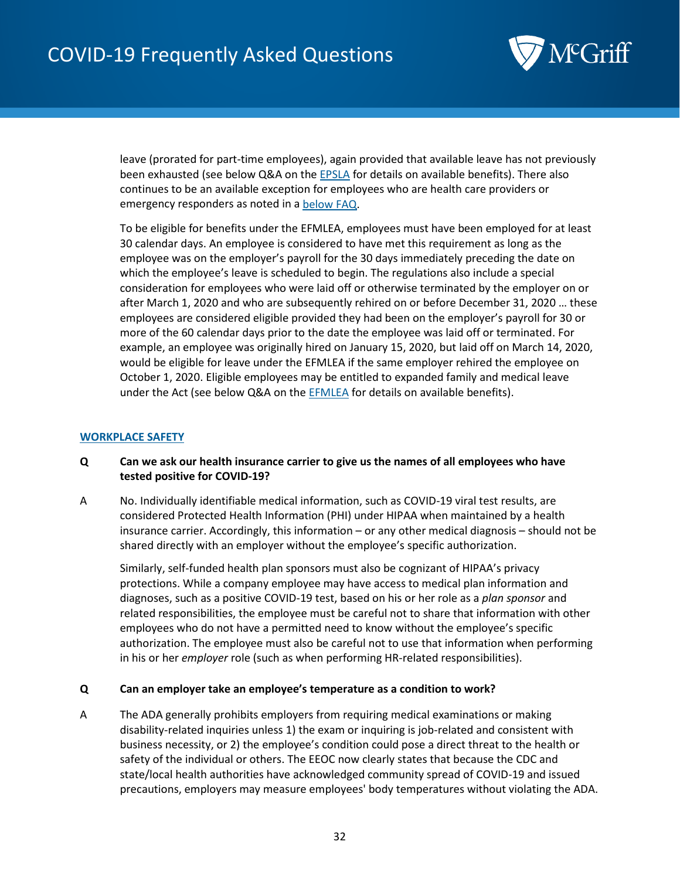

leave (prorated for part-time employees), again provided that available leave has not previously been exhausted (see below Q&A on the [EPSLA](#page-59-0) for details on available benefits). There also continues to be an available exception for employees who are health care providers or emergency responders as noted in [a below](#page-56-1) FAQ.

To be eligible for benefits under the EFMLEA, employees must have been employed for at least 30 calendar days. An employee is considered to have met this requirement as long as the employee was on the employer's payroll for the 30 days immediately preceding the date on which the employee's leave is scheduled to begin. The regulations also include a special consideration for employees who were laid off or otherwise terminated by the employer on or after March 1, 2020 and who are subsequently rehired on or before December 31, 2020 … these employees are considered eligible provided they had been on the employer's payroll for 30 or more of the 60 calendar days prior to the date the employee was laid off or terminated. For example, an employee was originally hired on January 15, 2020, but laid off on March 14, 2020, would be eligible for leave under the EFMLEA if the same employer rehired the employee on October 1, 2020. Eligible employees may be entitled to expanded family and medical leave under the Act (see below Q&A on the [EFMLEA](#page-62-1) for details on available benefits).

#### <span id="page-31-0"></span>**WORKPLACE SAFETY**

#### <span id="page-31-1"></span>**Q Can we ask our health insurance carrier to give us the names of all employees who have tested positive for COVID-19?**

A No. Individually identifiable medical information, such as COVID-19 viral test results, are considered Protected Health Information (PHI) under HIPAA when maintained by a health insurance carrier. Accordingly, this information – or any other medical diagnosis – should not be shared directly with an employer without the employee's specific authorization.

Similarly, self-funded health plan sponsors must also be cognizant of HIPAA's privacy protections. While a company employee may have access to medical plan information and diagnoses, such as a positive COVID-19 test, based on his or her role as a *plan sponsor* and related responsibilities, the employee must be careful not to share that information with other employees who do not have a permitted need to know without the employee's specific authorization. The employee must also be careful not to use that information when performing in his or her *employer* role (such as when performing HR-related responsibilities).

#### <span id="page-31-2"></span>**Q Can an employer take an employee's temperature as a condition to work?**

A The ADA generally prohibits employers from requiring medical examinations or making disability-related inquiries unless 1) the exam or inquiring is job-related and consistent with business necessity, or 2) the employee's condition could pose a direct threat to the health or safety of the individual or others. The EEOC now clearly states that because the CDC and state/local health authorities have acknowledged community spread of COVID-19 and issued precautions, employers may measure employees' body temperatures without violating the ADA.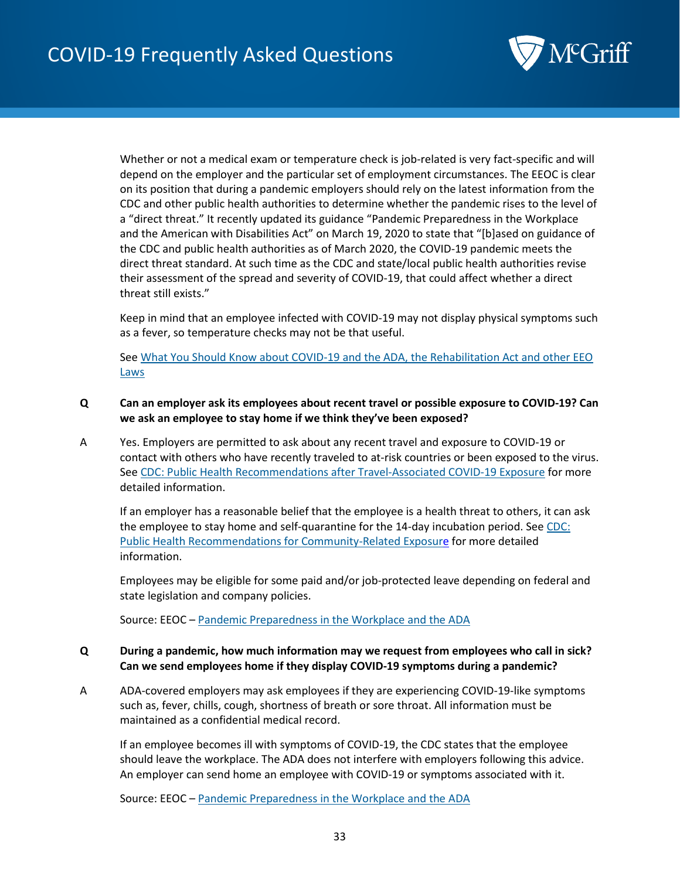

Whether or not a medical exam or temperature check is job-related is very fact-specific and will depend on the employer and the particular set of employment circumstances. The EEOC is clear on its position that during a pandemic employers should rely on the latest information from the CDC and other public health authorities to determine whether the pandemic rises to the level of a "direct threat." It recently updated its guidance "Pandemic Preparedness in the Workplace and the American with Disabilities Act" on March 19, 2020 to state that "[b]ased on guidance of the CDC and public health authorities as of March 2020, the COVID-19 pandemic meets the direct threat standard. At such time as the CDC and state/local public health authorities revise their assessment of the spread and severity of COVID-19, that could affect whether a direct threat still exists."

Keep in mind that an employee infected with COVID-19 may not display physical symptoms such as a fever, so temperature checks may not be that useful.

Se[e What You Should Know about COVID-19 and the ADA, the Rehabilitation Act and other EEO](https://www.eeoc.gov/wysk/what-you-should-know-about-covid-19-and-ada-rehabilitation-act-and-other-eeo-laws)  [Laws](https://www.eeoc.gov/wysk/what-you-should-know-about-covid-19-and-ada-rehabilitation-act-and-other-eeo-laws)

- <span id="page-32-0"></span>**Q Can an employer ask its employees about recent travel or possible exposure to COVID-19? Can we ask an employee to stay home if we think they've been exposed?**
- A Yes. Employers are permitted to ask about any recent travel and exposure to COVID-19 or contact with others who have recently traveled to at-risk countries or been exposed to the virus. Se[e CDC: Public Health Recommendations after Travel-Associated COVID-19 Exposure](https://www.cdc.gov/coronavirus/2019-ncov/php/risk-assessment.html) for more detailed information.

If an employer has a reasonable belief that the employee is a health threat to others, it can ask the employee to stay home and self-quarantine for the 14-day incubation period. See [CDC:](https://www.cdc.gov/coronavirus/2019-ncov/php/public-health-recommendations.html)  [Public Health Recommendations for Community-Related Exposure](https://www.cdc.gov/coronavirus/2019-ncov/php/public-health-recommendations.html) for more detailed information.

Employees may be eligible for some paid and/or job-protected leave depending on federal and state legislation and company policies.

Source: EEOC – [Pandemic Preparedness in the Workplace and the ADA](https://www.eeoc.gov/facts/pandemic_flu.html)

#### <span id="page-32-1"></span>**Q During a pandemic, how much information may we request from employees who call in sick? Can we send employees home if they display COVID-19 symptoms during a pandemic?**

A ADA-covered employers may ask employees if they are experiencing COVID-19-like symptoms such as, fever, chills, cough, shortness of breath or sore throat. All information must be maintained as a confidential medical record.

If an employee becomes ill with symptoms of COVID-19, the CDC states that the employee should leave the workplace. The ADA does not interfere with employers following this advice. An employer can send home an employee with COVID-19 or symptoms associated with it.

Source: EEOC – [Pandemic Preparedness in the Workplace and the ADA](https://www.eeoc.gov/facts/pandemic_flu.html)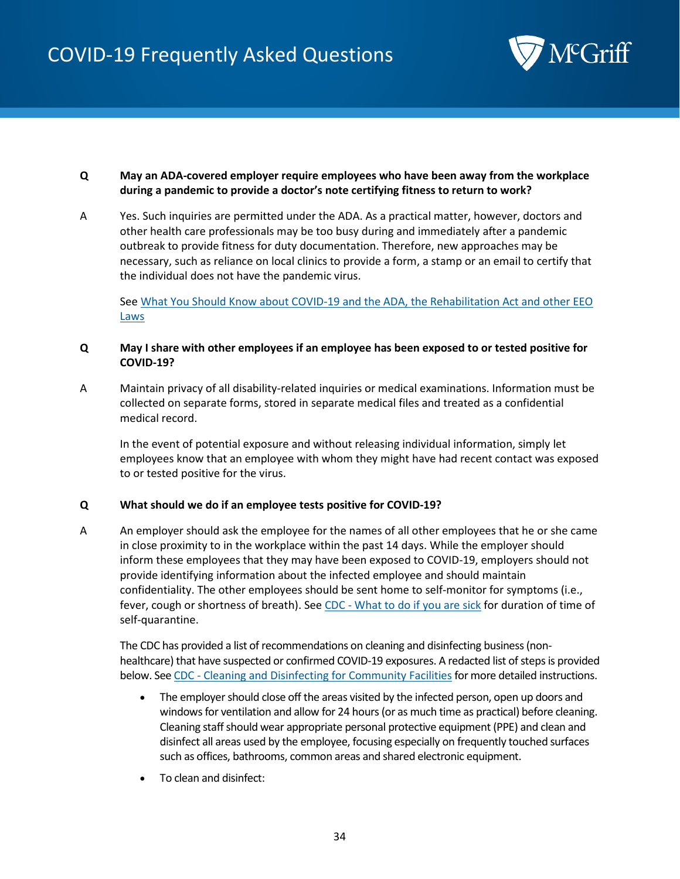

#### <span id="page-33-0"></span>**Q May an ADA-covered employer require employees who have been away from the workplace during a pandemic to provide a doctor's note certifying fitness to return to work?**

A Yes. Such inquiries are permitted under the ADA. As a practical matter, however, doctors and other health care professionals may be too busy during and immediately after a pandemic outbreak to provide fitness for duty documentation. Therefore, new approaches may be necessary, such as reliance on local clinics to provide a form, a stamp or an email to certify that the individual does not have the pandemic virus.

Se[e What You Should Know about COVID-19 and the ADA, the Rehabilitation Act and other EEO](https://www.eeoc.gov/wysk/what-you-should-know-about-covid-19-and-ada-rehabilitation-act-and-other-eeo-laws)  **[Laws](https://www.eeoc.gov/wysk/what-you-should-know-about-covid-19-and-ada-rehabilitation-act-and-other-eeo-laws)** 

#### <span id="page-33-1"></span>**Q May I share with other employees if an employee has been exposed to or tested positive for COVID-19?**

A Maintain privacy of all disability-related inquiries or medical examinations. Information must be collected on separate forms, stored in separate medical files and treated as a confidential medical record.

In the event of potential exposure and without releasing individual information, simply let employees know that an employee with whom they might have had recent contact was exposed to or tested positive for the virus.

#### <span id="page-33-2"></span>**Q What should we do if an employee tests positive for COVID-19?**

A An employer should ask the employee for the names of all other employees that he or she came in close proximity to in the workplace within the past 14 days. While the employer should inform these employees that they may have been exposed to COVID-19, employers should not provide identifying information about the infected employee and should maintain confidentiality. The other employees should be sent home to self-monitor for symptoms (i.e., fever, cough or shortness of breath). See CDC - [What to do if you are sick](https://www.cdc.gov/coronavirus/2019-ncov/if-you-are-sick/steps-when-sick.html) for duration of time of self-quarantine.

The CDC has provided a list of recommendations on cleaning and disinfecting business (nonhealthcare) that have suspected or confirmed COVID-19 exposures. A redacted list of steps is provided below. See CDC - [Cleaning and Disinfecting for Community Facilities](https://www.cdc.gov/coronavirus/2019-ncov/community/organizations/cleaning-disinfection.html) for more detailed instructions.

- The employer should close off the areas visited by the infected person, open up doors and windows for ventilation and allow for 24 hours (or as much time as practical) before cleaning. Cleaning staff should wear appropriate personal protective equipment (PPE) and clean and disinfect all areas used by the employee, focusing especially on frequently touched surfaces such as offices, bathrooms, common areas and shared electronic equipment.
- To clean and disinfect: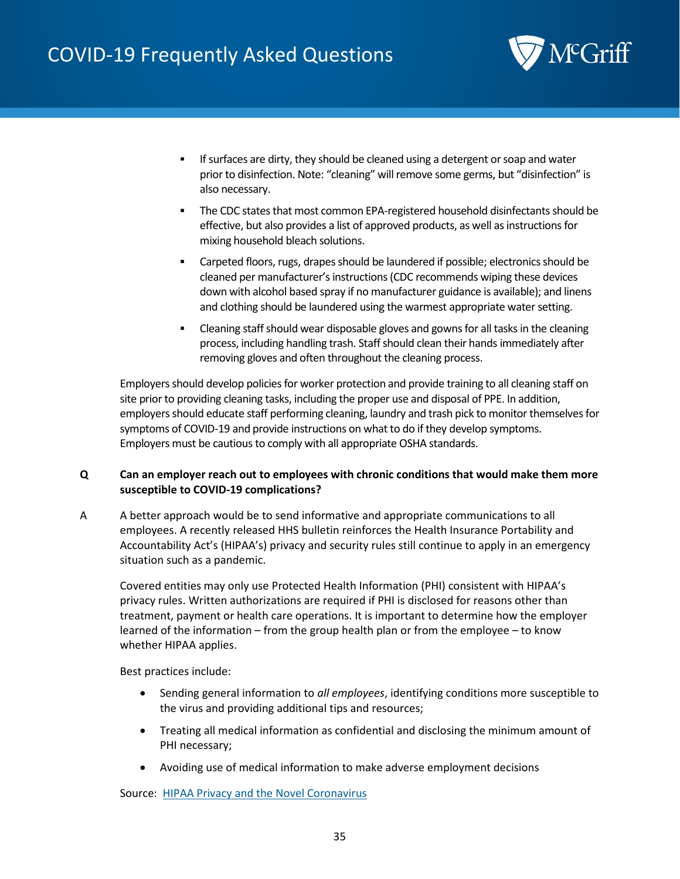

- If surfaces are dirty, they should be cleaned using a detergent or soap and water prior to disinfection. Note: "cleaning" will remove some germs, but "disinfection" is also necessary.
- The CDC states that most common EPA-registered household disinfectants should be effective, but also provides a list of approved products, as well as instructions for mixing household bleach solutions.
- Carpeted floors, rugs, drapes should be laundered if possible; electronics should be cleaned per manufacturer's instructions (CDC recommends wiping these devices down with alcohol based spray if no manufacturer guidance is available); and linens and clothing should be laundered using the warmest appropriate water setting.
- Cleaning staff should wear disposable gloves and gowns for all tasks in the cleaning process, including handling trash. Staff should clean their hands immediately after removing gloves and often throughout the cleaning process.

Employers should develop policies for worker protection and provide training to all cleaning staff on site prior to providing cleaning tasks, including the proper use and disposal of PPE. In addition, employers should educate staff performing cleaning, laundry and trash pick to monitor themselves for symptoms of COVID-19 and provide instructions on what to do if they develop symptoms. Employers must be cautious to comply with all appropriate OSHA standards.

#### <span id="page-34-0"></span>**Q Can an employer reach out to employees with chronic conditions that would make them more susceptible to COVID-19 complications?**

A A better approach would be to send informative and appropriate communications to all employees. A recently released HHS bulletin reinforces the Health Insurance Portability and Accountability Act's (HIPAA's) privacy and security rules still continue to apply in an emergency situation such as a pandemic.

Covered entities may only use Protected Health Information (PHI) consistent with HIPAA's privacy rules. Written authorizations are required if PHI is disclosed for reasons other than treatment, payment or health care operations. It is important to determine how the employer learned of the information – from the group health plan or from the employee – to know whether HIPAA applies.

Best practices include:

- Sending general information to *all employees*, identifying conditions more susceptible to the virus and providing additional tips and resources;
- Treating all medical information as confidential and disclosing the minimum amount of PHI necessary;
- Avoiding use of medical information to make adverse employment decisions

Source: [HIPAA Privacy and the Novel Coronavirus](https://www.hhs.gov/sites/default/files/february-2020-hipaa-and-novel-coronavirus.pdf)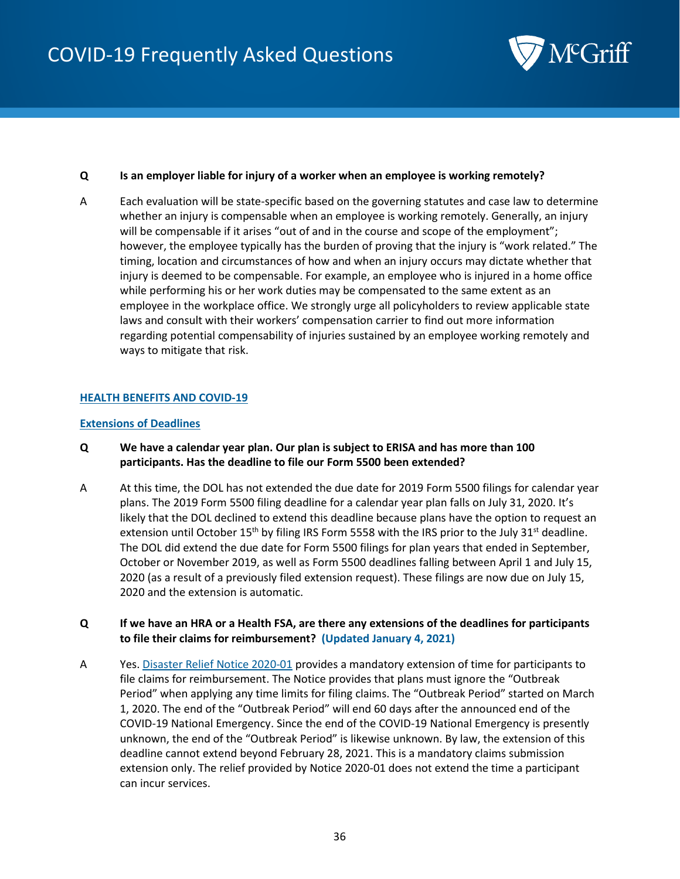

#### <span id="page-35-0"></span>**Q Is an employer liable for injury of a worker when an employee is working remotely?**

A Each evaluation will be state-specific based on the governing statutes and case law to determine whether an injury is compensable when an employee is working remotely. Generally, an injury will be compensable if it arises "out of and in the course and scope of the employment"; however, the employee typically has the burden of proving that the injury is "work related." The timing, location and circumstances of how and when an injury occurs may dictate whether that injury is deemed to be compensable. For example, an employee who is injured in a home office while performing his or her work duties may be compensated to the same extent as an employee in the workplace office. We strongly urge all policyholders to review applicable state laws and consult with their workers' compensation carrier to find out more information regarding potential compensability of injuries sustained by an employee working remotely and ways to mitigate that risk.

#### <span id="page-35-1"></span>**HEALTH BENEFITS AND COVID-19**

#### <span id="page-35-2"></span>**Extensions of Deadlines**

- <span id="page-35-3"></span>**Q We have a calendar year plan. Our plan is subject to ERISA and has more than 100 participants. Has the deadline to file our Form 5500 been extended?**
- A At this time, the DOL has not extended the due date for 2019 Form 5500 filings for calendar year plans. The 2019 Form 5500 filing deadline for a calendar year plan falls on July 31, 2020. It's likely that the DOL declined to extend this deadline because plans have the option to request an extension until October  $15<sup>th</sup>$  by filing IRS Form 5558 with the IRS prior to the July 31<sup>st</sup> deadline. The DOL did extend the due date for Form 5500 filings for plan years that ended in September, October or November 2019, as well as Form 5500 deadlines falling between April 1 and July 15, 2020 (as a result of a previously filed extension request). These filings are now due on July 15, 2020 and the extension is automatic.
- <span id="page-35-4"></span>**Q If we have an HRA or a Health FSA, are there any extensions of the deadlines for participants to file their claims for reimbursement? (Updated January 4, 2021)**
- A Yes[. Disaster Relief Notice 2020-01](https://www.dol.gov/agencies/ebsa/employers-and-advisers/plan-administration-and-compliance/disaster-relief/ebsa-disaster-relief-notice-2020-01) provides a mandatory extension of time for participants to file claims for reimbursement. The Notice provides that plans must ignore the "Outbreak Period" when applying any time limits for filing claims. The "Outbreak Period" started on March 1, 2020. The end of the "Outbreak Period" will end 60 days after the announced end of the COVID-19 National Emergency. Since the end of the COVID-19 National Emergency is presently unknown, the end of the "Outbreak Period" is likewise unknown. By law, the extension of this deadline cannot extend beyond February 28, 2021. This is a mandatory claims submission extension only. The relief provided by Notice 2020-01 does not extend the time a participant can incur services.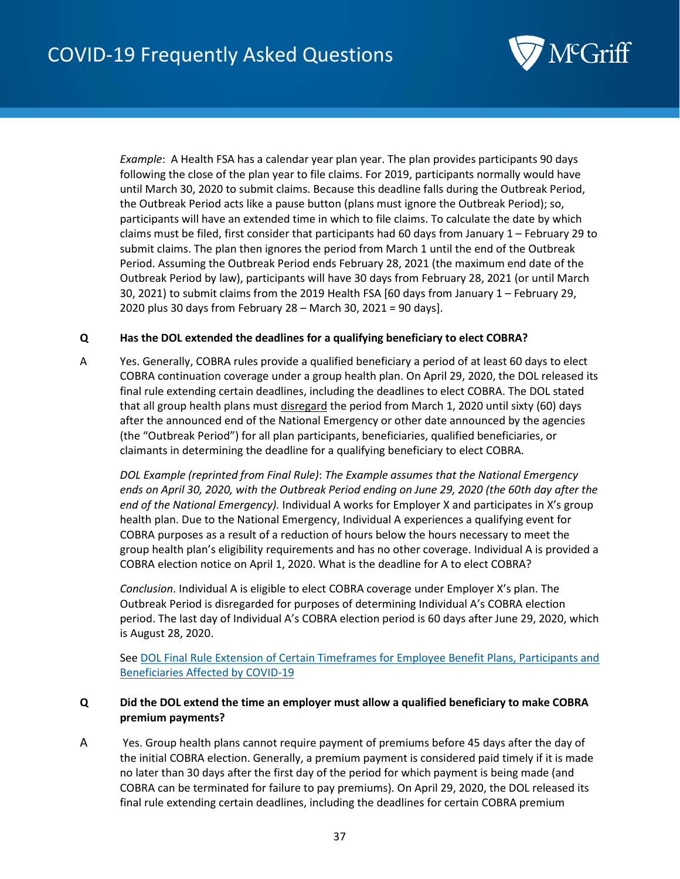

*Example*: A Health FSA has a calendar year plan year. The plan provides participants 90 days following the close of the plan year to file claims. For 2019, participants normally would have until March 30, 2020 to submit claims. Because this deadline falls during the Outbreak Period, the Outbreak Period acts like a pause button (plans must ignore the Outbreak Period); so, participants will have an extended time in which to file claims. To calculate the date by which claims must be filed, first consider that participants had 60 days from January 1 – February 29 to submit claims. The plan then ignores the period from March 1 until the end of the Outbreak Period. Assuming the Outbreak Period ends February 28, 2021 (the maximum end date of the Outbreak Period by law), participants will have 30 days from February 28, 2021 (or until March 30, 2021) to submit claims from the 2019 Health FSA [60 days from January 1 – February 29, 2020 plus 30 days from February 28 – March 30, 2021 = 90 days].

## **Q Has the DOL extended the deadlines for a qualifying beneficiary to elect COBRA?**

A Yes. Generally, COBRA rules provide a qualified beneficiary a period of at least 60 days to elect COBRA continuation coverage under a group health plan. On April 29, 2020, the DOL released its final rule extending certain deadlines, including the deadlines to elect COBRA. The DOL stated that all group health plans must disregard the period from March 1, 2020 until sixty (60) days after the announced end of the National Emergency or other date announced by the agencies (the "Outbreak Period") for all plan participants, beneficiaries, qualified beneficiaries, or claimants in determining the deadline for a qualifying beneficiary to elect COBRA.

*DOL Example (reprinted from Final Rule)*: *The Example assumes that the National Emergency ends on April 30, 2020, with the Outbreak Period ending on June 29, 2020 (the 60th day after the end of the National Emergency).* Individual A works for Employer X and participates in X's group health plan. Due to the National Emergency, Individual A experiences a qualifying event for COBRA purposes as a result of a reduction of hours below the hours necessary to meet the group health plan's eligibility requirements and has no other coverage. Individual A is provided a COBRA election notice on April 1, 2020. What is the deadline for A to elect COBRA?

*Conclusion*. Individual A is eligible to elect COBRA coverage under Employer X's plan. The Outbreak Period is disregarded for purposes of determining Individual A's COBRA election period. The last day of Individual A's COBRA election period is 60 days after June 29, 2020, which is August 28, 2020.

Se[e DOL Final Rule Extension of Certain Timeframes for Employee Benefit Plans, Participants and](https://www.federalregister.gov/documents/2020/05/04/2020-09399/extension-of-certain-timeframes-for-employee-benefit-plans-participants-and-beneficiaries-affected)  [Beneficiaries Affected by COVID-19](https://www.federalregister.gov/documents/2020/05/04/2020-09399/extension-of-certain-timeframes-for-employee-benefit-plans-participants-and-beneficiaries-affected)

# **Q Did the DOL extend the time an employer must allow a qualified beneficiary to make COBRA premium payments?**

A Yes. Group health plans cannot require payment of premiums before 45 days after the day of the initial COBRA election. Generally, a premium payment is considered paid timely if it is made no later than 30 days after the first day of the period for which payment is being made (and COBRA can be terminated for failure to pay premiums). On April 29, 2020, the DOL released its final rule extending certain deadlines, including the deadlines for certain COBRA premium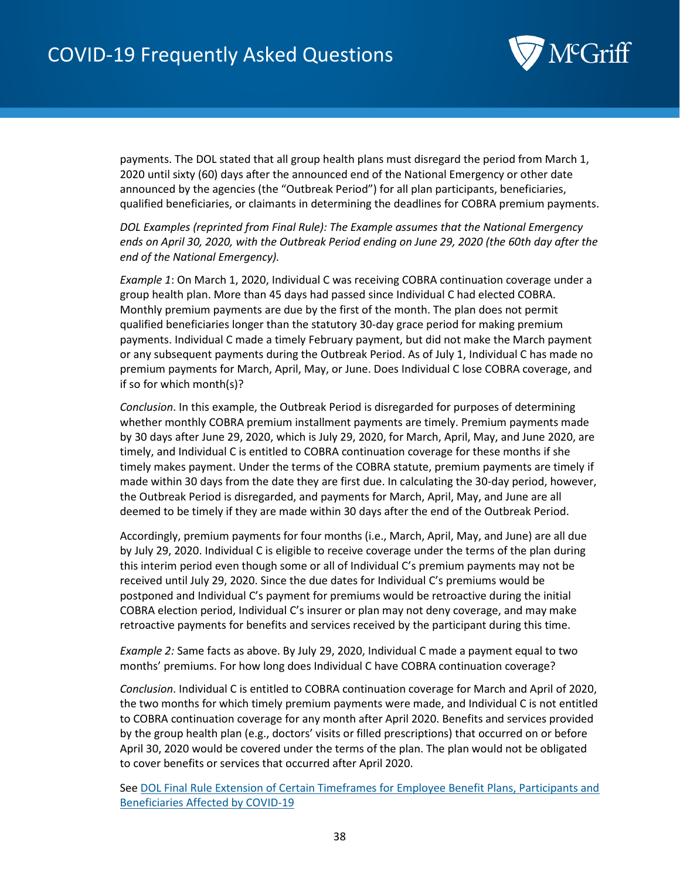

payments. The DOL stated that all group health plans must disregard the period from March 1, 2020 until sixty (60) days after the announced end of the National Emergency or other date announced by the agencies (the "Outbreak Period") for all plan participants, beneficiaries, qualified beneficiaries, or claimants in determining the deadlines for COBRA premium payments.

*DOL Examples (reprinted from Final Rule): The Example assumes that the National Emergency ends on April 30, 2020, with the Outbreak Period ending on June 29, 2020 (the 60th day after the end of the National Emergency).*

*Example 1*: On March 1, 2020, Individual C was receiving COBRA continuation coverage under a group health plan. More than 45 days had passed since Individual C had elected COBRA. Monthly premium payments are due by the first of the month. The plan does not permit qualified beneficiaries longer than the statutory 30-day grace period for making premium payments. Individual C made a timely February payment, but did not make the March payment or any subsequent payments during the Outbreak Period. As of July 1, Individual C has made no premium payments for March, April, May, or June. Does Individual C lose COBRA coverage, and if so for which month(s)?

*Conclusion*. In this example, the Outbreak Period is disregarded for purposes of determining whether monthly COBRA premium installment payments are timely. Premium payments made by 30 days after June 29, 2020, which is July 29, 2020, for March, April, May, and June 2020, are timely, and Individual C is entitled to COBRA continuation coverage for these months if she timely makes payment. Under the terms of the COBRA statute, premium payments are timely if made within 30 days from the date they are first due. In calculating the 30-day period, however, the Outbreak Period is disregarded, and payments for March, April, May, and June are all deemed to be timely if they are made within 30 days after the end of the Outbreak Period.

Accordingly, premium payments for four months (i.e., March, April, May, and June) are all due by July 29, 2020. Individual C is eligible to receive coverage under the terms of the plan during this interim period even though some or all of Individual C's premium payments may not be received until July 29, 2020. Since the due dates for Individual C's premiums would be postponed and Individual C's payment for premiums would be retroactive during the initial COBRA election period, Individual C's insurer or plan may not deny coverage, and may make retroactive payments for benefits and services received by the participant during this time.

*Example 2:* Same facts as above. By July 29, 2020, Individual C made a payment equal to two months' premiums. For how long does Individual C have COBRA continuation coverage?

*Conclusion*. Individual C is entitled to COBRA continuation coverage for March and April of 2020, the two months for which timely premium payments were made, and Individual C is not entitled to COBRA continuation coverage for any month after April 2020. Benefits and services provided by the group health plan (e.g., doctors' visits or filled prescriptions) that occurred on or before April 30, 2020 would be covered under the terms of the plan. The plan would not be obligated to cover benefits or services that occurred after April 2020.

Se[e DOL Final Rule Extension of Certain Timeframes for Employee Benefit Plans, Participants and](https://www.federalregister.gov/documents/2020/05/04/2020-09399/extension-of-certain-timeframes-for-employee-benefit-plans-participants-and-beneficiaries-affected)  [Beneficiaries Affected by COVID-19](https://www.federalregister.gov/documents/2020/05/04/2020-09399/extension-of-certain-timeframes-for-employee-benefit-plans-participants-and-beneficiaries-affected)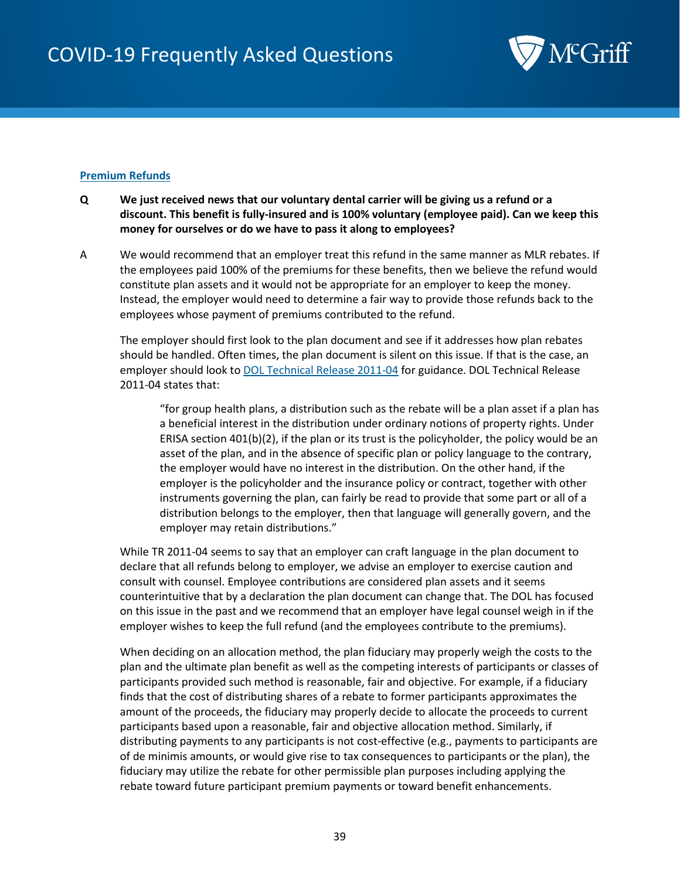

# **Premium Refunds**

- **Q We just received news that our voluntary dental carrier will be giving us a refund or a discount. This benefit is fully-insured and is 100% voluntary (employee paid). Can we keep this money for ourselves or do we have to pass it along to employees?**
- A We would recommend that an employer treat this refund in the same manner as MLR rebates. If the employees paid 100% of the premiums for these benefits, then we believe the refund would constitute plan assets and it would not be appropriate for an employer to keep the money. Instead, the employer would need to determine a fair way to provide those refunds back to the employees whose payment of premiums contributed to the refund.

The employer should first look to the plan document and see if it addresses how plan rebates should be handled. Often times, the plan document is silent on this issue. If that is the case, an employer should look to [DOL Technical Release 2011-04](https://www.dol.gov/sites/default/files/ebsa/employers-and-advisers/guidance/technical-releases/11-04.pdf) for guidance. DOL Technical Release 2011-04 states that:

"for group health plans, a distribution such as the rebate will be a plan asset if a plan has a beneficial interest in the distribution under ordinary notions of property rights. Under ERISA section  $401(b)(2)$ , if the plan or its trust is the policyholder, the policy would be an asset of the plan, and in the absence of specific plan or policy language to the contrary, the employer would have no interest in the distribution. On the other hand, if the employer is the policyholder and the insurance policy or contract, together with other instruments governing the plan, can fairly be read to provide that some part or all of a distribution belongs to the employer, then that language will generally govern, and the employer may retain distributions."

While TR 2011-04 seems to say that an employer can craft language in the plan document to declare that all refunds belong to employer, we advise an employer to exercise caution and consult with counsel. Employee contributions are considered plan assets and it seems counterintuitive that by a declaration the plan document can change that. The DOL has focused on this issue in the past and we recommend that an employer have legal counsel weigh in if the employer wishes to keep the full refund (and the employees contribute to the premiums).

When deciding on an allocation method, the plan fiduciary may properly weigh the costs to the plan and the ultimate plan benefit as well as the competing interests of participants or classes of participants provided such method is reasonable, fair and objective. For example, if a fiduciary finds that the cost of distributing shares of a rebate to former participants approximates the amount of the proceeds, the fiduciary may properly decide to allocate the proceeds to current participants based upon a reasonable, fair and objective allocation method. Similarly, if distributing payments to any participants is not cost-effective (e.g., payments to participants are of de minimis amounts, or would give rise to tax consequences to participants or the plan), the fiduciary may utilize the rebate for other permissible plan purposes including applying the rebate toward future participant premium payments or toward benefit enhancements.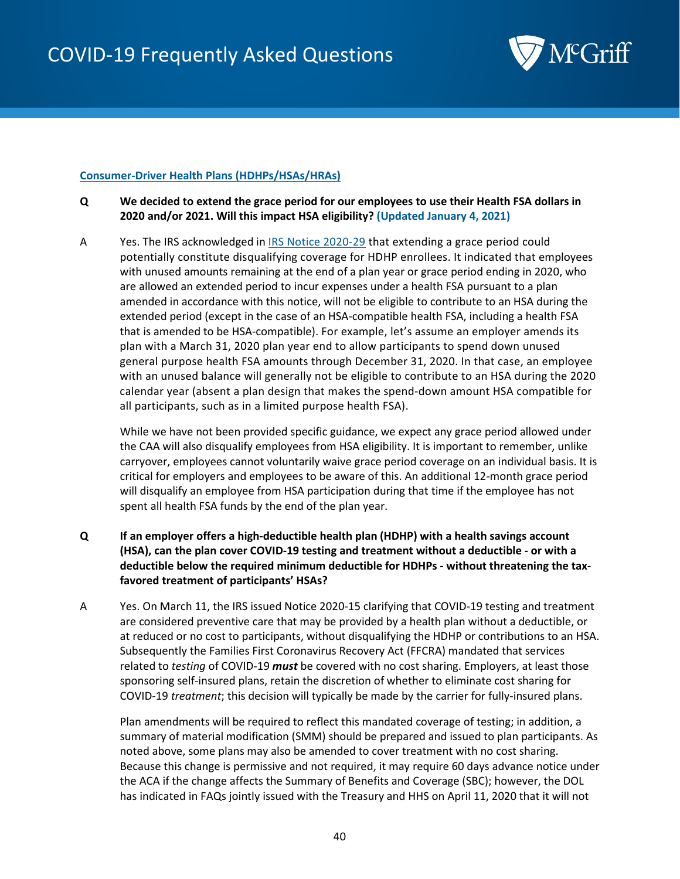

## **Consumer-Driver Health Plans (HDHPs/HSAs/HRAs)**

- **Q We decided to extend the grace period for our employees to use their Health FSA dollars in 2020 and/or 2021. Will this impact HSA eligibility? (Updated January 4, 2021)**
- A Yes. The IRS acknowledged i[n IRS Notice 2020-29](https://www.irs.gov/pub/irs-drop/n-20-29.pdf) that extending a grace period could potentially constitute disqualifying coverage for HDHP enrollees. It indicated that employees with unused amounts remaining at the end of a plan year or grace period ending in 2020, who are allowed an extended period to incur expenses under a health FSA pursuant to a plan amended in accordance with this notice, will not be eligible to contribute to an HSA during the extended period (except in the case of an HSA-compatible health FSA, including a health FSA that is amended to be HSA-compatible). For example, let's assume an employer amends its plan with a March 31, 2020 plan year end to allow participants to spend down unused general purpose health FSA amounts through December 31, 2020. In that case, an employee with an unused balance will generally not be eligible to contribute to an HSA during the 2020 calendar year (absent a plan design that makes the spend-down amount HSA compatible for all participants, such as in a limited purpose health FSA).

While we have not been provided specific guidance, we expect any grace period allowed under the CAA will also disqualify employees from HSA eligibility. It is important to remember, unlike carryover, employees cannot voluntarily waive grace period coverage on an individual basis. It is critical for employers and employees to be aware of this. An additional 12-month grace period will disqualify an employee from HSA participation during that time if the employee has not spent all health FSA funds by the end of the plan year.

- **Q If an employer offers a high-deductible health plan (HDHP) with a health savings account (HSA), can the plan cover COVID-19 testing and treatment without a deductible - or with a deductible below the required minimum deductible for HDHPs - without threatening the taxfavored treatment of participants' HSAs?**
- A Yes. On March 11, the IRS issued Notice 2020-15 clarifying that COVID-19 testing and treatment are considered preventive care that may be provided by a health plan without a deductible, or at reduced or no cost to participants, without disqualifying the HDHP or contributions to an HSA. Subsequently the Families First Coronavirus Recovery Act (FFCRA) mandated that services related to *testing* of COVID-19 *must* be covered with no cost sharing. Employers, at least those sponsoring self-insured plans, retain the discretion of whether to eliminate cost sharing for COVID-19 *treatment*; this decision will typically be made by the carrier for fully-insured plans.

Plan amendments will be required to reflect this mandated coverage of testing; in addition, a summary of material modification (SMM) should be prepared and issued to plan participants. As noted above, some plans may also be amended to cover treatment with no cost sharing. Because this change is permissive and not required, it may require 60 days advance notice under the ACA if the change affects the Summary of Benefits and Coverage (SBC); however, the DOL has indicated in FAQs jointly issued with the Treasury and HHS on April 11, 2020 that it will not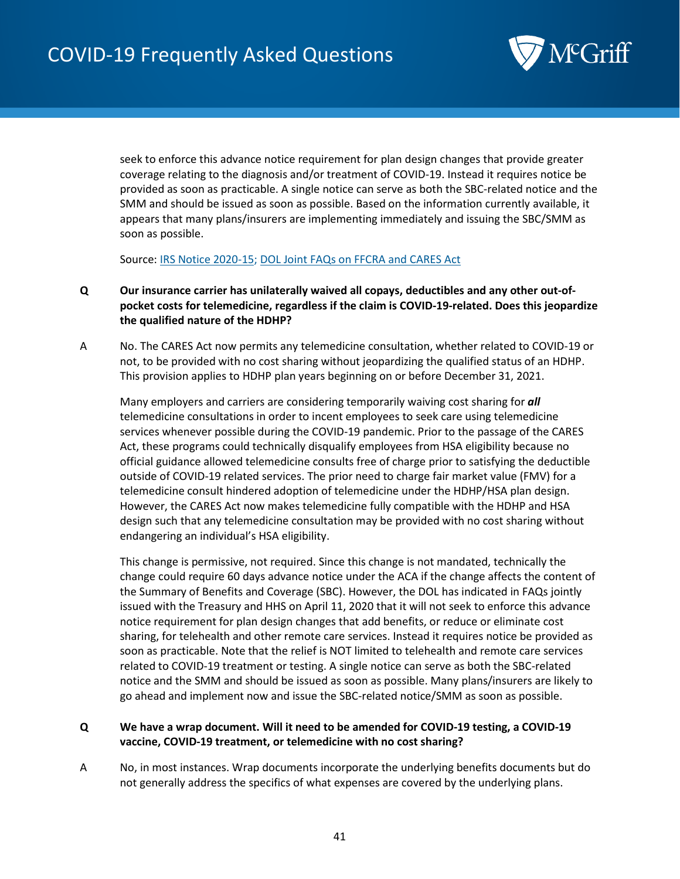

seek to enforce this advance notice requirement for plan design changes that provide greater coverage relating to the diagnosis and/or treatment of COVID-19. Instead it requires notice be provided as soon as practicable. A single notice can serve as both the SBC-related notice and the SMM and should be issued as soon as possible. Based on the information currently available, it appears that many plans/insurers are implementing immediately and issuing the SBC/SMM as soon as possible.

<span id="page-40-0"></span>Source: [IRS Notice 2020-15;](https://www.irs.gov/pub/irs-drop/n-20-15.pdf) [DOL Joint FAQs on FFCRA and CARES Act](https://www.dol.gov/sites/dolgov/files/ebsa/about-ebsa/our-activities/resource-center/faqs/aca-part-42.pdf)

- **Q Our insurance carrier has unilaterally waived all copays, deductibles and any other out-ofpocket costs for telemedicine, regardless if the claim is COVID-19-related. Does this jeopardize the qualified nature of the HDHP?**
- A No. The CARES Act now permits any telemedicine consultation, whether related to COVID-19 or not, to be provided with no cost sharing without jeopardizing the qualified status of an HDHP. This provision applies to HDHP plan years beginning on or before December 31, 2021.

Many employers and carriers are considering temporarily waiving cost sharing for *all*  telemedicine consultations in order to incent employees to seek care using telemedicine services whenever possible during the COVID-19 pandemic. Prior to the passage of the CARES Act, these programs could technically disqualify employees from HSA eligibility because no official guidance allowed telemedicine consults free of charge prior to satisfying the deductible outside of COVID-19 related services. The prior need to charge fair market value (FMV) for a telemedicine consult hindered adoption of telemedicine under the HDHP/HSA plan design. However, the CARES Act now makes telemedicine fully compatible with the HDHP and HSA design such that any telemedicine consultation may be provided with no cost sharing without endangering an individual's HSA eligibility.

This change is permissive, not required. Since this change is not mandated, technically the change could require 60 days advance notice under the ACA if the change affects the content of the Summary of Benefits and Coverage (SBC). However, the DOL has indicated in FAQs jointly issued with the Treasury and HHS on April 11, 2020 that it will not seek to enforce this advance notice requirement for plan design changes that add benefits, or reduce or eliminate cost sharing, for telehealth and other remote care services. Instead it requires notice be provided as soon as practicable. Note that the relief is NOT limited to telehealth and remote care services related to COVID-19 treatment or testing. A single notice can serve as both the SBC-related notice and the SMM and should be issued as soon as possible. Many plans/insurers are likely to go ahead and implement now and issue the SBC-related notice/SMM as soon as possible.

# **Q We have a wrap document. Will it need to be amended for COVID-19 testing, a COVID-19 vaccine, COVID-19 treatment, or telemedicine with no cost sharing?**

A No, in most instances. Wrap documents incorporate the underlying benefits documents but do not generally address the specifics of what expenses are covered by the underlying plans.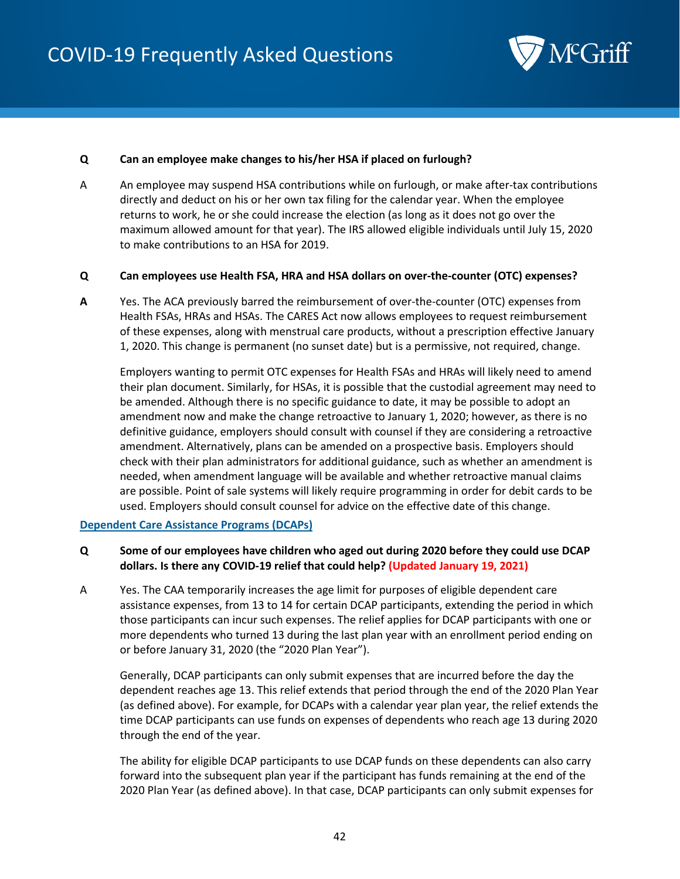

#### **Q Can an employee make changes to his/her HSA if placed on furlough?**

A An employee may suspend HSA contributions while on furlough, or make after-tax contributions directly and deduct on his or her own tax filing for the calendar year. When the employee returns to work, he or she could increase the election (as long as it does not go over the maximum allowed amount for that year). The IRS allowed eligible individuals until July 15, 2020 to make contributions to an HSA for 2019.

#### **Q Can employees use Health FSA, HRA and HSA dollars on over-the-counter (OTC) expenses?**

**A** Yes. The ACA previously barred the reimbursement of over-the-counter (OTC) expenses from Health FSAs, HRAs and HSAs. The CARES Act now allows employees to request reimbursement of these expenses, along with menstrual care products, without a prescription effective January 1, 2020. This change is permanent (no sunset date) but is a permissive, not required, change.

Employers wanting to permit OTC expenses for Health FSAs and HRAs will likely need to amend their plan document. Similarly, for HSAs, it is possible that the custodial agreement may need to be amended. Although there is no specific guidance to date, it may be possible to adopt an amendment now and make the change retroactive to January 1, 2020; however, as there is no definitive guidance, employers should consult with counsel if they are considering a retroactive amendment. Alternatively, plans can be amended on a prospective basis. Employers should check with their plan administrators for additional guidance, such as whether an amendment is needed, when amendment language will be available and whether retroactive manual claims are possible. Point of sale systems will likely require programming in order for debit cards to be used. Employers should consult counsel for advice on the effective date of this change.

#### **Dependent Care Assistance Programs (DCAPs)**

## **Q Some of our employees have children who aged out during 2020 before they could use DCAP dollars. Is there any COVID-19 relief that could help? (Updated January 19, 2021)**

A Yes. The CAA temporarily increases the age limit for purposes of eligible dependent care assistance expenses, from 13 to 14 for certain DCAP participants, extending the period in which those participants can incur such expenses. The relief applies for DCAP participants with one or more dependents who turned 13 during the last plan year with an enrollment period ending on or before January 31, 2020 (the "2020 Plan Year").

Generally, DCAP participants can only submit expenses that are incurred before the day the dependent reaches age 13. This relief extends that period through the end of the 2020 Plan Year (as defined above). For example, for DCAPs with a calendar year plan year, the relief extends the time DCAP participants can use funds on expenses of dependents who reach age 13 during 2020 through the end of the year.

The ability for eligible DCAP participants to use DCAP funds on these dependents can also carry forward into the subsequent plan year if the participant has funds remaining at the end of the 2020 Plan Year (as defined above). In that case, DCAP participants can only submit expenses for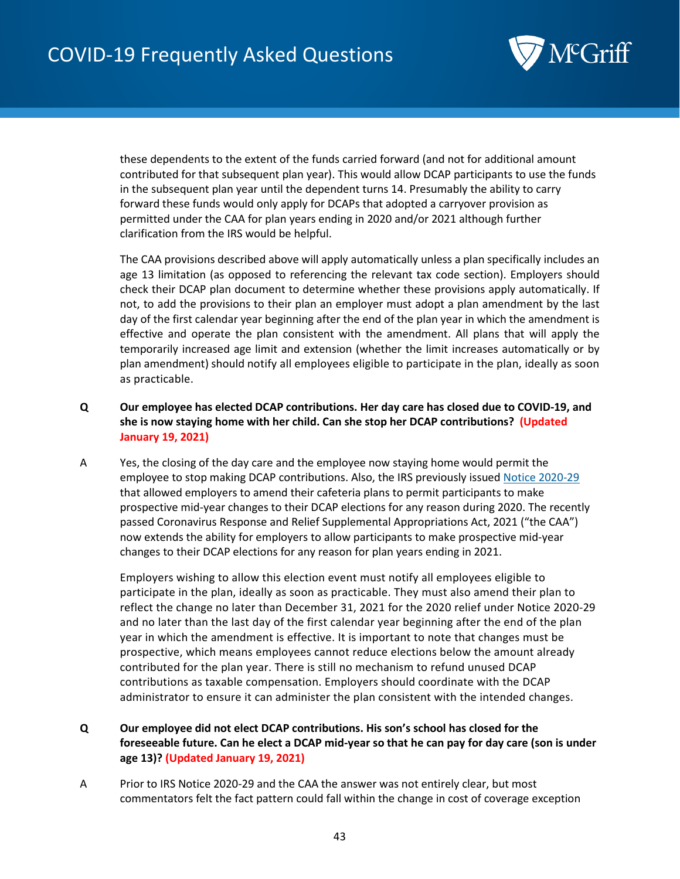

these dependents to the extent of the funds carried forward (and not for additional amount contributed for that subsequent plan year). This would allow DCAP participants to use the funds in the subsequent plan year until the dependent turns 14. Presumably the ability to carry forward these funds would only apply for DCAPs that adopted a carryover provision as permitted under the CAA for plan years ending in 2020 and/or 2021 although further clarification from the IRS would be helpful.

The CAA provisions described above will apply automatically unless a plan specifically includes an age 13 limitation (as opposed to referencing the relevant tax code section). Employers should check their DCAP plan document to determine whether these provisions apply automatically. If not, to add the provisions to their plan an employer must adopt a plan amendment by the last day of the first calendar year beginning after the end of the plan year in which the amendment is effective and operate the plan consistent with the amendment. All plans that will apply the temporarily increased age limit and extension (whether the limit increases automatically or by plan amendment) should notify all employees eligible to participate in the plan, ideally as soon as practicable.

- **Q Our employee has elected DCAP contributions. Her day care has closed due to COVID-19, and she is now staying home with her child. Can she stop her DCAP contributions? (Updated January 19, 2021)**
- A Yes, the closing of the day care and the employee now staying home would permit the employee to stop making DCAP contributions. Also, the IRS previously issued [Notice 2020-29](https://www.irs.gov/pub/irs-drop/n-20-29.pdf) that allowed employers to amend their cafeteria plans to permit participants to make prospective mid-year changes to their DCAP elections for any reason during 2020. The recently passed Coronavirus Response and Relief Supplemental Appropriations Act, 2021 ("the CAA") now extends the ability for employers to allow participants to make prospective mid-year changes to their DCAP elections for any reason for plan years ending in 2021.

Employers wishing to allow this election event must notify all employees eligible to participate in the plan, ideally as soon as practicable. They must also amend their plan to reflect the change no later than December 31, 2021 for the 2020 relief under Notice 2020-29 and no later than the last day of the first calendar year beginning after the end of the plan year in which the amendment is effective. It is important to note that changes must be prospective, which means employees cannot reduce elections below the amount already contributed for the plan year. There is still no mechanism to refund unused DCAP contributions as taxable compensation. Employers should coordinate with the DCAP administrator to ensure it can administer the plan consistent with the intended changes.

- **Q Our employee did not elect DCAP contributions. His son's school has closed for the foreseeable future. Can he elect a DCAP mid-year so that he can pay for day care (son is under age 13)? (Updated January 19, 2021)**
- A Prior to IRS Notice 2020-29 and the CAA the answer was not entirely clear, but most commentators felt the fact pattern could fall within the change in cost of coverage exception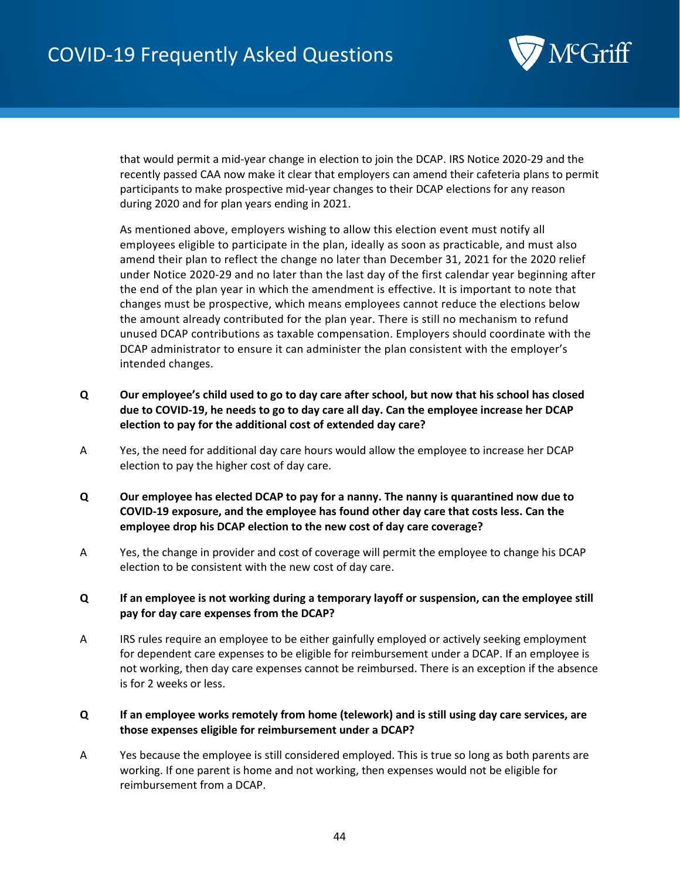

that would permit a mid-year change in election to join the DCAP. IRS Notice 2020-29 and the recently passed CAA now make it clear that employers can amend their cafeteria plans to permit participants to make prospective mid-year changes to their DCAP elections for any reason during 2020 and for plan years ending in 2021.

As mentioned above, employers wishing to allow this election event must notify all employees eligible to participate in the plan, ideally as soon as practicable, and must also amend their plan to reflect the change no later than December 31, 2021 for the 2020 relief under Notice 2020-29 and no later than the last day of the first calendar year beginning after the end of the plan year in which the amendment is effective. It is important to note that changes must be prospective, which means employees cannot reduce the elections below the amount already contributed for the plan year. There is still no mechanism to refund unused DCAP contributions as taxable compensation. Employers should coordinate with the DCAP administrator to ensure it can administer the plan consistent with the employer's intended changes.

- **Q Our employee's child used to go to day care after school, but now that his school has closed due to COVID-19, he needs to go to day care all day. Can the employee increase her DCAP election to pay for the additional cost of extended day care?**
- A Yes, the need for additional day care hours would allow the employee to increase her DCAP election to pay the higher cost of day care.
- **Q Our employee has elected DCAP to pay for a nanny. The nanny is quarantined now due to COVID-19 exposure, and the employee has found other day care that costs less. Can the employee drop his DCAP election to the new cost of day care coverage?**
- A Yes, the change in provider and cost of coverage will permit the employee to change his DCAP election to be consistent with the new cost of day care.

## **Q If an employee is not working during a temporary layoff or suspension, can the employee still pay for day care expenses from the DCAP?**

A IRS rules require an employee to be either gainfully employed or actively seeking employment for dependent care expenses to be eligible for reimbursement under a DCAP. If an employee is not working, then day care expenses cannot be reimbursed. There is an exception if the absence is for 2 weeks or less.

## **Q If an employee works remotely from home (telework) and is still using day care services, are those expenses eligible for reimbursement under a DCAP?**

A Yes because the employee is still considered employed. This is true so long as both parents are working. If one parent is home and not working, then expenses would not be eligible for reimbursement from a DCAP.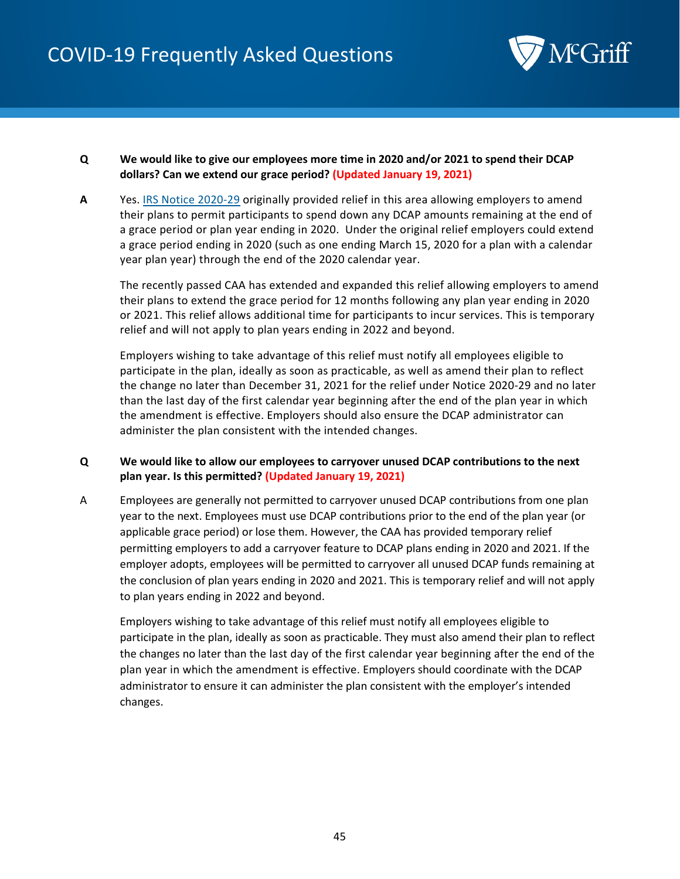

- **Q We would like to give our employees more time in 2020 and/or 2021 to spend their DCAP dollars? Can we extend our grace period? (Updated January 19, 2021)**
- **A** Yes. [IRS Notice 2020-29](https://www.irs.gov/pub/irs-drop/n-20-29.pdf) originally provided relief in this area allowing employers to amend their plans to permit participants to spend down any DCAP amounts remaining at the end of a grace period or plan year ending in 2020. Under the original relief employers could extend a grace period ending in 2020 (such as one ending March 15, 2020 for a plan with a calendar year plan year) through the end of the 2020 calendar year.

The recently passed CAA has extended and expanded this relief allowing employers to amend their plans to extend the grace period for 12 months following any plan year ending in 2020 or 2021. This relief allows additional time for participants to incur services. This is temporary relief and will not apply to plan years ending in 2022 and beyond.

Employers wishing to take advantage of this relief must notify all employees eligible to participate in the plan, ideally as soon as practicable, as well as amend their plan to reflect the change no later than December 31, 2021 for the relief under Notice 2020-29 and no later than the last day of the first calendar year beginning after the end of the plan year in which the amendment is effective. Employers should also ensure the DCAP administrator can administer the plan consistent with the intended changes.

# **Q We would like to allow our employees to carryover unused DCAP contributions to the next plan year. Is this permitted? (Updated January 19, 2021)**

A Employees are generally not permitted to carryover unused DCAP contributions from one plan year to the next. Employees must use DCAP contributions prior to the end of the plan year (or applicable grace period) or lose them. However, the CAA has provided temporary relief permitting employers to add a carryover feature to DCAP plans ending in 2020 and 2021. If the employer adopts, employees will be permitted to carryover all unused DCAP funds remaining at the conclusion of plan years ending in 2020 and 2021. This is temporary relief and will not apply to plan years ending in 2022 and beyond.

Employers wishing to take advantage of this relief must notify all employees eligible to participate in the plan, ideally as soon as practicable. They must also amend their plan to reflect the changes no later than the last day of the first calendar year beginning after the end of the plan year in which the amendment is effective. Employers should coordinate with the DCAP administrator to ensure it can administer the plan consistent with the employer's intended changes.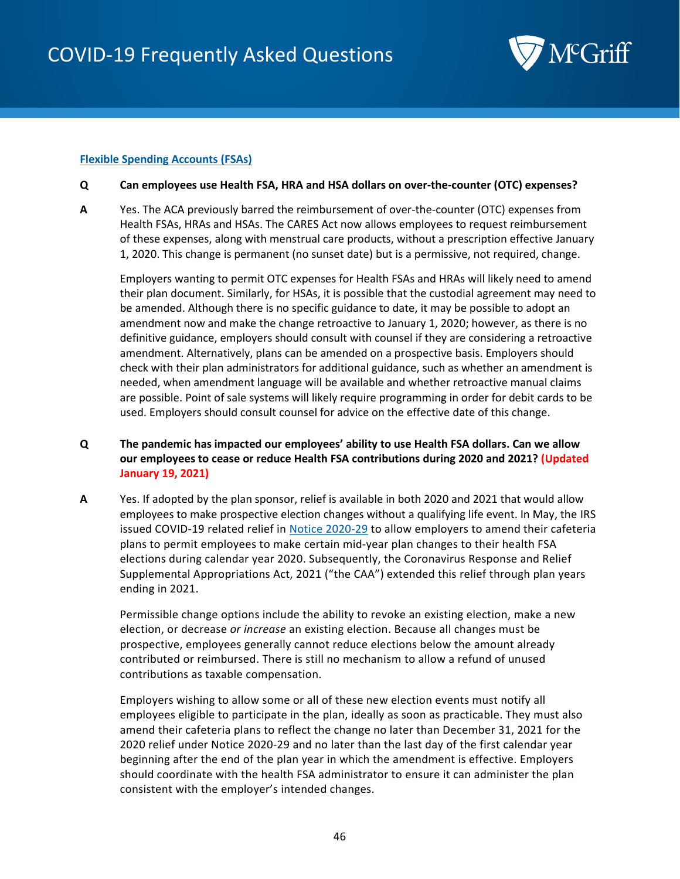

## **Flexible Spending Accounts (FSAs)**

#### **Q Can employees use Health FSA, HRA and HSA dollars on over-the-counter (OTC) expenses?**

**A** Yes. The ACA previously barred the reimbursement of over-the-counter (OTC) expenses from Health FSAs, HRAs and HSAs. The CARES Act now allows employees to request reimbursement of these expenses, along with menstrual care products, without a prescription effective January 1, 2020. This change is permanent (no sunset date) but is a permissive, not required, change.

Employers wanting to permit OTC expenses for Health FSAs and HRAs will likely need to amend their plan document. Similarly, for HSAs, it is possible that the custodial agreement may need to be amended. Although there is no specific guidance to date, it may be possible to adopt an amendment now and make the change retroactive to January 1, 2020; however, as there is no definitive guidance, employers should consult with counsel if they are considering a retroactive amendment. Alternatively, plans can be amended on a prospective basis. Employers should check with their plan administrators for additional guidance, such as whether an amendment is needed, when amendment language will be available and whether retroactive manual claims are possible. Point of sale systems will likely require programming in order for debit cards to be used. Employers should consult counsel for advice on the effective date of this change.

- **Q The pandemic has impacted our employees' ability to use Health FSA dollars. Can we allow our employees to cease or reduce Health FSA contributions during 2020 and 2021? (Updated January 19, 2021)**
- **A** Yes. If adopted by the plan sponsor, relief is available in both 2020 and 2021 that would allow employees to make prospective election changes without a qualifying life event. In May, the IRS issued COVID-19 related relief in [Notice 2020-29](https://www.irs.gov/pub/irs-drop/n-20-29.pdf) to allow employers to amend their cafeteria plans to permit employees to make certain mid-year plan changes to their health FSA elections during calendar year 2020. Subsequently, the Coronavirus Response and Relief Supplemental Appropriations Act, 2021 ("the CAA") extended this relief through plan years ending in 2021.

Permissible change options include the ability to revoke an existing election, make a new election, or decrease *or increase* an existing election. Because all changes must be prospective, employees generally cannot reduce elections below the amount already contributed or reimbursed. There is still no mechanism to allow a refund of unused contributions as taxable compensation.

Employers wishing to allow some or all of these new election events must notify all employees eligible to participate in the plan, ideally as soon as practicable. They must also amend their cafeteria plans to reflect the change no later than December 31, 2021 for the 2020 relief under Notice 2020-29 and no later than the last day of the first calendar year beginning after the end of the plan year in which the amendment is effective. Employers should coordinate with the health FSA administrator to ensure it can administer the plan consistent with the employer's intended changes.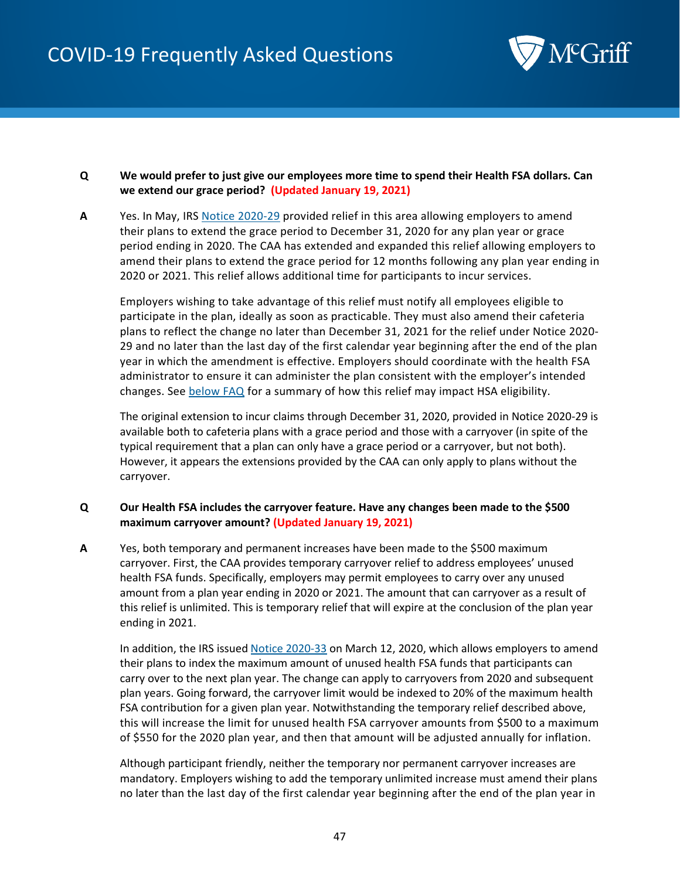

## **Q We would prefer to just give our employees more time to spend their Health FSA dollars. Can we extend our grace period? (Updated January 19, 2021)**

**A** Yes. In May, IRS [Notice 2020-29](https://www.irs.gov/pub/irs-drop/n-20-29.pdf) provided relief in this area allowing employers to amend their plans to extend the grace period to December 31, 2020 for any plan year or grace period ending in 2020. The CAA has extended and expanded this relief allowing employers to amend their plans to extend the grace period for 12 months following any plan year ending in 2020 or 2021. This relief allows additional time for participants to incur services.

Employers wishing to take advantage of this relief must notify all employees eligible to participate in the plan, ideally as soon as practicable. They must also amend their cafeteria plans to reflect the change no later than December 31, 2021 for the relief under Notice 2020- 29 and no later than the last day of the first calendar year beginning after the end of the plan year in which the amendment is effective. Employers should coordinate with the health FSA administrator to ensure it can administer the plan consistent with the employer's intended changes. See [below FAQ](#page-47-0) for a summary of how this relief may impact HSA eligibility.

The original extension to incur claims through December 31, 2020, provided in Notice 2020-29 is available both to cafeteria plans with a grace period and those with a carryover (in spite of the typical requirement that a plan can only have a grace period or a carryover, but not both). However, it appears the extensions provided by the CAA can only apply to plans without the carryover.

## **Q Our Health FSA includes the carryover feature. Have any changes been made to the \$500 maximum carryover amount? (Updated January 19, 2021)**

**A** Yes, both temporary and permanent increases have been made to the \$500 maximum carryover. First, the CAA provides temporary carryover relief to address employees' unused health FSA funds. Specifically, employers may permit employees to carry over any unused amount from a plan year ending in 2020 or 2021. The amount that can carryover as a result of this relief is unlimited. This is temporary relief that will expire at the conclusion of the plan year ending in 2021.

In addition, the IRS issued [Notice 2020-33](https://www.irs.gov/pub/irs-drop/n-20-33.pdf) on March 12, 2020, which allows employers to amend their plans to index the maximum amount of unused health FSA funds that participants can carry over to the next plan year. The change can apply to carryovers from 2020 and subsequent plan years. Going forward, the carryover limit would be indexed to 20% of the maximum health FSA contribution for a given plan year. Notwithstanding the temporary relief described above, this will increase the limit for unused health FSA carryover amounts from \$500 to a maximum of \$550 for the 2020 plan year, and then that amount will be adjusted annually for inflation.

Although participant friendly, neither the temporary nor permanent carryover increases are mandatory. Employers wishing to add the temporary unlimited increase must amend their plans no later than the last day of the first calendar year beginning after the end of the plan year in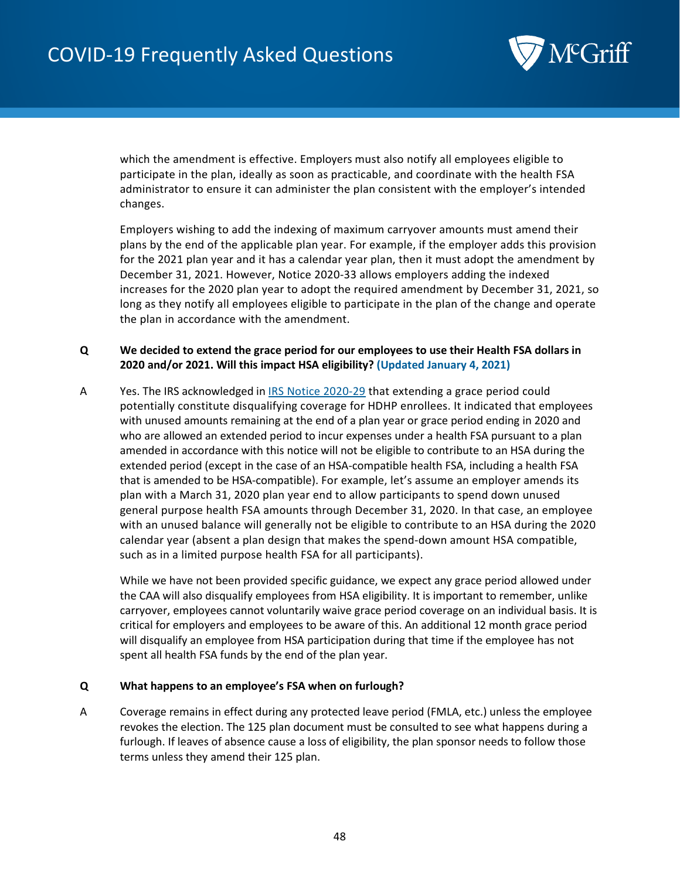

which the amendment is effective. Employers must also notify all employees eligible to participate in the plan, ideally as soon as practicable, and coordinate with the health FSA administrator to ensure it can administer the plan consistent with the employer's intended changes.

Employers wishing to add the indexing of maximum carryover amounts must amend their plans by the end of the applicable plan year. For example, if the employer adds this provision for the 2021 plan year and it has a calendar year plan, then it must adopt the amendment by December 31, 2021. However, Notice 2020-33 allows employers adding the indexed increases for the 2020 plan year to adopt the required amendment by December 31, 2021, so long as they notify all employees eligible to participate in the plan of the change and operate the plan in accordance with the amendment.

## <span id="page-47-0"></span>**Q We decided to extend the grace period for our employees to use their Health FSA dollars in 2020 and/or 2021. Will this impact HSA eligibility? (Updated January 4, 2021)**

A Yes. The IRS acknowledged i[n IRS Notice 2020-29](https://www.irs.gov/pub/irs-drop/n-20-29.pdf) that extending a grace period could potentially constitute disqualifying coverage for HDHP enrollees. It indicated that employees with unused amounts remaining at the end of a plan year or grace period ending in 2020 and who are allowed an extended period to incur expenses under a health FSA pursuant to a plan amended in accordance with this notice will not be eligible to contribute to an HSA during the extended period (except in the case of an HSA-compatible health FSA, including a health FSA that is amended to be HSA-compatible). For example, let's assume an employer amends its plan with a March 31, 2020 plan year end to allow participants to spend down unused general purpose health FSA amounts through December 31, 2020. In that case, an employee with an unused balance will generally not be eligible to contribute to an HSA during the 2020 calendar year (absent a plan design that makes the spend-down amount HSA compatible, such as in a limited purpose health FSA for all participants).

While we have not been provided specific guidance, we expect any grace period allowed under the CAA will also disqualify employees from HSA eligibility. It is important to remember, unlike carryover, employees cannot voluntarily waive grace period coverage on an individual basis. It is critical for employers and employees to be aware of this. An additional 12 month grace period will disqualify an employee from HSA participation during that time if the employee has not spent all health FSA funds by the end of the plan year.

## **Q What happens to an employee's FSA when on furlough?**

A Coverage remains in effect during any protected leave period (FMLA, etc.) unless the employee revokes the election. The 125 plan document must be consulted to see what happens during a furlough. If leaves of absence cause a loss of eligibility, the plan sponsor needs to follow those terms unless they amend their 125 plan.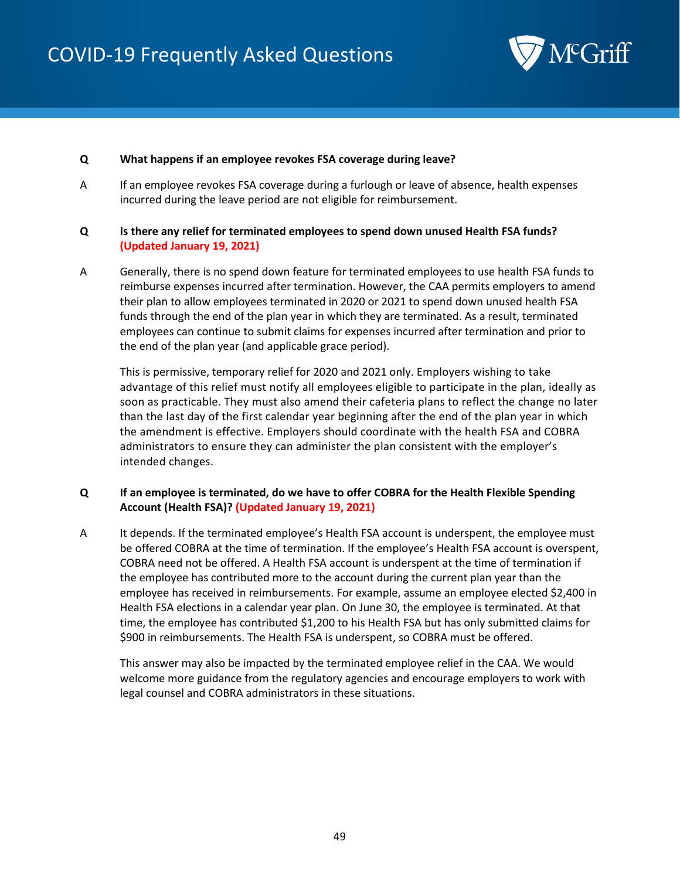

#### **Q What happens if an employee revokes FSA coverage during leave?**

A If an employee revokes FSA coverage during a furlough or leave of absence, health expenses incurred during the leave period are not eligible for reimbursement.

## **Q Is there any relief for terminated employees to spend down unused Health FSA funds? (Updated January 19, 2021)**

A Generally, there is no spend down feature for terminated employees to use health FSA funds to reimburse expenses incurred after termination. However, the CAA permits employers to amend their plan to allow employees terminated in 2020 or 2021 to spend down unused health FSA funds through the end of the plan year in which they are terminated. As a result, terminated employees can continue to submit claims for expenses incurred after termination and prior to the end of the plan year (and applicable grace period).

This is permissive, temporary relief for 2020 and 2021 only. Employers wishing to take advantage of this relief must notify all employees eligible to participate in the plan, ideally as soon as practicable. They must also amend their cafeteria plans to reflect the change no later than the last day of the first calendar year beginning after the end of the plan year in which the amendment is effective. Employers should coordinate with the health FSA and COBRA administrators to ensure they can administer the plan consistent with the employer's intended changes.

# **Q If an employee is terminated, do we have to offer COBRA for the Health Flexible Spending Account (Health FSA)? (Updated January 19, 2021)**

A It depends. If the terminated employee's Health FSA account is underspent, the employee must be offered COBRA at the time of termination. If the employee's Health FSA account is overspent, COBRA need not be offered. A Health FSA account is underspent at the time of termination if the employee has contributed more to the account during the current plan year than the employee has received in reimbursements. For example, assume an employee elected \$2,400 in Health FSA elections in a calendar year plan. On June 30, the employee is terminated. At that time, the employee has contributed \$1,200 to his Health FSA but has only submitted claims for \$900 in reimbursements. The Health FSA is underspent, so COBRA must be offered.

This answer may also be impacted by the terminated employee relief in the CAA. We would welcome more guidance from the regulatory agencies and encourage employers to work with legal counsel and COBRA administrators in these situations.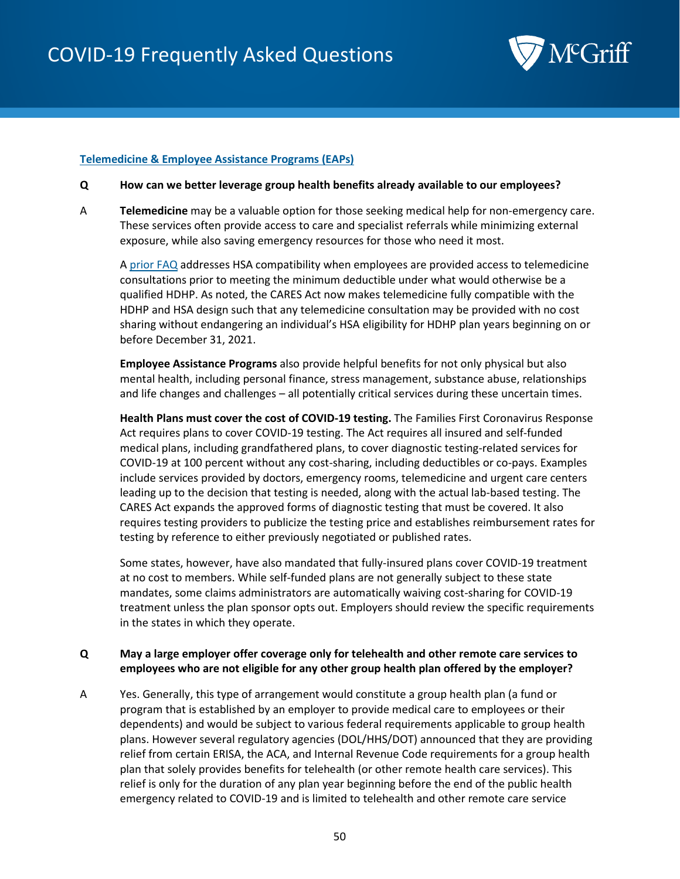

#### **Telemedicine & Employee Assistance Programs (EAPs)**

- **Q How can we better leverage group health benefits already available to our employees?**
- A **Telemedicine** may be a valuable option for those seeking medical help for non-emergency care. These services often provide access to care and specialist referrals while minimizing external exposure, while also saving emergency resources for those who need it most.

A [prior FAQ](#page-40-0) addresses HSA compatibility when employees are provided access to telemedicine consultations prior to meeting the minimum deductible under what would otherwise be a qualified HDHP. As noted, the CARES Act now makes telemedicine fully compatible with the HDHP and HSA design such that any telemedicine consultation may be provided with no cost sharing without endangering an individual's HSA eligibility for HDHP plan years beginning on or before December 31, 2021.

**Employee Assistance Programs** also provide helpful benefits for not only physical but also mental health, including personal finance, stress management, substance abuse, relationships and life changes and challenges – all potentially critical services during these uncertain times.

**Health Plans must cover the cost of COVID-19 testing.** The Families First Coronavirus Response Act requires plans to cover COVID-19 testing. The Act requires all insured and self-funded medical plans, including grandfathered plans, to cover diagnostic testing-related services for COVID-19 at 100 percent without any cost-sharing, including deductibles or co-pays. Examples include services provided by doctors, emergency rooms, telemedicine and urgent care centers leading up to the decision that testing is needed, along with the actual lab-based testing. The CARES Act expands the approved forms of diagnostic testing that must be covered. It also requires testing providers to publicize the testing price and establishes reimbursement rates for testing by reference to either previously negotiated or published rates.

Some states, however, have also mandated that fully-insured plans cover COVID-19 treatment at no cost to members. While self-funded plans are not generally subject to these state mandates, some claims administrators are automatically waiving cost-sharing for COVID-19 treatment unless the plan sponsor opts out. Employers should review the specific requirements in the states in which they operate.

## **Q May a large employer offer coverage only for telehealth and other remote care services to employees who are not eligible for any other group health plan offered by the employer?**

A Yes. Generally, this type of arrangement would constitute a group health plan (a fund or program that is established by an employer to provide medical care to employees or their dependents) and would be subject to various federal requirements applicable to group health plans. However several regulatory agencies (DOL/HHS/DOT) announced that they are providing relief from certain ERISA, the ACA, and Internal Revenue Code requirements for a group health plan that solely provides benefits for telehealth (or other remote health care services). This relief is only for the duration of any plan year beginning before the end of the public health emergency related to COVID-19 and is limited to telehealth and other remote care service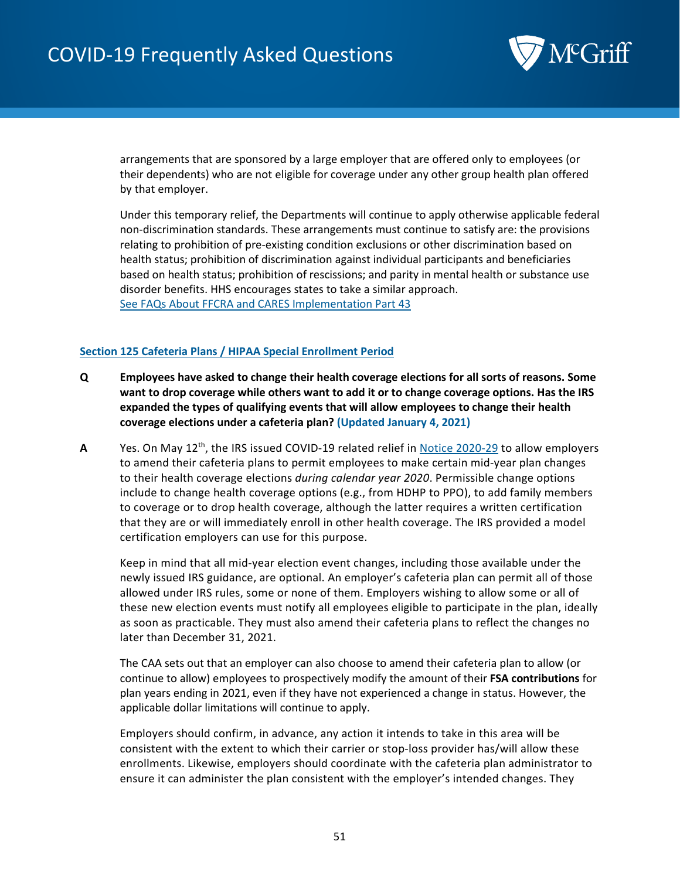

arrangements that are sponsored by a large employer that are offered only to employees (or their dependents) who are not eligible for coverage under any other group health plan offered by that employer.

Under this temporary relief, the Departments will continue to apply otherwise applicable federal non-discrimination standards. These arrangements must continue to satisfy are: the provisions relating to prohibition of pre-existing condition exclusions or other discrimination based on health status; prohibition of discrimination against individual participants and beneficiaries based on health status; prohibition of rescissions; and parity in mental health or substance use disorder benefits. HHS encourages states to take a similar approach. Se[e FAQs About FFCRA and CARES Implementation Part 43](https://www.dol.gov/sites/dolgov/files/ebsa/about-ebsa/our-activities/resource-center/faqs/aca-part-43.pdf) 

# **Section 125 Cafeteria Plans / HIPAA Special Enrollment Period**

- **Q Employees have asked to change their health coverage elections for all sorts of reasons. Some want to drop coverage while others want to add it or to change coverage options. Has the IRS expanded the types of qualifying events that will allow employees to change their health coverage elections under a cafeteria plan? (Updated January 4, 2021)**
- **A** Yes. On May 12th, the IRS issued COVID-19 related relief in [Notice 2020-29](https://www.irs.gov/pub/irs-drop/n-20-29.pdf) to allow employers to amend their cafeteria plans to permit employees to make certain mid-year plan changes to their health coverage elections *during calendar year 2020*. Permissible change options include to change health coverage options (e.g., from HDHP to PPO), to add family members to coverage or to drop health coverage, although the latter requires a written certification that they are or will immediately enroll in other health coverage. The IRS provided a model certification employers can use for this purpose.

Keep in mind that all mid-year election event changes, including those available under the newly issued IRS guidance, are optional. An employer's cafeteria plan can permit all of those allowed under IRS rules, some or none of them. Employers wishing to allow some or all of these new election events must notify all employees eligible to participate in the plan, ideally as soon as practicable. They must also amend their cafeteria plans to reflect the changes no later than December 31, 2021.

The CAA sets out that an employer can also choose to amend their cafeteria plan to allow (or continue to allow) employees to prospectively modify the amount of their **FSA contributions** for plan years ending in 2021, even if they have not experienced a change in status. However, the applicable dollar limitations will continue to apply.

Employers should confirm, in advance, any action it intends to take in this area will be consistent with the extent to which their carrier or stop-loss provider has/will allow these enrollments. Likewise, employers should coordinate with the cafeteria plan administrator to ensure it can administer the plan consistent with the employer's intended changes. They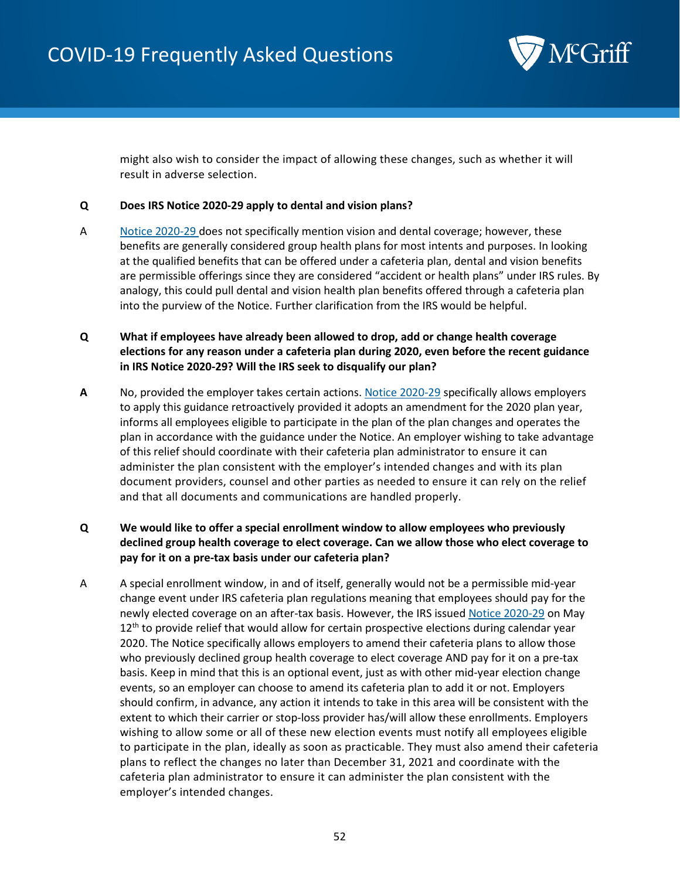

might also wish to consider the impact of allowing these changes, such as whether it will result in adverse selection.

## **Q Does IRS Notice 2020-29 apply to dental and vision plans?**

A Notice [2020-29](https://www.irs.gov/pub/irs-drop/n-20-29.pdf) does not specifically mention vision and dental coverage; however, these benefits are generally considered group health plans for most intents and purposes. In looking at the qualified benefits that can be offered under a cafeteria plan, dental and vision benefits are permissible offerings since they are considered "accident or health plans" under IRS rules. By analogy, this could pull dental and vision health plan benefits offered through a cafeteria plan into the purview of the Notice. Further clarification from the IRS would be helpful.

# **Q What if employees have already been allowed to drop, add or change health coverage elections for any reason under a cafeteria plan during 2020, even before the recent guidance in IRS Notice 2020-29? Will the IRS seek to disqualify our plan?**

**A** No, provided the employer takes certain actions. [Notice 2020-29](https://www.irs.gov/pub/irs-drop/n-20-29.pdf) specifically allows employers to apply this guidance retroactively provided it adopts an amendment for the 2020 plan year, informs all employees eligible to participate in the plan of the plan changes and operates the plan in accordance with the guidance under the Notice. An employer wishing to take advantage of this relief should coordinate with their cafeteria plan administrator to ensure it can administer the plan consistent with the employer's intended changes and with its plan document providers, counsel and other parties as needed to ensure it can rely on the relief and that all documents and communications are handled properly.

# **Q We would like to offer a special enrollment window to allow employees who previously declined group health coverage to elect coverage. Can we allow those who elect coverage to pay for it on a pre-tax basis under our cafeteria plan?**

A A special enrollment window, in and of itself, generally would not be a permissible mid-year change event under IRS cafeteria plan regulations meaning that employees should pay for the newly elected coverage on an after-tax basis. However, the IRS issued [Notice 2020-29](https://www.irs.gov/pub/irs-drop/n-20-29.pdf) on May  $12<sup>th</sup>$  to provide relief that would allow for certain prospective elections during calendar year 2020. The Notice specifically allows employers to amend their cafeteria plans to allow those who previously declined group health coverage to elect coverage AND pay for it on a pre-tax basis. Keep in mind that this is an optional event, just as with other mid-year election change events, so an employer can choose to amend its cafeteria plan to add it or not. Employers should confirm, in advance, any action it intends to take in this area will be consistent with the extent to which their carrier or stop-loss provider has/will allow these enrollments. Employers wishing to allow some or all of these new election events must notify all employees eligible to participate in the plan, ideally as soon as practicable. They must also amend their cafeteria plans to reflect the changes no later than December 31, 2021 and coordinate with the cafeteria plan administrator to ensure it can administer the plan consistent with the employer's intended changes.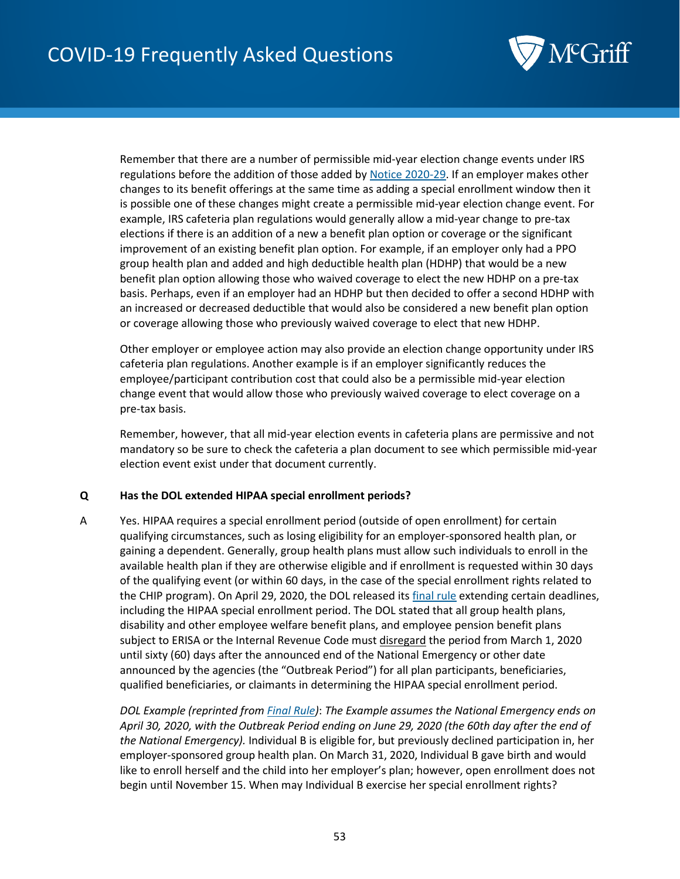

Remember that there are a number of permissible mid-year election change events under IRS regulations before the addition of those added by [Notice 2020-29.](https://www.irs.gov/pub/irs-drop/n-20-29.pdf) If an employer makes other changes to its benefit offerings at the same time as adding a special enrollment window then it is possible one of these changes might create a permissible mid-year election change event. For example, IRS cafeteria plan regulations would generally allow a mid-year change to pre-tax elections if there is an addition of a new a benefit plan option or coverage or the significant improvement of an existing benefit plan option. For example, if an employer only had a PPO group health plan and added and high deductible health plan (HDHP) that would be a new benefit plan option allowing those who waived coverage to elect the new HDHP on a pre-tax basis. Perhaps, even if an employer had an HDHP but then decided to offer a second HDHP with an increased or decreased deductible that would also be considered a new benefit plan option or coverage allowing those who previously waived coverage to elect that new HDHP.

Other employer or employee action may also provide an election change opportunity under IRS cafeteria plan regulations. Another example is if an employer significantly reduces the employee/participant contribution cost that could also be a permissible mid-year election change event that would allow those who previously waived coverage to elect coverage on a pre-tax basis.

Remember, however, that all mid-year election events in cafeteria plans are permissive and not mandatory so be sure to check the cafeteria a plan document to see which permissible mid-year election event exist under that document currently.

## **Q Has the DOL extended HIPAA special enrollment periods?**

A Yes. HIPAA requires a special enrollment period (outside of open enrollment) for certain qualifying circumstances, such as losing eligibility for an employer-sponsored health plan, or gaining a dependent. Generally, group health plans must allow such individuals to enroll in the available health plan if they are otherwise eligible and if enrollment is requested within 30 days of the qualifying event (or within 60 days, in the case of the special enrollment rights related to the CHIP program). On April 29, 2020, the DOL released its [final rule](https://www.federalregister.gov/documents/2020/05/04/2020-09399/extension-of-certain-timeframes-for-employee-benefit-plans-participants-and-beneficiaries-affected) extending certain deadlines, including the HIPAA special enrollment period. The DOL stated that all group health plans, disability and other employee welfare benefit plans, and employee pension benefit plans subject to ERISA or the Internal Revenue Code must disregard the period from March 1, 2020 until sixty (60) days after the announced end of the National Emergency or other date announced by the agencies (the "Outbreak Period") for all plan participants, beneficiaries, qualified beneficiaries, or claimants in determining the HIPAA special enrollment period.

*DOL Example (reprinted fro[m Final Rule\)](https://www.federalregister.gov/documents/2020/05/04/2020-09399/extension-of-certain-timeframes-for-employee-benefit-plans-participants-and-beneficiaries-affected)*: *The Example assumes the National Emergency ends on April 30, 2020, with the Outbreak Period ending on June 29, 2020 (the 60th day after the end of the National Emergency).* Individual B is eligible for, but previously declined participation in, her employer-sponsored group health plan. On March 31, 2020, Individual B gave birth and would like to enroll herself and the child into her employer's plan; however, open enrollment does not begin until November 15. When may Individual B exercise her special enrollment rights?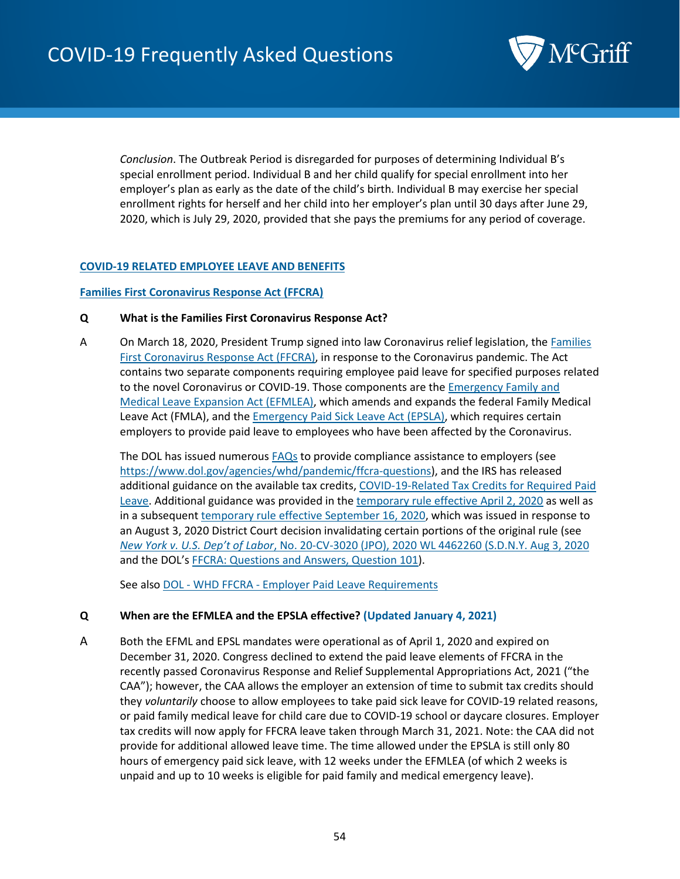

*Conclusion*. The Outbreak Period is disregarded for purposes of determining Individual B's special enrollment period. Individual B and her child qualify for special enrollment into her employer's plan as early as the date of the child's birth. Individual B may exercise her special enrollment rights for herself and her child into her employer's plan until 30 days after June 29, 2020, which is July 29, 2020, provided that she pays the premiums for any period of coverage.

## **COVID-19 RELATED EMPLOYEE LEAVE AND BENEFITS**

#### **Families First Coronavirus Response Act (FFCRA)**

## **Q What is the Families First Coronavirus Response Act?**

A On March 18, 2020, President Trump signed into law Coronavirus relief legislation, the Families [First Coronavirus Response Act \(FFCRA\),](https://www.congress.gov/116/bills/hr6201/BILLS-116hr6201eh.pdf) in response to the Coronavirus pandemic. The Act contains two separate components requiring employee paid leave for specified purposes related to the novel Coronavirus or COVID-19. Those components are th[e Emergency Family and](#page-62-0)  [Medical Leave Expansion Act \(EFMLEA\),](#page-62-0) which amends and expands the federal Family Medical Leave Act (FMLA), and th[e Emergency Paid Sick Leave Act \(EPSLA\),](#page-59-0) which requires certain employers to provide paid leave to employees who have been affected by the Coronavirus.

The DOL has issued numerous [FAQs](https://www.dol.gov/agencies/whd/pandemic/ffcra-questions) to provide compliance assistance to employers (see [https://www.dol.gov/agencies/whd/pandemic/ffcra-questions\)](https://www.dol.gov/agencies/whd/pandemic/ffcra-questions), and the IRS has released additional guidance on the available tax credits[, COVID-19-Related Tax Credits for Required Paid](https://www.irs.gov/newsroom/covid-19-related-tax-credits-for-required-paid-leave-provided-by-small-and-midsize-businesses-faqs)  [Leave.](https://www.irs.gov/newsroom/covid-19-related-tax-credits-for-required-paid-leave-provided-by-small-and-midsize-businesses-faqs) Additional guidance was provided in the [temporary rule effective April 2, 2020](https://www.federalregister.gov/documents/2020/04/06/2020-07237/paid-leave-under-the-families-first-coronavirus-response-act) as well as in a subsequent [temporary rule effective September 16, 2020,](https://www.federalregister.gov/documents/2020/09/16/2020-20351/paid-leave-under-the-families-first-coronavirus-response-act) which was issued in response to an August 3, 2020 District Court decision invalidating certain portions of the original rule (see *New York v. U.S. Dep't of Labor*, No. 20-CV-3020 (JPO), 2020 WL 4462260 (S.D.N.Y. Aug 3, 2020 and the DOL's [FFCRA: Questions and Answers, Question 101\)](https://www.dol.gov/agencies/whd/pandemic/ffcra-questions#101).

See also DOL - WHD FFCRA - [Employer Paid Leave Requirements](https://www.dol.gov/agencies/whd/pandemic/ffcra-employer-paid-leave)

## **Q When are the EFMLEA and the EPSLA effective? (Updated January 4, 2021)**

A Both the EFML and EPSL mandates were operational as of April 1, 2020 and expired on December 31, 2020. Congress declined to extend the paid leave elements of FFCRA in the recently passed Coronavirus Response and Relief Supplemental Appropriations Act, 2021 ("the CAA"); however, the CAA allows the employer an extension of time to submit tax credits should they *voluntarily* choose to allow employees to take paid sick leave for COVID-19 related reasons, or paid family medical leave for child care due to COVID-19 school or daycare closures. Employer tax credits will now apply for FFCRA leave taken through March 31, 2021. Note: the CAA did not provide for additional allowed leave time. The time allowed under the EPSLA is still only 80 hours of emergency paid sick leave, with 12 weeks under the EFMLEA (of which 2 weeks is unpaid and up to 10 weeks is eligible for paid family and medical emergency leave).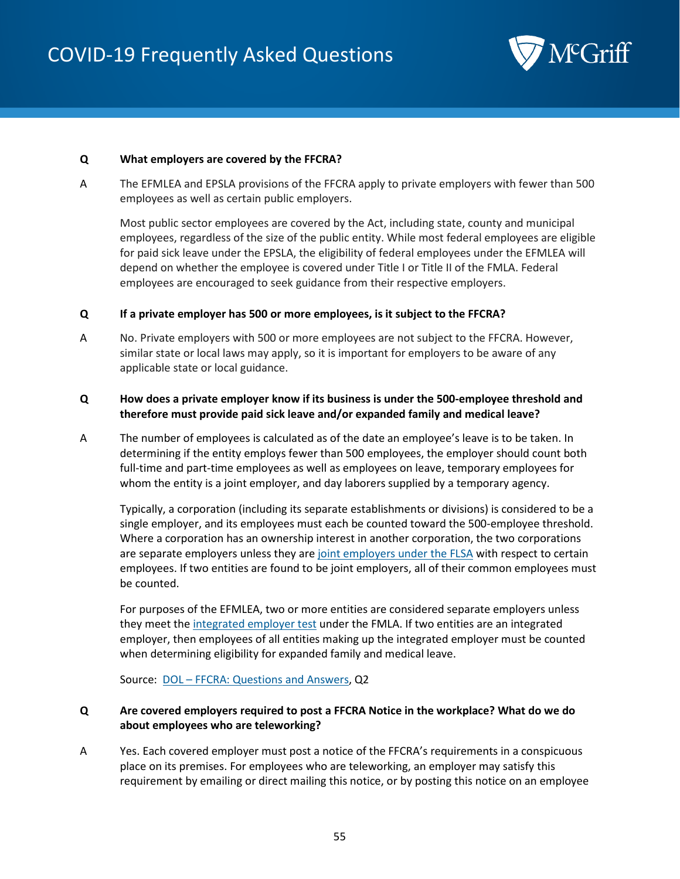

#### **Q What employers are covered by the FFCRA?**

A The EFMLEA and EPSLA provisions of the FFCRA apply to private employers with fewer than 500 employees as well as certain public employers.

Most public sector employees are covered by the Act, including state, county and municipal employees, regardless of the size of the public entity. While most federal employees are eligible for paid sick leave under the EPSLA, the eligibility of federal employees under the EFMLEA will depend on whether the employee is covered under Title I or Title II of the FMLA. Federal employees are encouraged to seek guidance from their respective employers.

#### **Q If a private employer has 500 or more employees, is it subject to the FFCRA?**

A No. Private employers with 500 or more employees are not subject to the FFCRA. However, similar state or local laws may apply, so it is important for employers to be aware of any applicable state or local guidance.

## **Q How does a private employer know if its business is under the 500-employee threshold and therefore must provide paid sick leave and/or expanded family and medical leave?**

A The number of employees is calculated as of the date an employee's leave is to be taken. In determining if the entity employs fewer than 500 employees, the employer should count both full-time and part-time employees as well as employees on leave, temporary employees for whom the entity is a joint employer, and day laborers supplied by a temporary agency.

Typically, a corporation (including its separate establishments or divisions) is considered to be a single employer, and its employees must each be counted toward the 500-employee threshold. Where a corporation has an ownership interest in another corporation, the two corporations are separate employers unless they are [joint employers under the FLSA](https://www.dol.gov/agencies/whd/flsa/2020-joint-employment/fact-sheet) with respect to certain employees. If two entities are found to be joint employers, all of their common employees must be counted.

For purposes of the EFMLEA, two or more entities are considered separate employers unless they meet th[e integrated employer test](https://www.dol.gov/sites/dolgov/files/WHD/legacy/files/FOH_Ch39.pdf) under the FMLA. If two entities are an integrated employer, then employees of all entities making up the integrated employer must be counted when determining eligibility for expanded family and medical leave.

Source: **DOL** – [FFCRA: Questions and Answers,](https://www.dol.gov/agencies/whd/pandemic/ffcra-questions) Q2

## **Q Are covered employers required to post a FFCRA Notice in the workplace? What do we do about employees who are teleworking?**

A Yes. Each covered employer must post a notice of the FFCRA's requirements in a conspicuous place on its premises. For employees who are teleworking, an employer may satisfy this requirement by emailing or direct mailing this notice, or by posting this notice on an employee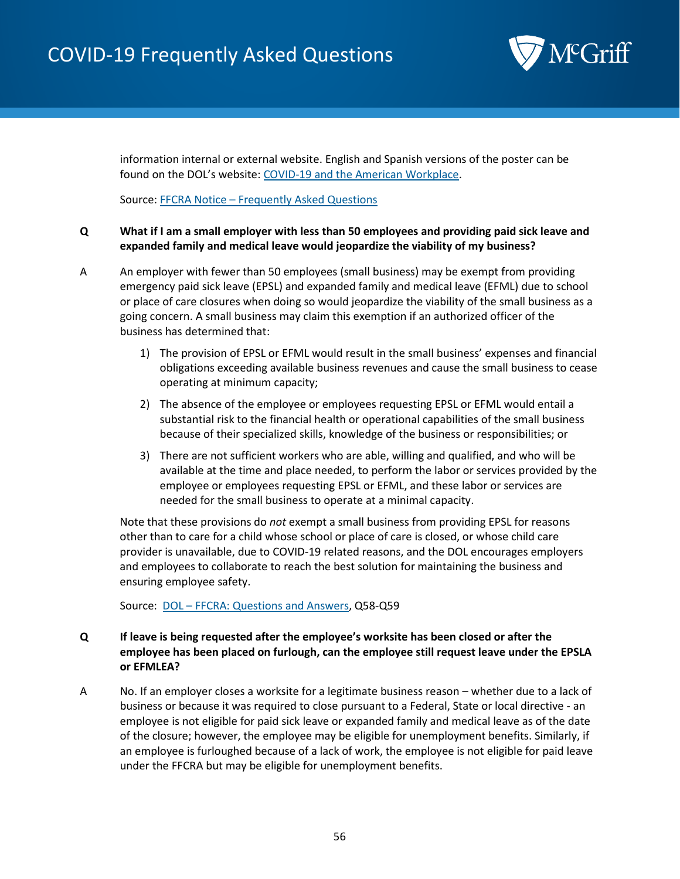# COVID-19 Frequently Asked Questions



information internal or external website. English and Spanish versions of the poster can be found on the DOL's website: [COVID-19 and the American Workplace.](https://www.dol.gov/agencies/whd/pandemic/ffcra-poster-questions)

Source: FFCRA Notice – [Frequently Asked Questions](https://www.dol.gov/agencies/whd/pandemic/ffcra-poster-questions)

# **Q What if I am a small employer with less than 50 employees and providing paid sick leave and expanded family and medical leave would jeopardize the viability of my business?**

- A An employer with fewer than 50 employees (small business) may be exempt from providing emergency paid sick leave (EPSL) and expanded family and medical leave (EFML) due to school or place of care closures when doing so would jeopardize the viability of the small business as a going concern. A small business may claim this exemption if an authorized officer of the business has determined that:
	- 1) The provision of EPSL or EFML would result in the small business' expenses and financial obligations exceeding available business revenues and cause the small business to cease operating at minimum capacity;
	- 2) The absence of the employee or employees requesting EPSL or EFML would entail a substantial risk to the financial health or operational capabilities of the small business because of their specialized skills, knowledge of the business or responsibilities; or
	- 3) There are not sufficient workers who are able, willing and qualified, and who will be available at the time and place needed, to perform the labor or services provided by the employee or employees requesting EPSL or EFML, and these labor or services are needed for the small business to operate at a minimal capacity.

Note that these provisions do *not* exempt a small business from providing EPSL for reasons other than to care for a child whose school or place of care is closed, or whose child care provider is unavailable, due to COVID-19 related reasons, and the DOL encourages employers and employees to collaborate to reach the best solution for maintaining the business and ensuring employee safety.

Source: DOL – [FFCRA: Questions and Answers,](https://www.dol.gov/agencies/whd/pandemic/ffcra-questions) Q58-Q59

# **Q If leave is being requested after the employee's worksite has been closed or after the employee has been placed on furlough, can the employee still request leave under the EPSLA or EFMLEA?**

A No. If an employer closes a worksite for a legitimate business reason – whether due to a lack of business or because it was required to close pursuant to a Federal, State or local directive - an employee is not eligible for paid sick leave or expanded family and medical leave as of the date of the closure; however, the employee may be eligible for unemployment benefits. Similarly, if an employee is furloughed because of a lack of work, the employee is not eligible for paid leave under the FFCRA but may be eligible for unemployment benefits.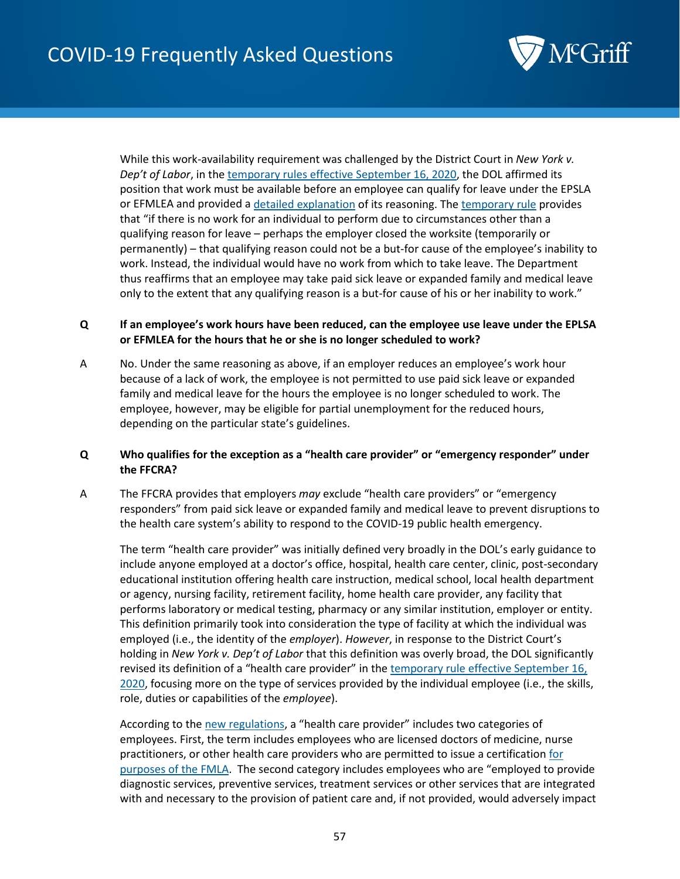

While this work-availability requirement was challenged by the District Court in *New York v. Dep't of Labor*, in the [temporary rules effective September 16, 2020,](https://www.federalregister.gov/documents/2020/09/16/2020-20351/paid-leave-under-the-families-first-coronavirus-response-act) the DOL affirmed its position that work must be available before an employee can qualify for leave under the EPSLA or EFMLEA and provided a [detailed explanation](https://www.federalregister.gov/d/2020-20351/p-21) of its reasoning. Th[e temporary rule](https://www.federalregister.gov/documents/2020/09/16/2020-20351/paid-leave-under-the-families-first-coronavirus-response-act) provides that "if there is no work for an individual to perform due to circumstances other than a qualifying reason for leave – perhaps the employer closed the worksite (temporarily or permanently) – that qualifying reason could not be a but-for cause of the employee's inability to work. Instead, the individual would have no work from which to take leave. The Department thus reaffirms that an employee may take paid sick leave or expanded family and medical leave only to the extent that any qualifying reason is a but-for cause of his or her inability to work."

## **Q If an employee's work hours have been reduced, can the employee use leave under the EPLSA or EFMLEA for the hours that he or she is no longer scheduled to work?**

A No. Under the same reasoning as above, if an employer reduces an employee's work hour because of a lack of work, the employee is not permitted to use paid sick leave or expanded family and medical leave for the hours the employee is no longer scheduled to work. The employee, however, may be eligible for partial unemployment for the reduced hours, depending on the particular state's guidelines.

# <span id="page-56-0"></span>**Q Who qualifies for the exception as a "health care provider" or "emergency responder" under the FFCRA?**

A The FFCRA provides that employers *may* exclude "health care providers" or "emergency responders" from paid sick leave or expanded family and medical leave to prevent disruptions to the health care system's ability to respond to the COVID-19 public health emergency.

The term "health care provider" was initially defined very broadly in the DOL's early guidance to include anyone employed at a doctor's office, hospital, health care center, clinic, post-secondary educational institution offering health care instruction, medical school, local health department or agency, nursing facility, retirement facility, home health care provider, any facility that performs laboratory or medical testing, pharmacy or any similar institution, employer or entity. This definition primarily took into consideration the type of facility at which the individual was employed (i.e., the identity of the *employer*). *However*, in response to the District Court's holding in *New York v. Dep't of Labor* that this definition was overly broad, the DOL significantly revised its definition of a "health care provider" in the temporary rule effective September 16, [2020,](https://www.federalregister.gov/documents/2020/09/16/2020-20351/paid-leave-under-the-families-first-coronavirus-response-act) focusing more on the type of services provided by the individual employee (i.e., the skills, role, duties or capabilities of the *employee*).

According to th[e new regulations,](https://www.federalregister.gov/documents/2020/09/16/2020-20351/paid-leave-under-the-families-first-coronavirus-response-act) a "health care provider" includes two categories of employees. First, the term includes employees who are licensed doctors of medicine, nurse practitioners, or other health care providers who are permitted to issue a certification for [purposes of the FMLA.](https://www.ecfr.gov/cgi-bin/text-idx?mc=true&node=se29.3.825_1125&rgn=div8) The second category includes employees who are "employed to provide diagnostic services, preventive services, treatment services or other services that are integrated with and necessary to the provision of patient care and, if not provided, would adversely impact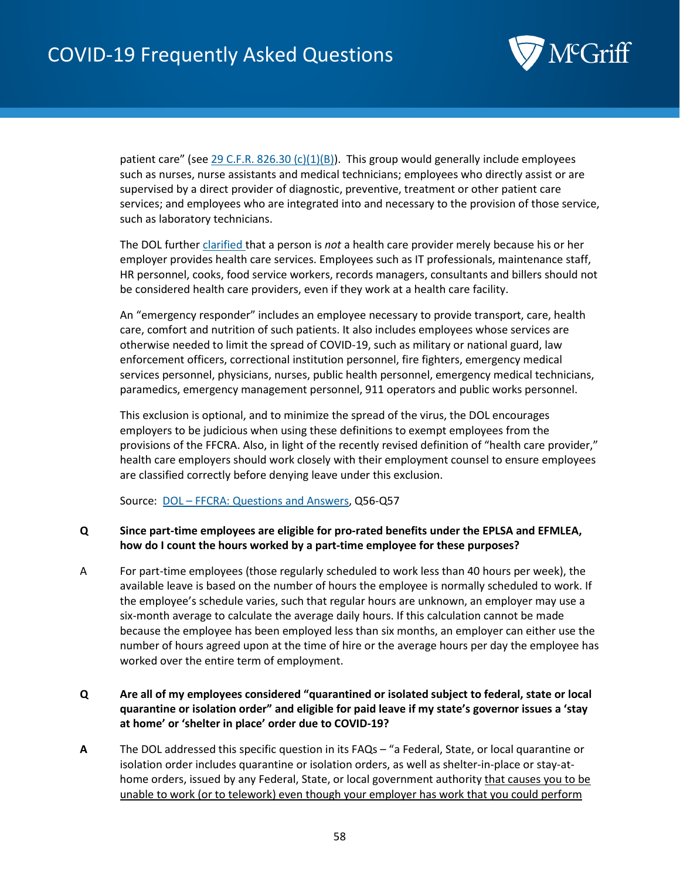

patient care" (see [29 C.F.R. 826.30 \(c\)\(1\)\(B\)\)](https://www.federalregister.gov/d/2020-20351/p-147). This group would generally include employees such as nurses, nurse assistants and medical technicians; employees who directly assist or are supervised by a direct provider of diagnostic, preventive, treatment or other patient care services; and employees who are integrated into and necessary to the provision of those service, such as laboratory technicians.

The DOL furthe[r clarified t](https://www.dol.gov/agencies/whd/pandemic/ffcra-questions#56)hat a person is *not* a health care provider merely because his or her employer provides health care services. Employees such as IT professionals, maintenance staff, HR personnel, cooks, food service workers, records managers, consultants and billers should not be considered health care providers, even if they work at a health care facility.

An "emergency responder" includes an employee necessary to provide transport, care, health care, comfort and nutrition of such patients. It also includes employees whose services are otherwise needed to limit the spread of COVID-19, such as military or national guard, law enforcement officers, correctional institution personnel, fire fighters, emergency medical services personnel, physicians, nurses, public health personnel, emergency medical technicians, paramedics, emergency management personnel, 911 operators and public works personnel.

This exclusion is optional, and to minimize the spread of the virus, the DOL encourages employers to be judicious when using these definitions to exempt employees from the provisions of the FFCRA. Also, in light of the recently revised definition of "health care provider," health care employers should work closely with their employment counsel to ensure employees are classified correctly before denying leave under this exclusion.

Source: DOL – [FFCRA: Questions and Answers,](https://www.dol.gov/agencies/whd/pandemic/ffcra-questions) Q56-Q57

# <span id="page-57-0"></span>**Q Since part-time employees are eligible for pro-rated benefits under the EPLSA and EFMLEA, how do I count the hours worked by a part-time employee for these purposes?**

A For part-time employees (those regularly scheduled to work less than 40 hours per week), the available leave is based on the number of hours the employee is normally scheduled to work. If the employee's schedule varies, such that regular hours are unknown, an employer may use a six-month average to calculate the average daily hours. If this calculation cannot be made because the employee has been employed less than six months, an employer can either use the number of hours agreed upon at the time of hire or the average hours per day the employee has worked over the entire term of employment.

# **Q Are all of my employees considered "quarantined or isolated subject to federal, state or local quarantine or isolation order" and eligible for paid leave if my state's governor issues a 'stay at home' or 'shelter in place' order due to COVID-19?**

**A** The DOL addressed this specific question in its FAQs – "a Federal, State, or local quarantine or isolation order includes quarantine or isolation orders, as well as shelter-in-place or stay-athome orders, issued by any Federal, State, or local government authority that causes you to be unable to work (or to telework) even though your employer has work that you could perform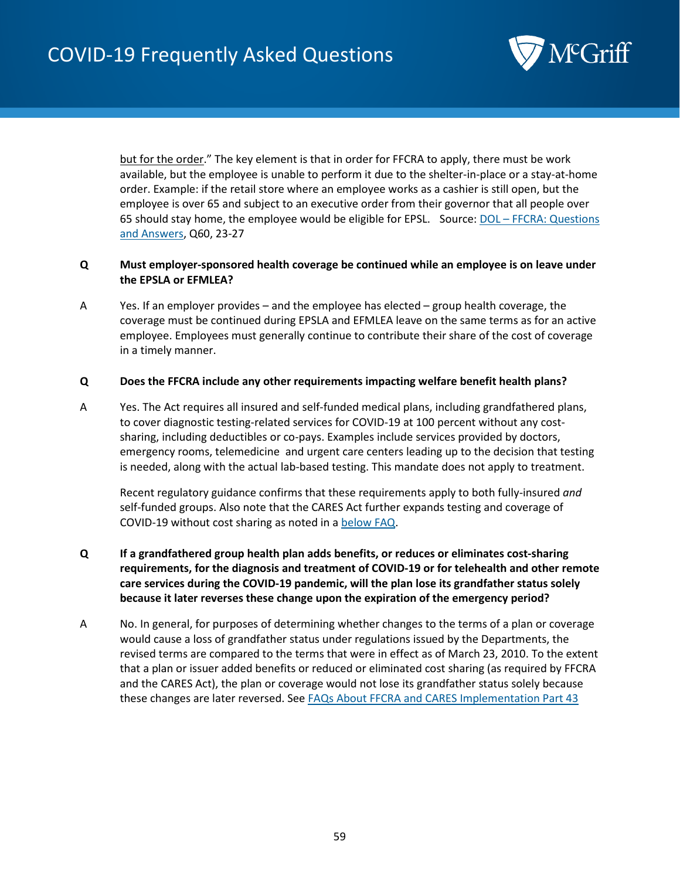

but for the order." The key element is that in order for FFCRA to apply, there must be work available, but the employee is unable to perform it due to the shelter-in-place or a stay-at-home order. Example: if the retail store where an employee works as a cashier is still open, but the employee is over 65 and subject to an executive order from their governor that all people over 65 should stay home, the employee would be eligible for EPSL. Source: DOL - FFCRA: Questions [and Answers,](https://www.dol.gov/agencies/whd/pandemic/ffcra-questions) Q60, 23-27

# **Q Must employer-sponsored health coverage be continued while an employee is on leave under the EPSLA or EFMLEA?**

A Yes. If an employer provides – and the employee has elected – group health coverage, the coverage must be continued during EPSLA and EFMLEA leave on the same terms as for an active employee. Employees must generally continue to contribute their share of the cost of coverage in a timely manner.

#### **Q Does the FFCRA include any other requirements impacting welfare benefit health plans?**

A Yes. The Act requires all insured and self-funded medical plans, including grandfathered plans, to cover diagnostic testing-related services for COVID-19 at 100 percent without any costsharing, including deductibles or co-pays. Examples include services provided by doctors, emergency rooms, telemedicine and urgent care centers leading up to the decision that testing is needed, along with the actual lab-based testing. This mandate does not apply to treatment.

Recent regulatory guidance confirms that these requirements apply to both fully-insured *and*  self-funded groups. Also note that the CARES Act further expands testing and coverage of COVID-19 without cost sharing as noted in a [below FAQ.](#page-87-0)

- **Q If a grandfathered group health plan adds benefits, or reduces or eliminates cost-sharing requirements, for the diagnosis and treatment of COVID-19 or for telehealth and other remote care services during the COVID-19 pandemic, will the plan lose its grandfather status solely because it later reverses these change upon the expiration of the emergency period?**
- A No. In general, for purposes of determining whether changes to the terms of a plan or coverage would cause a loss of grandfather status under regulations issued by the Departments, the revised terms are compared to the terms that were in effect as of March 23, 2010. To the extent that a plan or issuer added benefits or reduced or eliminated cost sharing (as required by FFCRA and the CARES Act), the plan or coverage would not lose its grandfather status solely because these changes are later reversed. See [FAQs About FFCRA and CARES Implementation Part 43](https://www.dol.gov/sites/dolgov/files/ebsa/about-ebsa/our-activities/resource-center/faqs/aca-part-43.pdf)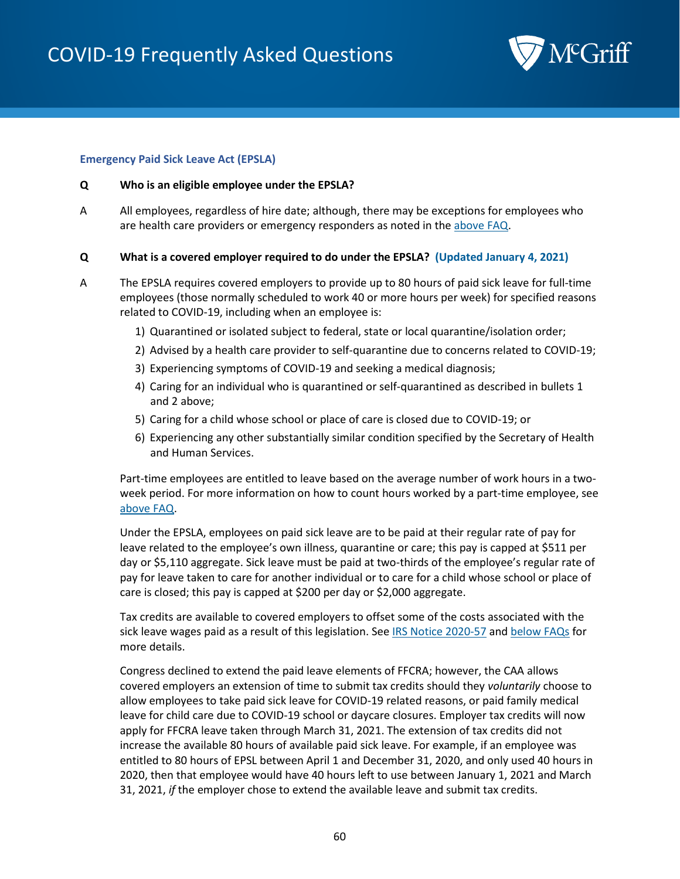

#### <span id="page-59-0"></span>**Emergency Paid Sick Leave Act (EPSLA)**

#### **Q Who is an eligible employee under the EPSLA?**

A All employees, regardless of hire date; although, there may be exceptions for employees who are health care providers or emergency responders as noted in the [above FAQ.](#page-56-0)

#### **Q What is a covered employer required to do under the EPSLA? (Updated January 4, 2021)**

- A The EPSLA requires covered employers to provide up to 80 hours of paid sick leave for full-time employees (those normally scheduled to work 40 or more hours per week) for specified reasons related to COVID-19, including when an employee is:
	- 1) Quarantined or isolated subject to federal, state or local quarantine/isolation order;
	- 2) Advised by a health care provider to self-quarantine due to concerns related to COVID-19;
	- 3) Experiencing symptoms of COVID-19 and seeking a medical diagnosis;
	- 4) Caring for an individual who is quarantined or self-quarantined as described in bullets 1 and 2 above;
	- 5) Caring for a child whose school or place of care is closed due to COVID-19; or
	- 6) Experiencing any other substantially similar condition specified by the Secretary of Health and Human Services.

Part-time employees are entitled to leave based on the average number of work hours in a twoweek period. For more information on how to count hours worked by a part-time employee, see [above FAQ.](#page-57-0)

Under the EPSLA, employees on paid sick leave are to be paid at their regular rate of pay for leave related to the employee's own illness, quarantine or care; this pay is capped at \$511 per day or \$5,110 aggregate. Sick leave must be paid at two-thirds of the employee's regular rate of pay for leave taken to care for another individual or to care for a child whose school or place of care is closed; this pay is capped at \$200 per day or \$2,000 aggregate.

Tax credits are available to covered employers to offset some of the costs associated with the sick leave wages paid as a result of this legislation. See [IRS Notice 2020-57](https://www.irs.gov/newsroom/treasury-irs-and-labor-announce-plan-to-implement-coronavirus-related-paid-leave-for-workers-and-tax-credits-for-small-and-midsize-businesses-to-swiftly-recover-the-cost-of-providing-coronavirus) and [below FAQs](#page-65-0) for more details.

Congress declined to extend the paid leave elements of FFCRA; however, the CAA allows covered employers an extension of time to submit tax credits should they *voluntarily* choose to allow employees to take paid sick leave for COVID-19 related reasons, or paid family medical leave for child care due to COVID-19 school or daycare closures. Employer tax credits will now apply for FFCRA leave taken through March 31, 2021. The extension of tax credits did not increase the available 80 hours of available paid sick leave. For example, if an employee was entitled to 80 hours of EPSL between April 1 and December 31, 2020, and only used 40 hours in 2020, then that employee would have 40 hours left to use between January 1, 2021 and March 31, 2021, *if* the employer chose to extend the available leave and submit tax credits.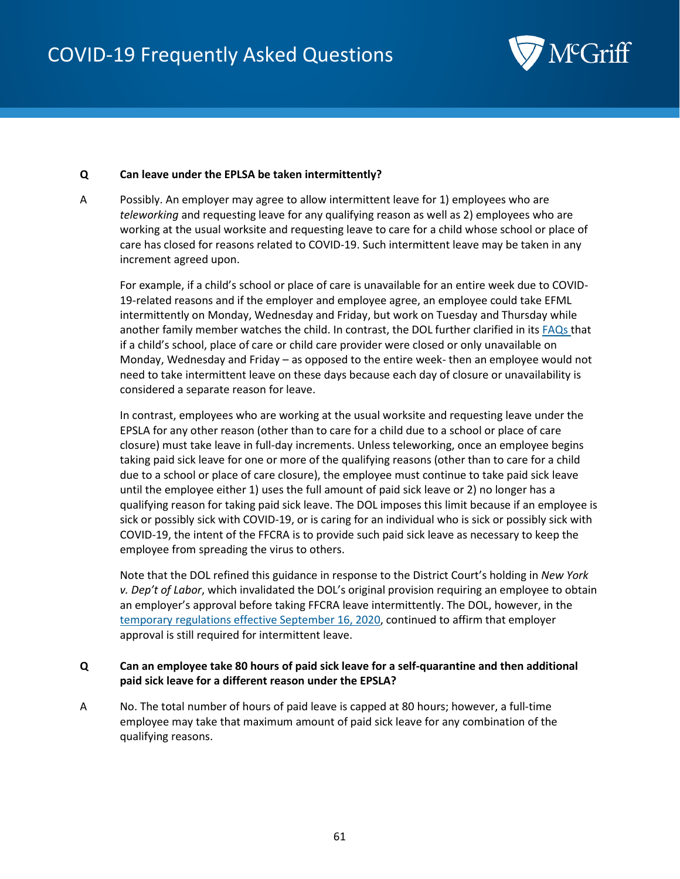

#### **Q Can leave under the EPLSA be taken intermittently?**

A Possibly. An employer may agree to allow intermittent leave for 1) employees who are *teleworking* and requesting leave for any qualifying reason as well as 2) employees who are working at the usual worksite and requesting leave to care for a child whose school or place of care has closed for reasons related to COVID-19. Such intermittent leave may be taken in any increment agreed upon.

For example, if a child's school or place of care is unavailable for an entire week due to COVID-19-related reasons and if the employer and employee agree, an employee could take EFML intermittently on Monday, Wednesday and Friday, but work on Tuesday and Thursday while another family member watches the child. In contrast, the DOL further clarified in its [FAQs t](https://www.dol.gov/agencies/whd/pandemic/ffcra-questions#21)hat if a child's school, place of care or child care provider were closed or only unavailable on Monday, Wednesday and Friday – as opposed to the entire week- then an employee would not need to take intermittent leave on these days because each day of closure or unavailability is considered a separate reason for leave.

In contrast, employees who are working at the usual worksite and requesting leave under the EPSLA for any other reason (other than to care for a child due to a school or place of care closure) must take leave in full-day increments. Unless teleworking, once an employee begins taking paid sick leave for one or more of the qualifying reasons (other than to care for a child due to a school or place of care closure), the employee must continue to take paid sick leave until the employee either 1) uses the full amount of paid sick leave or 2) no longer has a qualifying reason for taking paid sick leave. The DOL imposes this limit because if an employee is sick or possibly sick with COVID-19, or is caring for an individual who is sick or possibly sick with COVID-19, the intent of the FFCRA is to provide such paid sick leave as necessary to keep the employee from spreading the virus to others.

Note that the DOL refined this guidance in response to the District Court's holding in *New York v. Dep't of Labor*, which invalidated the DOL's original provision requiring an employee to obtain an employer's approval before taking FFCRA leave intermittently. The DOL, however, in the [temporary regulations effective September 16, 2020,](https://www.federalregister.gov/documents/2020/09/16/2020-20351/paid-leave-under-the-families-first-coronavirus-response-act) continued to affirm that employer approval is still required for intermittent leave.

## **Q Can an employee take 80 hours of paid sick leave for a self-quarantine and then additional paid sick leave for a different reason under the EPSLA?**

A No. The total number of hours of paid leave is capped at 80 hours; however, a full-time employee may take that maximum amount of paid sick leave for any combination of the qualifying reasons.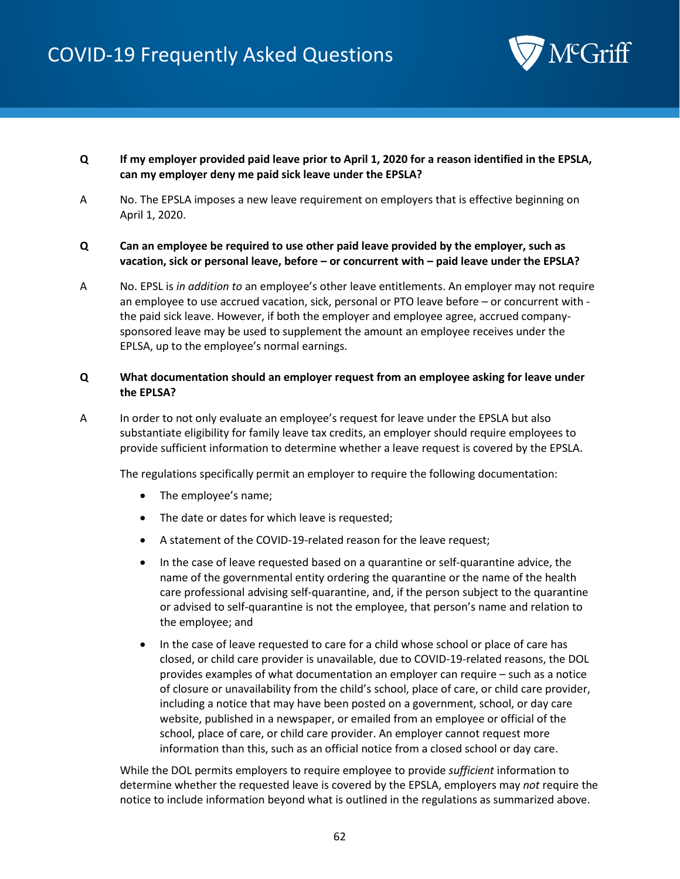

- **Q If my employer provided paid leave prior to April 1, 2020 for a reason identified in the EPSLA, can my employer deny me paid sick leave under the EPSLA?**
- A No. The EPSLA imposes a new leave requirement on employers that is effective beginning on April 1, 2020.

## **Q Can an employee be required to use other paid leave provided by the employer, such as vacation, sick or personal leave, before – or concurrent with – paid leave under the EPSLA?**

A No. EPSL is *in addition to* an employee's other leave entitlements. An employer may not require an employee to use accrued vacation, sick, personal or PTO leave before – or concurrent with the paid sick leave. However, if both the employer and employee agree, accrued companysponsored leave may be used to supplement the amount an employee receives under the EPLSA, up to the employee's normal earnings.

## **Q What documentation should an employer request from an employee asking for leave under the EPLSA?**

A In order to not only evaluate an employee's request for leave under the EPSLA but also substantiate eligibility for family leave tax credits, an employer should require employees to provide sufficient information to determine whether a leave request is covered by the EPSLA.

The regulations specifically permit an employer to require the following documentation:

- The employee's name;
- The date or dates for which leave is requested;
- A statement of the COVID-19-related reason for the leave request;
- In the case of leave requested based on a quarantine or self-quarantine advice, the name of the governmental entity ordering the quarantine or the name of the health care professional advising self-quarantine, and, if the person subject to the quarantine or advised to self-quarantine is not the employee, that person's name and relation to the employee; and
- In the case of leave requested to care for a child whose school or place of care has closed, or child care provider is unavailable, due to COVID-19-related reasons, the DOL provides examples of what documentation an employer can require – such as a notice of closure or unavailability from the child's school, place of care, or child care provider, including a notice that may have been posted on a government, school, or day care website, published in a newspaper, or emailed from an employee or official of the school, place of care, or child care provider. An employer cannot request more information than this, such as an official notice from a closed school or day care.

While the DOL permits employers to require employee to provide *sufficient* information to determine whether the requested leave is covered by the EPSLA, employers may *not* require the notice to include information beyond what is outlined in the regulations as summarized above.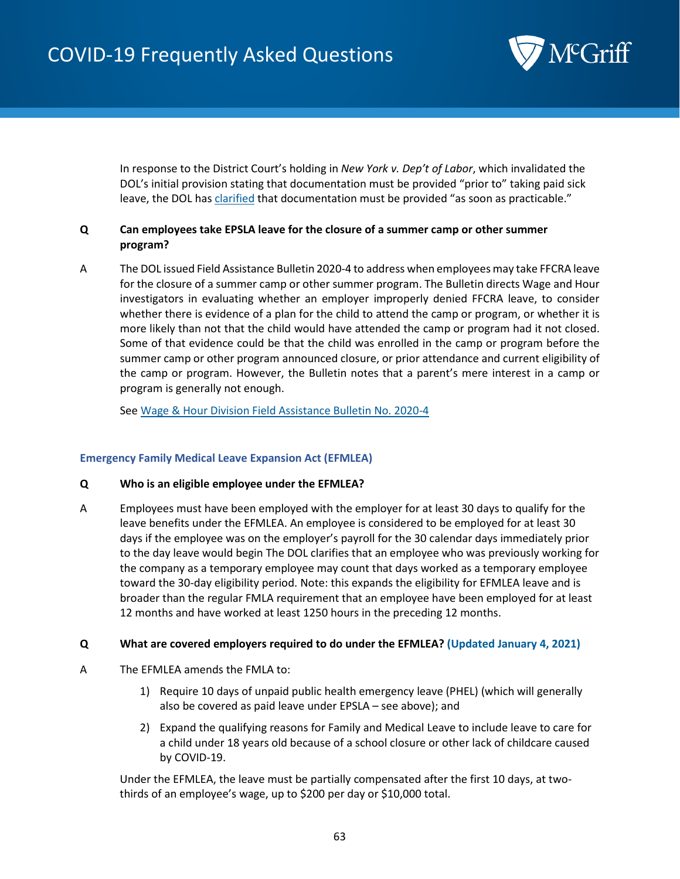

In response to the District Court's holding in *New York v. Dep't of Labor*, which invalidated the DOL's initial provision stating that documentation must be provided "prior to" taking paid sick leave, the DOL ha[s clarified](https://www.federalregister.gov/d/2020-20351/p-96) that documentation must be provided "as soon as practicable."

# **Q Can employees take EPSLA leave for the closure of a summer camp or other summer program?**

A The DOL issued Field Assistance Bulletin 2020-4 to address when employees may take FFCRA leave for the closure of a summer camp or other summer program. The Bulletin directs Wage and Hour investigators in evaluating whether an employer improperly denied FFCRA leave, to consider whether there is evidence of a plan for the child to attend the camp or program, or whether it is more likely than not that the child would have attended the camp or program had it not closed. Some of that evidence could be that the child was enrolled in the camp or program before the summer camp or other program announced closure, or prior attendance and current eligibility of the camp or program. However, the Bulletin notes that a parent's mere interest in a camp or program is generally not enough.

Se[e Wage & Hour Division Field Assistance Bulletin No. 2020-4](https://www.dol.gov/sites/dolgov/files/WHD/legacy/files/fab_2020_4.pdf)

## <span id="page-62-0"></span>**Emergency Family Medical Leave Expansion Act (EFMLEA)**

- **Q Who is an eligible employee under the EFMLEA?**
- A Employees must have been employed with the employer for at least 30 days to qualify for the leave benefits under the EFMLEA. An employee is considered to be employed for at least 30 days if the employee was on the employer's payroll for the 30 calendar days immediately prior to the day leave would begin The DOL clarifies that an employee who was previously working for the company as a temporary employee may count that days worked as a temporary employee toward the 30-day eligibility period. Note: this expands the eligibility for EFMLEA leave and is broader than the regular FMLA requirement that an employee have been employed for at least 12 months and have worked at least 1250 hours in the preceding 12 months.

#### **Q What are covered employers required to do under the EFMLEA? (Updated January 4, 2021)**

- A The EFMLEA amends the FMLA to:
	- 1) Require 10 days of unpaid public health emergency leave (PHEL) (which will generally also be covered as paid leave under EPSLA – see above); and
	- 2) Expand the qualifying reasons for Family and Medical Leave to include leave to care for a child under 18 years old because of a school closure or other lack of childcare caused by COVID-19.

Under the EFMLEA, the leave must be partially compensated after the first 10 days, at twothirds of an employee's wage, up to \$200 per day or \$10,000 total.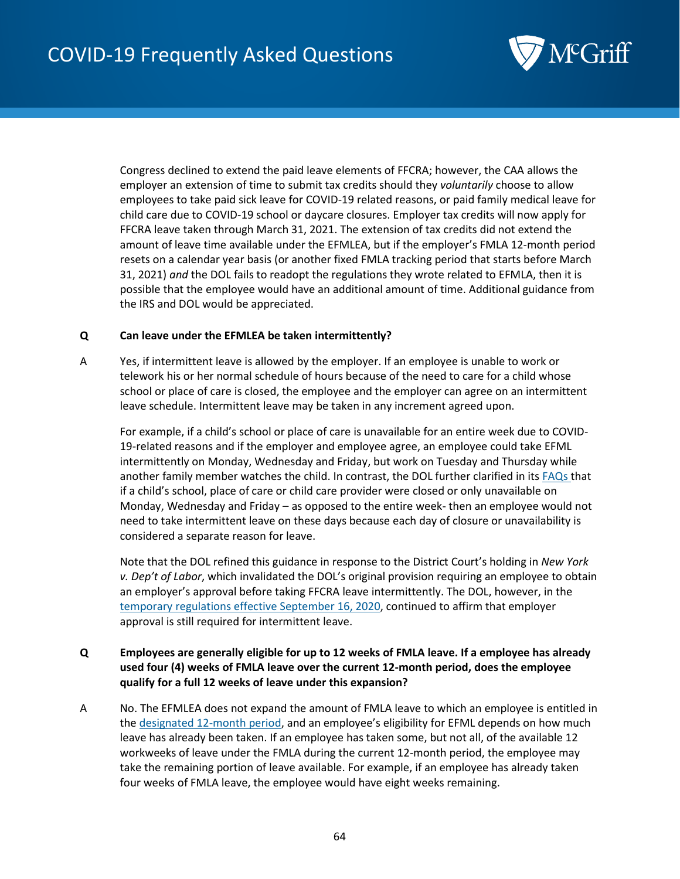

Congress declined to extend the paid leave elements of FFCRA; however, the CAA allows the employer an extension of time to submit tax credits should they *voluntarily* choose to allow employees to take paid sick leave for COVID-19 related reasons, or paid family medical leave for child care due to COVID-19 school or daycare closures. Employer tax credits will now apply for FFCRA leave taken through March 31, 2021. The extension of tax credits did not extend the amount of leave time available under the EFMLEA, but if the employer's FMLA 12-month period resets on a calendar year basis (or another fixed FMLA tracking period that starts before March 31, 2021) *and* the DOL fails to readopt the regulations they wrote related to EFMLA, then it is possible that the employee would have an additional amount of time. Additional guidance from the IRS and DOL would be appreciated.

## **Q Can leave under the EFMLEA be taken intermittently?**

A Yes, if intermittent leave is allowed by the employer. If an employee is unable to work or telework his or her normal schedule of hours because of the need to care for a child whose school or place of care is closed, the employee and the employer can agree on an intermittent leave schedule. Intermittent leave may be taken in any increment agreed upon.

For example, if a child's school or place of care is unavailable for an entire week due to COVID-19-related reasons and if the employer and employee agree, an employee could take EFML intermittently on Monday, Wednesday and Friday, but work on Tuesday and Thursday while another family member watches the child. In contrast, the DOL further clarified in its [FAQs t](https://www.dol.gov/agencies/whd/pandemic/ffcra-questions#21)hat if a child's school, place of care or child care provider were closed or only unavailable on Monday, Wednesday and Friday – as opposed to the entire week- then an employee would not need to take intermittent leave on these days because each day of closure or unavailability is considered a separate reason for leave.

Note that the DOL refined this guidance in response to the District Court's holding in *New York v. Dep't of Labor*, which invalidated the DOL's original provision requiring an employee to obtain an employer's approval before taking FFCRA leave intermittently. The DOL, however, in the [temporary regulations effective September 16, 2020,](https://www.federalregister.gov/documents/2020/09/16/2020-20351/paid-leave-under-the-families-first-coronavirus-response-act) continued to affirm that employer approval is still required for intermittent leave.

## **Q Employees are generally eligible for up to 12 weeks of FMLA leave. If a employee has already used four (4) weeks of FMLA leave over the current 12-month period, does the employee qualify for a full 12 weeks of leave under this expansion?**

A No. The EFMLEA does not expand the amount of FMLA leave to which an employee is entitled in the [designated 12-month period,](https://www.dol.gov/sites/dolgov/files/WHD/legacy/files/whdfs28h.pdf) and an employee's eligibility for EFML depends on how much leave has already been taken. If an employee has taken some, but not all, of the available 12 workweeks of leave under the FMLA during the current 12-month period, the employee may take the remaining portion of leave available. For example, if an employee has already taken four weeks of FMLA leave, the employee would have eight weeks remaining.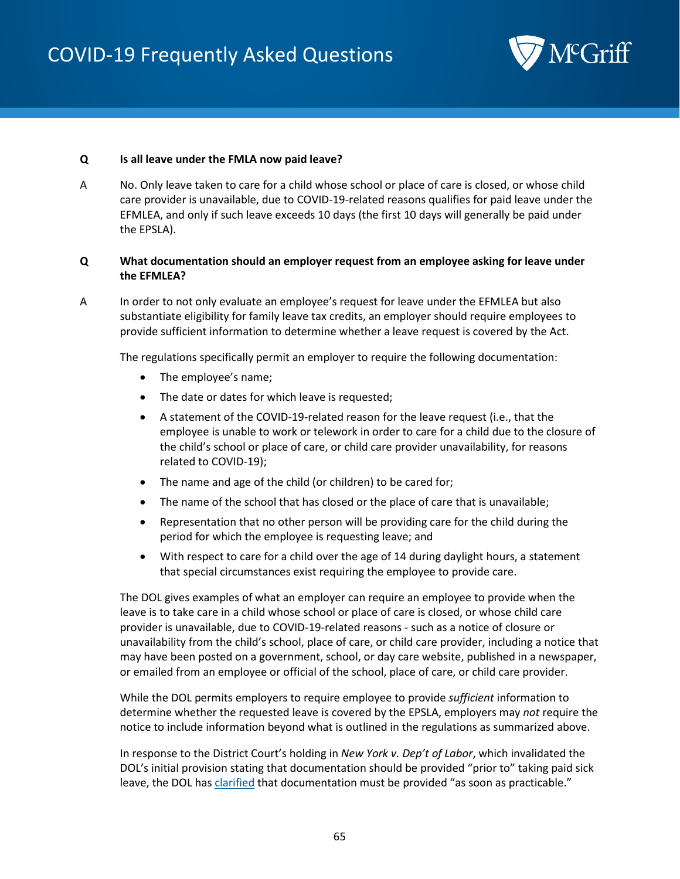

#### **Q Is all leave under the FMLA now paid leave?**

A No. Only leave taken to care for a child whose school or place of care is closed, or whose child care provider is unavailable, due to COVID-19-related reasons qualifies for paid leave under the EFMLEA, and only if such leave exceeds 10 days (the first 10 days will generally be paid under the EPSLA).

## **Q What documentation should an employer request from an employee asking for leave under the EFMLEA?**

A In order to not only evaluate an employee's request for leave under the EFMLEA but also substantiate eligibility for family leave tax credits, an employer should require employees to provide sufficient information to determine whether a leave request is covered by the Act.

The regulations specifically permit an employer to require the following documentation:

- The employee's name;
- The date or dates for which leave is requested;
- A statement of the COVID-19-related reason for the leave request (i.e., that the employee is unable to work or telework in order to care for a child due to the closure of the child's school or place of care, or child care provider unavailability, for reasons related to COVID-19);
- The name and age of the child (or children) to be cared for;
- The name of the school that has closed or the place of care that is unavailable;
- Representation that no other person will be providing care for the child during the period for which the employee is requesting leave; and
- With respect to care for a child over the age of 14 during daylight hours, a statement that special circumstances exist requiring the employee to provide care.

The DOL gives examples of what an employer can require an employee to provide when the leave is to take care in a child whose school or place of care is closed, or whose child care provider is unavailable, due to COVID-19-related reasons - such as a notice of closure or unavailability from the child's school, place of care, or child care provider, including a notice that may have been posted on a government, school, or day care website, published in a newspaper, or emailed from an employee or official of the school, place of care, or child care provider.

While the DOL permits employers to require employee to provide *sufficient* information to determine whether the requested leave is covered by the EPSLA, employers may *not* require the notice to include information beyond what is outlined in the regulations as summarized above.

In response to the District Court's holding in *New York v. Dep't of Labor*, which invalidated the DOL's initial provision stating that documentation should be provided "prior to" taking paid sick leave, the DOL ha[s clarified](https://www.federalregister.gov/d/2020-20351/p-96) that documentation must be provided "as soon as practicable."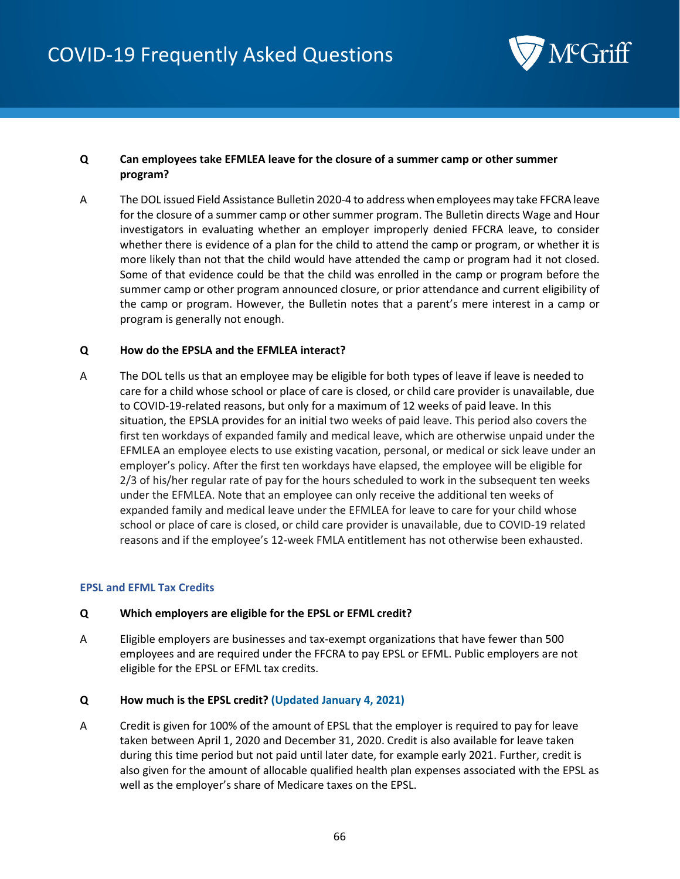

# **Q Can employees take EFMLEA leave for the closure of a summer camp or other summer program?**

A The DOL issued Field Assistance Bulletin 2020-4 to address when employees may take FFCRA leave for the closure of a summer camp or other summer program. The Bulletin directs Wage and Hour investigators in evaluating whether an employer improperly denied FFCRA leave, to consider whether there is evidence of a plan for the child to attend the camp or program, or whether it is more likely than not that the child would have attended the camp or program had it not closed. Some of that evidence could be that the child was enrolled in the camp or program before the summer camp or other program announced closure, or prior attendance and current eligibility of the camp or program. However, the Bulletin notes that a parent's mere interest in a camp or program is generally not enough.

#### **Q How do the EPSLA and the EFMLEA interact?**

A The DOL tells us that an employee may be eligible for both types of leave if leave is needed to care for a child whose school or place of care is closed, or child care provider is unavailable, due to COVID-19-related reasons, but only for a maximum of 12 weeks of paid leave. In this situation, the EPSLA provides for an initial two weeks of paid leave. This period also covers the first ten workdays of expanded family and medical leave, which are otherwise unpaid under the EFMLEA an employee elects to use existing vacation, personal, or medical or sick leave under an employer's policy. After the first ten workdays have elapsed, the employee will be eligible for 2/3 of his/her regular rate of pay for the hours scheduled to work in the subsequent ten weeks under the EFMLEA. Note that an employee can only receive the additional ten weeks of expanded family and medical leave under the EFMLEA for leave to care for your child whose school or place of care is closed, or child care provider is unavailable, due to COVID-19 related reasons and if the employee's 12-week FMLA entitlement has not otherwise been exhausted.

#### <span id="page-65-0"></span>**EPSL and EFML Tax Credits**

## **Q Which employers are eligible for the EPSL or EFML credit?**

A Eligible employers are businesses and tax-exempt organizations that have fewer than 500 employees and are required under the FFCRA to pay EPSL or EFML. Public employers are not eligible for the EPSL or EFML tax credits.

#### **Q How much is the EPSL credit? (Updated January 4, 2021)**

A Credit is given for 100% of the amount of EPSL that the employer is required to pay for leave taken between April 1, 2020 and December 31, 2020. Credit is also available for leave taken during this time period but not paid until later date, for example early 2021. Further, credit is also given for the amount of allocable qualified health plan expenses associated with the EPSL as well as the employer's share of Medicare taxes on the EPSL.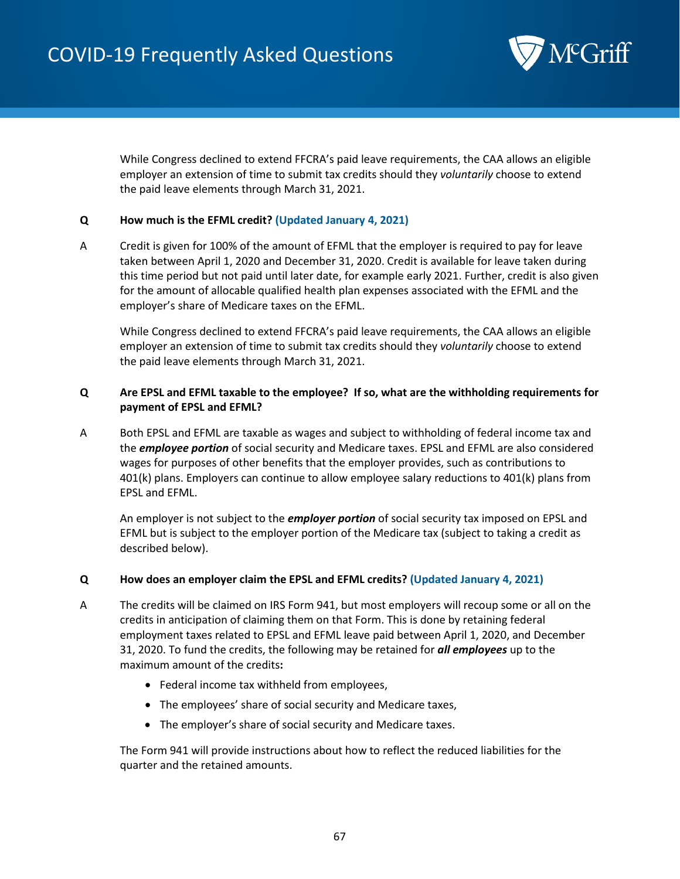

While Congress declined to extend FFCRA's paid leave requirements, the CAA allows an eligible employer an extension of time to submit tax credits should they *voluntarily* choose to extend the paid leave elements through March 31, 2021.

## **Q How much is the EFML credit? (Updated January 4, 2021)**

A Credit is given for 100% of the amount of EFML that the employer is required to pay for leave taken between April 1, 2020 and December 31, 2020. Credit is available for leave taken during this time period but not paid until later date, for example early 2021. Further, credit is also given for the amount of allocable qualified health plan expenses associated with the EFML and the employer's share of Medicare taxes on the EFML.

While Congress declined to extend FFCRA's paid leave requirements, the CAA allows an eligible employer an extension of time to submit tax credits should they *voluntarily* choose to extend the paid leave elements through March 31, 2021.

# **Q Are EPSL and EFML taxable to the employee? If so, what are the withholding requirements for payment of EPSL and EFML?**

A Both EPSL and EFML are taxable as wages and subject to withholding of federal income tax and the *employee portion* of social security and Medicare taxes. EPSL and EFML are also considered wages for purposes of other benefits that the employer provides, such as contributions to 401(k) plans. Employers can continue to allow employee salary reductions to 401(k) plans from EPSL and EFML.

An employer is not subject to the *employer portion* of social security tax imposed on EPSL and EFML but is subject to the employer portion of the Medicare tax (subject to taking a credit as described below).

#### **Q How does an employer claim the EPSL and EFML credits? (Updated January 4, 2021)**

- A The credits will be claimed on IRS Form 941, but most employers will recoup some or all on the credits in anticipation of claiming them on that Form. This is done by retaining federal employment taxes related to EPSL and EFML leave paid between April 1, 2020, and December 31, 2020. To fund the credits, the following may be retained for *all employees* up to the maximum amount of the credits**:** 
	- Federal income tax withheld from employees,
	- The employees' share of social security and Medicare taxes,
	- The employer's share of social security and Medicare taxes.

The Form 941 will provide instructions about how to reflect the reduced liabilities for the quarter and the retained amounts.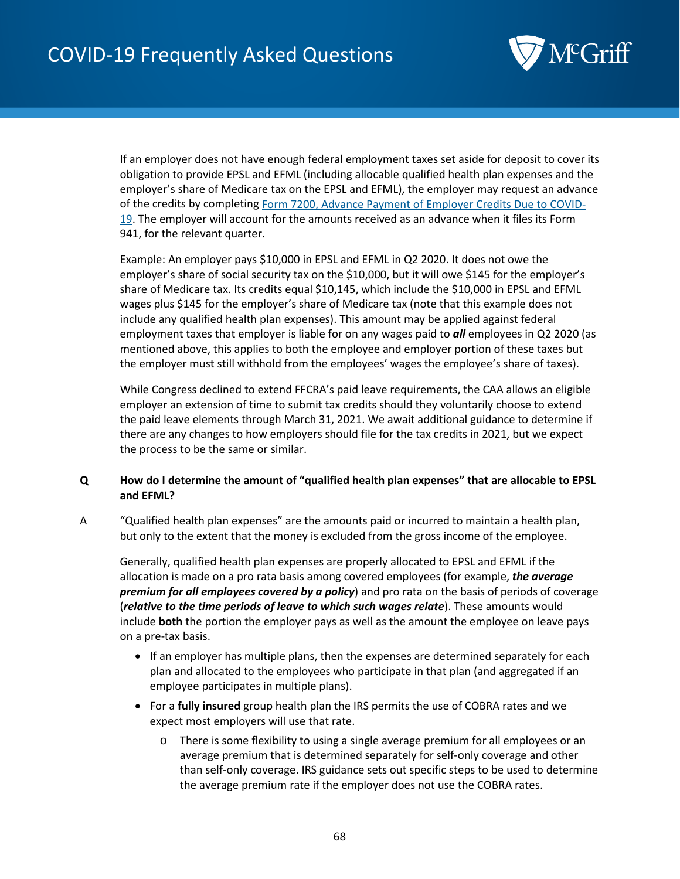

If an employer does not have enough federal employment taxes set aside for deposit to cover its obligation to provide EPSL and EFML (including allocable qualified health plan expenses and the employer's share of Medicare tax on the EPSL and EFML), the employer may request an advance of the credits by completing [Form 7200, Advance Payment of Employer Credits Due to COVID-](https://www.irs.gov/forms-pubs/about-form-7200)[19.](https://www.irs.gov/forms-pubs/about-form-7200) The employer will account for the amounts received as an advance when it files its Form 941, for the relevant quarter.

Example: An employer pays \$10,000 in EPSL and EFML in Q2 2020. It does not owe the employer's share of social security tax on the \$10,000, but it will owe \$145 for the employer's share of Medicare tax. Its credits equal \$10,145, which include the \$10,000 in EPSL and EFML wages plus \$145 for the employer's share of Medicare tax (note that this example does not include any qualified health plan expenses). This amount may be applied against federal employment taxes that employer is liable for on any wages paid to *all* employees in Q2 2020 (as mentioned above, this applies to both the employee and employer portion of these taxes but the employer must still withhold from the employees' wages the employee's share of taxes).

While Congress declined to extend FFCRA's paid leave requirements, the CAA allows an eligible employer an extension of time to submit tax credits should they voluntarily choose to extend the paid leave elements through March 31, 2021. We await additional guidance to determine if there are any changes to how employers should file for the tax credits in 2021, but we expect the process to be the same or similar.

# **Q How do I determine the amount of "qualified health plan expenses" that are allocable to EPSL and EFML?**

A "Qualified health plan expenses" are the amounts paid or incurred to maintain a health plan, but only to the extent that the money is excluded from the gross income of the employee.

Generally, qualified health plan expenses are properly allocated to EPSL and EFML if the allocation is made on a pro rata basis among covered employees (for example, *the average premium for all employees covered by a policy*) and pro rata on the basis of periods of coverage (*relative to the time periods of leave to which such wages relate*). These amounts would include **both** the portion the employer pays as well as the amount the employee on leave pays on a pre-tax basis.

- If an employer has multiple plans, then the expenses are determined separately for each plan and allocated to the employees who participate in that plan (and aggregated if an employee participates in multiple plans).
- For a **fully insured** group health plan the IRS permits the use of COBRA rates and we expect most employers will use that rate.
	- o There is some flexibility to using a single average premium for all employees or an average premium that is determined separately for self-only coverage and other than self-only coverage. IRS guidance sets out specific steps to be used to determine the average premium rate if the employer does not use the COBRA rates.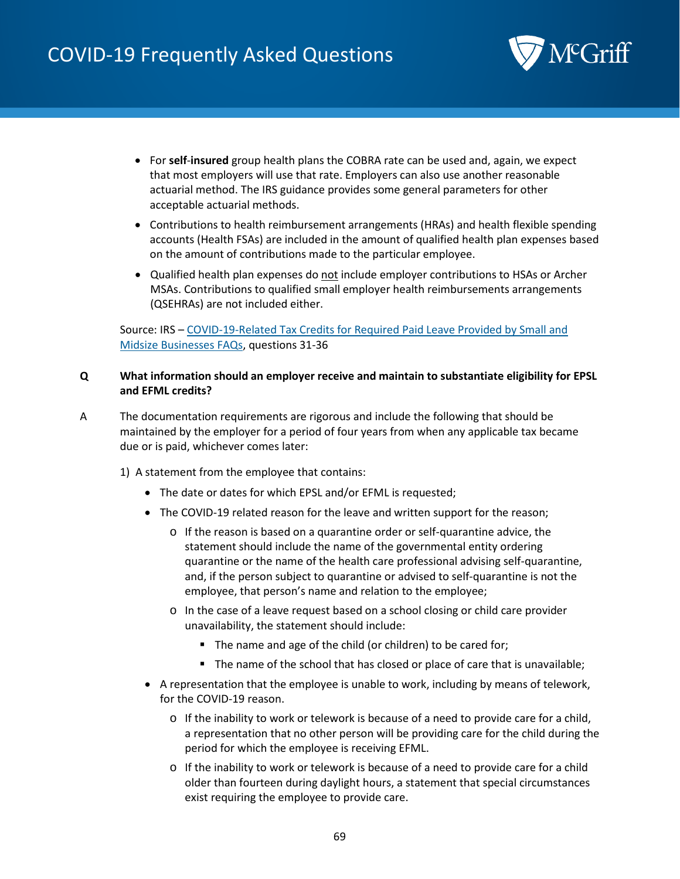

- For **self**-**insured** group health plans the COBRA rate can be used and, again, we expect that most employers will use that rate. Employers can also use another reasonable actuarial method. The IRS guidance provides some general parameters for other acceptable actuarial methods.
- Contributions to health reimbursement arrangements (HRAs) and health flexible spending accounts (Health FSAs) are included in the amount of qualified health plan expenses based on the amount of contributions made to the particular employee.
- Qualified health plan expenses do not include employer contributions to HSAs or Archer MSAs. Contributions to qualified small employer health reimbursements arrangements (QSEHRAs) are not included either.

# Source: IRS – COVID-19-Related Tax Credits [for Required Paid Leave Provided by Small and](https://www.irs.gov/newsroom/covid-19-related-tax-credits-for-required-paid-leave-provided-by-small-and-midsize-businesses-faqs)  [Midsize Businesses FAQs,](https://www.irs.gov/newsroom/covid-19-related-tax-credits-for-required-paid-leave-provided-by-small-and-midsize-businesses-faqs) questions 31-36

## **Q What information should an employer receive and maintain to substantiate eligibility for EPSL and EFML credits?**

- A The documentation requirements are rigorous and include the following that should be maintained by the employer for a period of four years from when any applicable tax became due or is paid, whichever comes later:
	- 1) A statement from the employee that contains:
		- The date or dates for which EPSL and/or EFML is requested;
		- The COVID-19 related reason for the leave and written support for the reason;
			- o If the reason is based on a quarantine order or self-quarantine advice, the statement should include the name of the governmental entity ordering quarantine or the name of the health care professional advising self-quarantine, and, if the person subject to quarantine or advised to self-quarantine is not the employee, that person's name and relation to the employee;
			- o In the case of a leave request based on a school closing or child care provider unavailability, the statement should include:
				- The name and age of the child (or children) to be cared for;
				- The name of the school that has closed or place of care that is unavailable;
		- A representation that the employee is unable to work, including by means of telework, for the COVID-19 reason.
			- $\circ$  If the inability to work or telework is because of a need to provide care for a child, a representation that no other person will be providing care for the child during the period for which the employee is receiving EFML.
			- o If the inability to work or telework is because of a need to provide care for a child older than fourteen during daylight hours, a statement that special circumstances exist requiring the employee to provide care.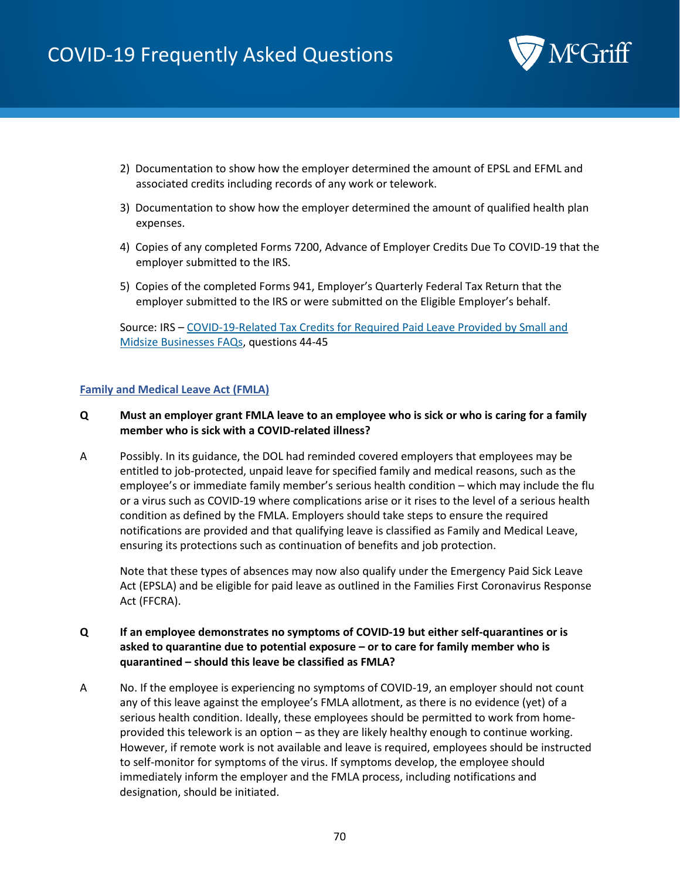

- 2) Documentation to show how the employer determined the amount of EPSL and EFML and associated credits including records of any work or telework.
- 3) Documentation to show how the employer determined the amount of qualified health plan expenses.
- 4) Copies of any completed Forms 7200, Advance of Employer Credits Due To COVID-19 that the employer submitted to the IRS.
- 5) Copies of the completed Forms 941, Employer's Quarterly Federal Tax Return that the employer submitted to the IRS or were submitted on the Eligible Employer's behalf.

Source: IRS – [COVID-19-Related Tax Credits for Required Paid Leave Provided](https://www.irs.gov/newsroom/covid-19-related-tax-credits-for-required-paid-leave-provided-by-small-and-midsize-businesses-faqs) by Small and [Midsize Businesses FAQs,](https://www.irs.gov/newsroom/covid-19-related-tax-credits-for-required-paid-leave-provided-by-small-and-midsize-businesses-faqs) questions 44-45

#### **Family and Medical Leave Act (FMLA)**

# **Q Must an employer grant FMLA leave to an employee who is sick or who is caring for a family member who is sick with a COVID-related illness?**

A Possibly. In its guidance, the DOL had reminded covered employers that employees may be entitled to job-protected, unpaid leave for specified family and medical reasons, such as the employee's or immediate family member's serious health condition – which may include the flu or a virus such as COVID-19 where complications arise or it rises to the level of a serious health condition as defined by the FMLA. Employers should take steps to ensure the required notifications are provided and that qualifying leave is classified as Family and Medical Leave, ensuring its protections such as continuation of benefits and job protection.

Note that these types of absences may now also qualify under the Emergency Paid Sick Leave Act (EPSLA) and be eligible for paid leave as outlined in the Families First Coronavirus Response Act (FFCRA).

## **Q If an employee demonstrates no symptoms of COVID-19 but either self-quarantines or is asked to quarantine due to potential exposure – or to care for family member who is quarantined – should this leave be classified as FMLA?**

A No. If the employee is experiencing no symptoms of COVID-19, an employer should not count any of this leave against the employee's FMLA allotment, as there is no evidence (yet) of a serious health condition. Ideally, these employees should be permitted to work from homeprovided this telework is an option – as they are likely healthy enough to continue working. However, if remote work is not available and leave is required, employees should be instructed to self-monitor for symptoms of the virus. If symptoms develop, the employee should immediately inform the employer and the FMLA process, including notifications and designation, should be initiated.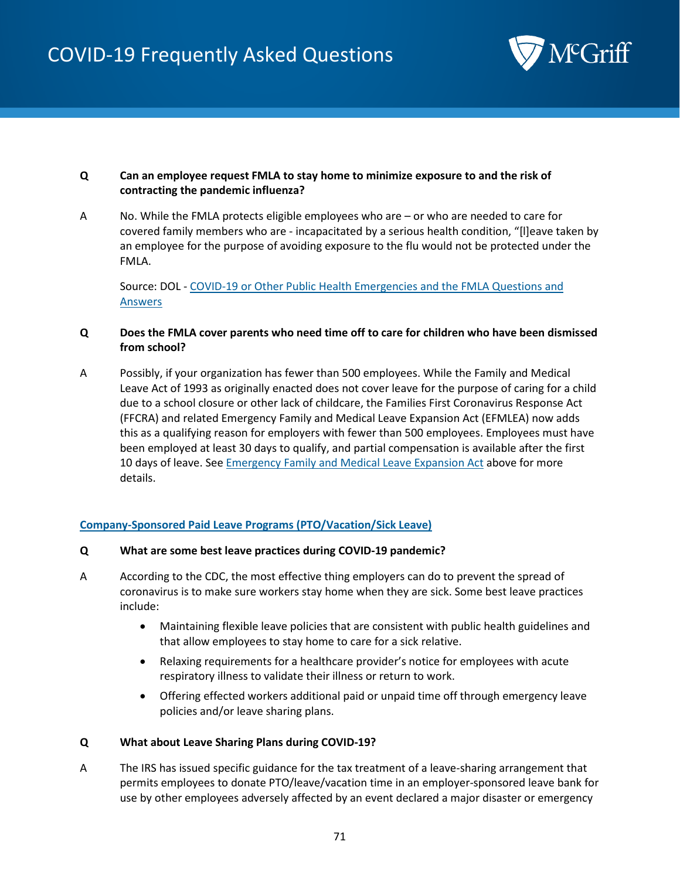

## **Q Can an employee request FMLA to stay home to minimize exposure to and the risk of contracting the pandemic influenza?**

A No. While the FMLA protects eligible employees who are – or who are needed to care for covered family members who are - incapacitated by a serious health condition, "[l]eave taken by an employee for the purpose of avoiding exposure to the flu would not be protected under the FMLA.

Source: DOL - [COVID-19 or Other Public Health Emergencies and the FMLA Questions and](https://www.dol.gov/agencies/whd/fmla/pandemic)  [Answers](https://www.dol.gov/agencies/whd/fmla/pandemic)

## **Q Does the FMLA cover parents who need time off to care for children who have been dismissed from school?**

A Possibly, if your organization has fewer than 500 employees. While the Family and Medical Leave Act of 1993 as originally enacted does not cover leave for the purpose of caring for a child due to a school closure or other lack of childcare, the Families First Coronavirus Response Act (FFCRA) and related Emergency Family and Medical Leave Expansion Act (EFMLEA) now adds this as a qualifying reason for employers with fewer than 500 employees. Employees must have been employed at least 30 days to qualify, and partial compensation is available after the first 10 days of leave. Se[e Emergency Family and Medical Leave Expansion Act](#page-62-0) above for more details.

## **Company-Sponsored Paid Leave Programs (PTO/Vacation/Sick Leave)**

## **Q What are some best leave practices during COVID-19 pandemic?**

- A According to the CDC, the most effective thing employers can do to prevent the spread of coronavirus is to make sure workers stay home when they are sick. Some best leave practices include:
	- Maintaining flexible leave policies that are consistent with public health guidelines and that allow employees to stay home to care for a sick relative.
	- Relaxing requirements for a healthcare provider's notice for employees with acute respiratory illness to validate their illness or return to work.
	- Offering effected workers additional paid or unpaid time off through emergency leave policies and/or leave sharing plans.

## **Q What about Leave Sharing Plans during COVID-19?**

A The IRS has issued specific guidance for the tax treatment of a leave-sharing arrangement that permits employees to donate PTO/leave/vacation time in an employer-sponsored leave bank for use by other employees adversely affected by an event declared a major disaster or emergency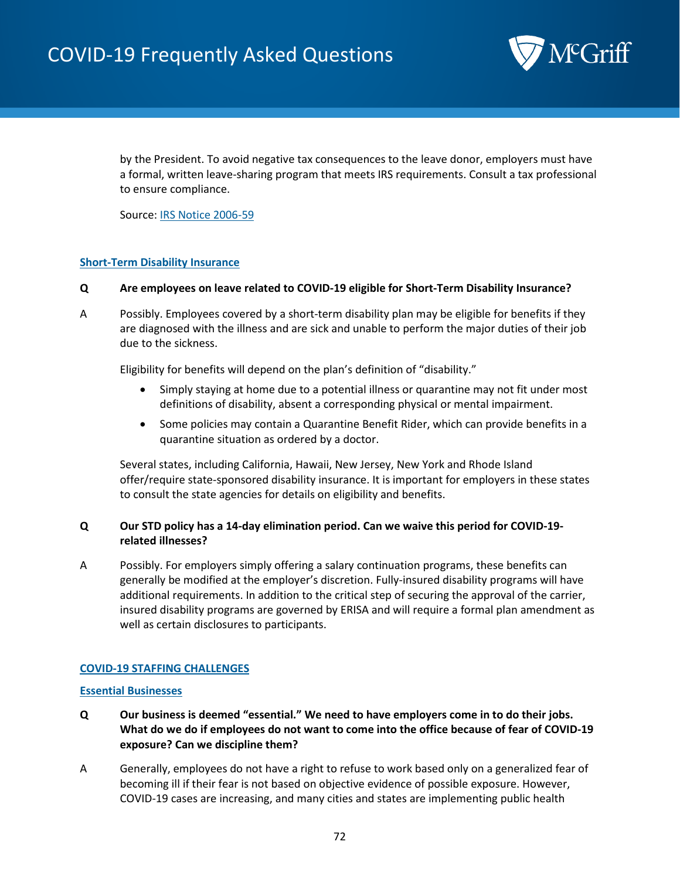

by the President. To avoid negative tax consequences to the leave donor, employers must have a formal, written leave-sharing program that meets IRS requirements. Consult a tax professional to ensure compliance.

Source: [IRS Notice 2006-59](https://www.irs.gov/pub/irs-drop/n-06-59.pdf)

## **Short-Term Disability Insurance**

#### **Q Are employees on leave related to COVID-19 eligible for Short-Term Disability Insurance?**

A Possibly. Employees covered by a short-term disability plan may be eligible for benefits if they are diagnosed with the illness and are sick and unable to perform the major duties of their job due to the sickness.

Eligibility for benefits will depend on the plan's definition of "disability."

- Simply staying at home due to a potential illness or quarantine may not fit under most definitions of disability, absent a corresponding physical or mental impairment.
- Some policies may contain a Quarantine Benefit Rider, which can provide benefits in a quarantine situation as ordered by a doctor.

Several states, including California, Hawaii, New Jersey, New York and Rhode Island offer/require state-sponsored disability insurance. It is important for employers in these states to consult the state agencies for details on eligibility and benefits.

# **Q Our STD policy has a 14-day elimination period. Can we waive this period for COVID-19 related illnesses?**

A Possibly. For employers simply offering a salary continuation programs, these benefits can generally be modified at the employer's discretion. Fully-insured disability programs will have additional requirements. In addition to the critical step of securing the approval of the carrier, insured disability programs are governed by ERISA and will require a formal plan amendment as well as certain disclosures to participants.

## **COVID-19 STAFFING CHALLENGES**

#### **Essential Businesses**

- **Q Our business is deemed "essential." We need to have employers come in to do their jobs. What do we do if employees do not want to come into the office because of fear of COVID-19 exposure? Can we discipline them?**
- A Generally, employees do not have a right to refuse to work based only on a generalized fear of becoming ill if their fear is not based on objective evidence of possible exposure. However, COVID-19 cases are increasing, and many cities and states are implementing public health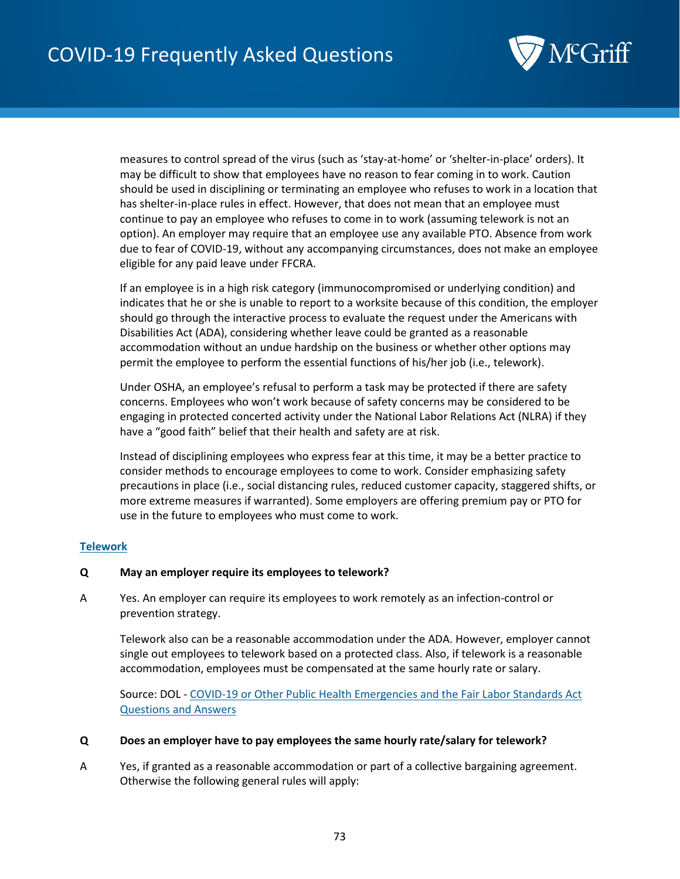

measures to control spread of the virus (such as 'stay-at-home' or 'shelter-in-place' orders). It may be difficult to show that employees have no reason to fear coming in to work. Caution should be used in disciplining or terminating an employee who refuses to work in a location that has shelter-in-place rules in effect. However, that does not mean that an employee must continue to pay an employee who refuses to come in to work (assuming telework is not an option). An employer may require that an employee use any available PTO. Absence from work due to fear of COVID-19, without any accompanying circumstances, does not make an employee eligible for any paid leave under FFCRA.

If an employee is in a high risk category (immunocompromised or underlying condition) and indicates that he or she is unable to report to a worksite because of this condition, the employer should go through the interactive process to evaluate the request under the Americans with Disabilities Act (ADA), considering whether leave could be granted as a reasonable accommodation without an undue hardship on the business or whether other options may permit the employee to perform the essential functions of his/her job (i.e., telework).

Under OSHA, an employee's refusal to perform a task may be protected if there are safety concerns. Employees who won't work because of safety concerns may be considered to be engaging in protected concerted activity under the National Labor Relations Act (NLRA) if they have a "good faith" belief that their health and safety are at risk.

Instead of disciplining employees who express fear at this time, it may be a better practice to consider methods to encourage employees to come to work. Consider emphasizing safety precautions in place (i.e., social distancing rules, reduced customer capacity, staggered shifts, or more extreme measures if warranted). Some employers are offering premium pay or PTO for use in the future to employees who must come to work.

### **Telework**

#### **Q May an employer require its employees to telework?**

A Yes. An employer can require its employees to work remotely as an infection-control or prevention strategy.

Telework also can be a reasonable accommodation under the ADA. However, employer cannot single out employees to telework based on a protected class. Also, if telework is a reasonable accommodation, employees must be compensated at the same hourly rate or salary.

Source: DOL - COVID-19 or Other Public Health Emergencies and the Fair Labor Standards Act [Questions and Answers](https://www.dol.gov/agencies/whd/flsa/pandemic)

#### **Q Does an employer have to pay employees the same hourly rate/salary for telework?**

A Yes, if granted as a reasonable accommodation or part of a collective bargaining agreement. Otherwise the following general rules will apply: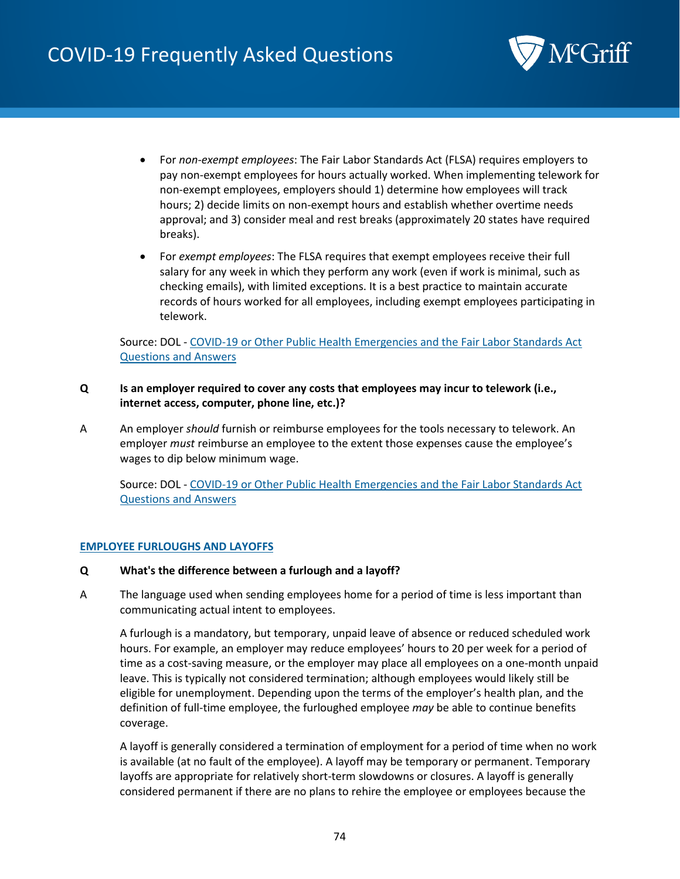

- For *non*-*exempt employees*: The Fair Labor Standards Act (FLSA) requires employers to pay non-exempt employees for hours actually worked. When implementing telework for non-exempt employees, employers should 1) determine how employees will track hours; 2) decide limits on non-exempt hours and establish whether overtime needs approval; and 3) consider meal and rest breaks (approximately 20 states have required breaks).
- For *exempt employees*: The FLSA requires that exempt employees receive their full salary for any week in which they perform any work (even if work is minimal, such as checking emails), with limited exceptions. It is a best practice to maintain accurate records of hours worked for all employees, including exempt employees participating in telework.

Source: DOL - COVID-19 or Other Public Health Emergencies and the Fair Labor Standards Act Questions and Answers

- **Q Is an employer required to cover any costs that employees may incur to telework (i.e., internet access, computer, phone line, etc.)?**
- A An employer *should* furnish or reimburse employees for the tools necessary to telework. An employer *must* reimburse an employee to the extent those expenses cause the employee's wages to dip below minimum wage.

Source: DOL - [COVID-19 or Other Public Health Emergencies and the Fair Labor Standards Act](https://www.dol.gov/agencies/whd/flsa/pandemic)  [Questions and Answers](https://www.dol.gov/agencies/whd/flsa/pandemic)

### **EMPLOYEE FURLOUGHS AND LAYOFFS**

#### **Q What's the difference between a furlough and a layoff?**

A The language used when sending employees home for a period of time is less important than communicating actual intent to employees.

A furlough is a mandatory, but temporary, unpaid leave of absence or reduced scheduled work hours. For example, an employer may reduce employees' hours to 20 per week for a period of time as a cost-saving measure, or the employer may place all employees on a one-month unpaid leave. This is typically not considered termination; although employees would likely still be eligible for unemployment. Depending upon the terms of the employer's health plan, and the definition of full-time employee, the furloughed employee *may* be able to continue benefits coverage.

A layoff is generally considered a termination of employment for a period of time when no work is available (at no fault of the employee). A layoff may be temporary or permanent. Temporary layoffs are appropriate for relatively short-term slowdowns or closures. A layoff is generally considered permanent if there are no plans to rehire the employee or employees because the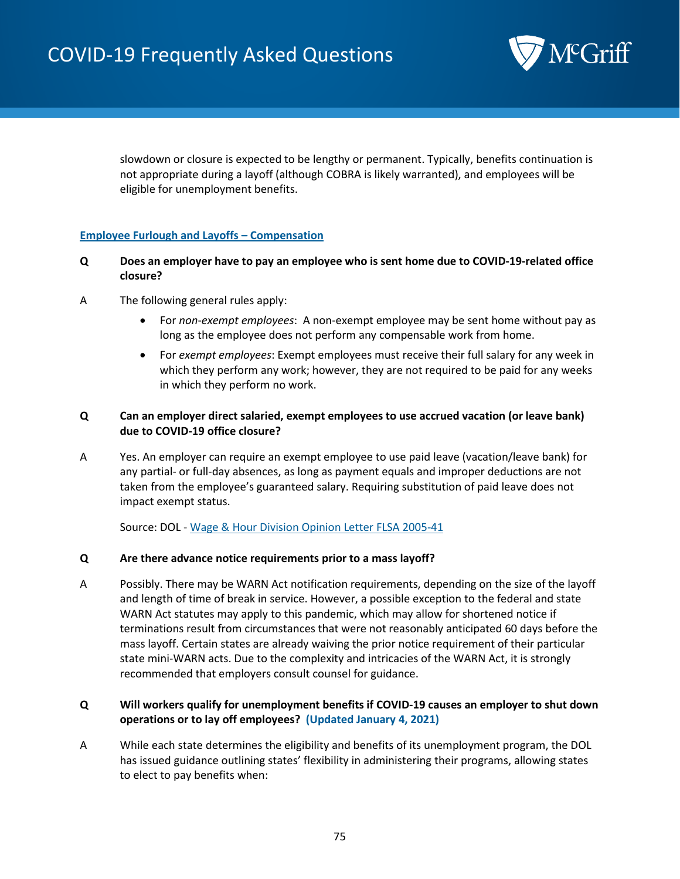

slowdown or closure is expected to be lengthy or permanent. Typically, benefits continuation is not appropriate during a layoff (although COBRA is likely warranted), and employees will be eligible for unemployment benefits.

### **Employee Furlough and Layoffs – Compensation**

### **Q Does an employer have to pay an employee who is sent home due to COVID-19-related office closure?**

- A The following general rules apply:
	- For *non*-*exempt employees*: A non-exempt employee may be sent home without pay as long as the employee does not perform any compensable work from home.
	- For *exempt employees*: Exempt employees must receive their full salary for any week in which they perform any work; however, they are not required to be paid for any weeks in which they perform no work.

## **Q Can an employer direct salaried, exempt employees to use accrued vacation (or leave bank) due to COVID-19 office closure?**

A Yes. An employer can require an exempt employee to use paid leave (vacation/leave bank) for any partial- or full-day absences, as long as payment equals and improper deductions are not taken from the employee's guaranteed salary. Requiring substitution of paid leave does not impact exempt status.

Source: DOL - Wage & Hour Division Opinion Letter FLSA 2005-41

#### **Q Are there advance notice requirements prior to a mass layoff?**

A Possibly. There may be WARN Act notification requirements, depending on the size of the layoff and length of time of break in service. However, a possible exception to the federal and state WARN Act statutes may apply to this pandemic, which may allow for shortened notice if terminations result from circumstances that were not reasonably anticipated 60 days before the mass layoff. Certain states are already waiving the prior notice requirement of their particular state mini-WARN acts. Due to the complexity and intricacies of the WARN Act, it is strongly recommended that employers consult counsel for guidance.

## **Q Will workers qualify for unemployment benefits if COVID-19 causes an employer to shut down operations or to lay off employees? (Updated January 4, 2021)**

A While each state determines the eligibility and benefits of its unemployment program, the DOL has issued guidance outlining states' flexibility in administering their programs, allowing states to elect to pay benefits when: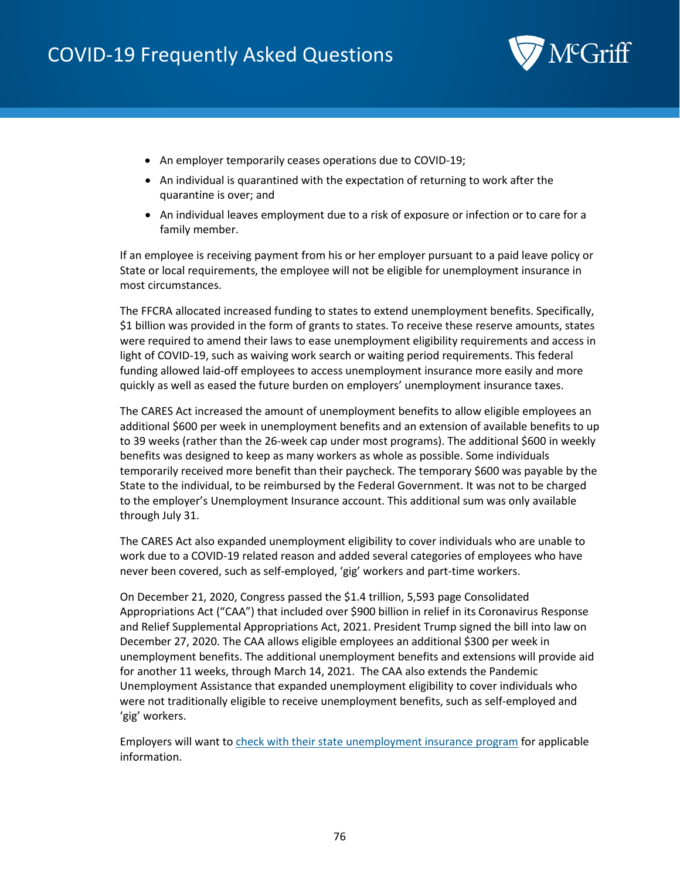

- An employer temporarily ceases operations due to COVID-19;
- An individual is quarantined with the expectation of returning to work after the quarantine is over; and
- An individual leaves employment due to a risk of exposure or infection or to care for a family member.

If an employee is receiving payment from his or her employer pursuant to a paid leave policy or State or local requirements, the employee will not be eligible for unemployment insurance in most circumstances.

The FFCRA allocated increased funding to states to extend unemployment benefits. Specifically, \$1 billion was provided in the form of grants to states. To receive these reserve amounts, states were required to amend their laws to ease unemployment eligibility requirements and access in light of COVID-19, such as waiving work search or waiting period requirements. This federal funding allowed laid-off employees to access unemployment insurance more easily and more quickly as well as eased the future burden on employers' unemployment insurance taxes.

The CARES Act increased the amount of unemployment benefits to allow eligible employees an additional \$600 per week in unemployment benefits and an extension of available benefits to up to 39 weeks (rather than the 26-week cap under most programs). The additional \$600 in weekly benefits was designed to keep as many workers as whole as possible. Some individuals temporarily received more benefit than their paycheck. The temporary \$600 was payable by the State to the individual, to be reimbursed by the Federal Government. It was not to be charged to the employer's Unemployment Insurance account. This additional sum was only available through July 31.

The CARES Act also expanded unemployment eligibility to cover individuals who are unable to work due to a COVID-19 related reason and added several categories of employees who have never been covered, such as self-employed, 'gig' workers and part-time workers.

On December 21, 2020, Congress passed the \$1.4 trillion, 5,593 page Consolidated Appropriations Act ("CAA") that included over \$900 billion in relief in its Coronavirus Response and Relief Supplemental Appropriations Act, 2021. President Trump signed the bill into law on December 27, 2020. The CAA allows eligible employees an additional \$300 per week in unemployment benefits. The additional unemployment benefits and extensions will provide aid for another 11 weeks, through March 14, 2021. The CAA also extends the Pandemic Unemployment Assistance that expanded unemployment eligibility to cover individuals who were not traditionally eligible to receive unemployment benefits, such as self-employed and 'gig' workers.

Employers will want to [check with their state unemployment insurance program](https://www.careeronestop.org/localhelp/unemploymentbenefits/find-unemployment-benefits.aspx) for applicable information.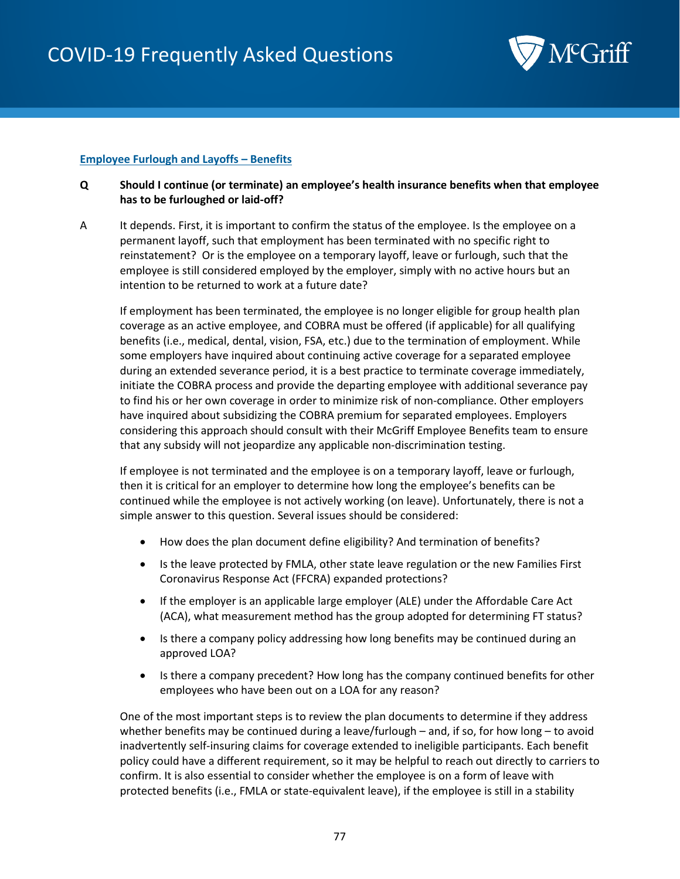

## **Employee Furlough and Layoffs – Benefits**

## **Q Should I continue (or terminate) an employee's health insurance benefits when that employee has to be furloughed or laid-off?**

A It depends. First, it is important to confirm the status of the employee. Is the employee on a permanent layoff, such that employment has been terminated with no specific right to reinstatement? Or is the employee on a temporary layoff, leave or furlough, such that the employee is still considered employed by the employer, simply with no active hours but an intention to be returned to work at a future date?

If employment has been terminated, the employee is no longer eligible for group health plan coverage as an active employee, and COBRA must be offered (if applicable) for all qualifying benefits (i.e., medical, dental, vision, FSA, etc.) due to the termination of employment. While some employers have inquired about continuing active coverage for a separated employee during an extended severance period, it is a best practice to terminate coverage immediately, initiate the COBRA process and provide the departing employee with additional severance pay to find his or her own coverage in order to minimize risk of non-compliance. Other employers have inquired about subsidizing the COBRA premium for separated employees. Employers considering this approach should consult with their McGriff Employee Benefits team to ensure that any subsidy will not jeopardize any applicable non-discrimination testing.

If employee is not terminated and the employee is on a temporary layoff, leave or furlough, then it is critical for an employer to determine how long the employee's benefits can be continued while the employee is not actively working (on leave). Unfortunately, there is not a simple answer to this question. Several issues should be considered:

- How does the plan document define eligibility? And termination of benefits?
- Is the leave protected by FMLA, other state leave regulation or the new Families First Coronavirus Response Act (FFCRA) expanded protections?
- If the employer is an applicable large employer (ALE) under the Affordable Care Act (ACA), what measurement method has the group adopted for determining FT status?
- Is there a company policy addressing how long benefits may be continued during an approved LOA?
- Is there a company precedent? How long has the company continued benefits for other employees who have been out on a LOA for any reason?

One of the most important steps is to review the plan documents to determine if they address whether benefits may be continued during a leave/furlough – and, if so, for how long – to avoid inadvertently self-insuring claims for coverage extended to ineligible participants. Each benefit policy could have a different requirement, so it may be helpful to reach out directly to carriers to confirm. It is also essential to consider whether the employee is on a form of leave with protected benefits (i.e., FMLA or state-equivalent leave), if the employee is still in a stability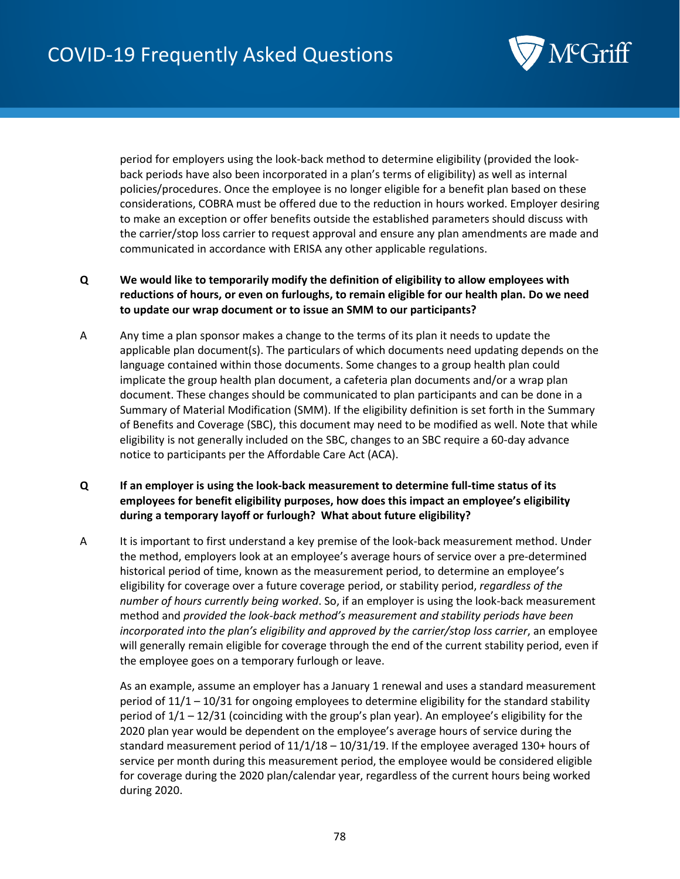

period for employers using the look-back method to determine eligibility (provided the lookback periods have also been incorporated in a plan's terms of eligibility) as well as internal policies/procedures. Once the employee is no longer eligible for a benefit plan based on these considerations, COBRA must be offered due to the reduction in hours worked. Employer desiring to make an exception or offer benefits outside the established parameters should discuss with the carrier/stop loss carrier to request approval and ensure any plan amendments are made and communicated in accordance with ERISA any other applicable regulations.

- **Q We would like to temporarily modify the definition of eligibility to allow employees with reductions of hours, or even on furloughs, to remain eligible for our health plan. Do we need to update our wrap document or to issue an SMM to our participants?**
- A Any time a plan sponsor makes a change to the terms of its plan it needs to update the applicable plan document(s). The particulars of which documents need updating depends on the language contained within those documents. Some changes to a group health plan could implicate the group health plan document, a cafeteria plan documents and/or a wrap plan document. These changes should be communicated to plan participants and can be done in a Summary of Material Modification (SMM). If the eligibility definition is set forth in the Summary of Benefits and Coverage (SBC), this document may need to be modified as well. Note that while eligibility is not generally included on the SBC, changes to an SBC require a 60-day advance notice to participants per the Affordable Care Act (ACA).
- **Q If an employer is using the look-back measurement to determine full-time status of its employees for benefit eligibility purposes, how does this impact an employee's eligibility during a temporary layoff or furlough? What about future eligibility?**
- A It is important to first understand a key premise of the look-back measurement method. Under the method, employers look at an employee's average hours of service over a pre-determined historical period of time, known as the measurement period, to determine an employee's eligibility for coverage over a future coverage period, or stability period, *regardless of the number of hours currently being worked*. So, if an employer is using the look-back measurement method and *provided the look-back method's measurement and stability periods have been incorporated into the plan's eligibility and approved by the carrier/stop loss carrier*, an employee will generally remain eligible for coverage through the end of the current stability period, even if the employee goes on a temporary furlough or leave.

As an example, assume an employer has a January 1 renewal and uses a standard measurement period of 11/1 – 10/31 for ongoing employees to determine eligibility for the standard stability period of 1/1 – 12/31 (coinciding with the group's plan year). An employee's eligibility for the 2020 plan year would be dependent on the employee's average hours of service during the standard measurement period of  $11/1/18 - 10/31/19$ . If the employee averaged 130+ hours of service per month during this measurement period, the employee would be considered eligible for coverage during the 2020 plan/calendar year, regardless of the current hours being worked during 2020.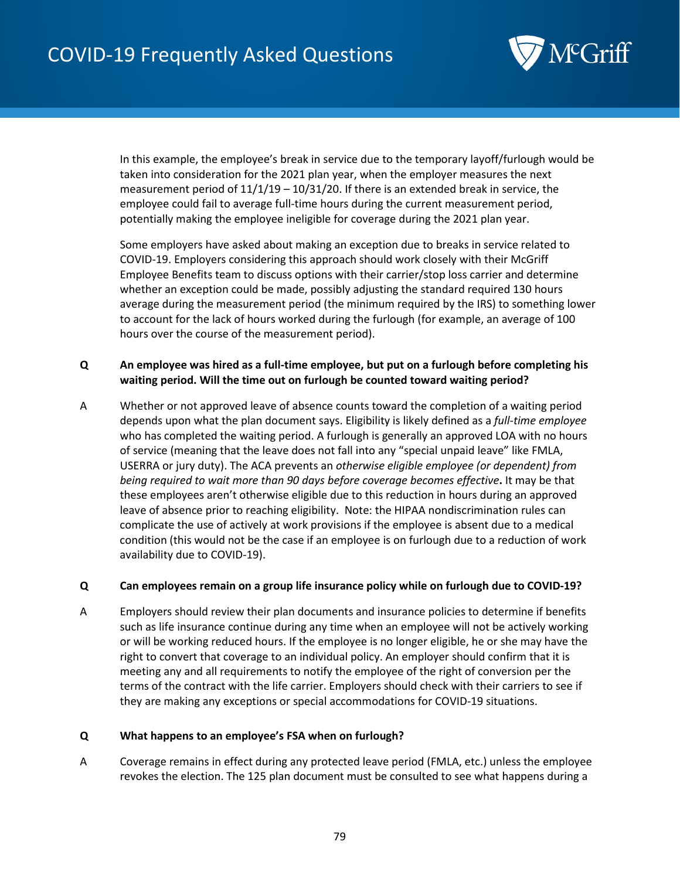

In this example, the employee's break in service due to the temporary layoff/furlough would be taken into consideration for the 2021 plan year, when the employer measures the next measurement period of  $11/1/19 - 10/31/20$ . If there is an extended break in service, the employee could fail to average full-time hours during the current measurement period, potentially making the employee ineligible for coverage during the 2021 plan year.

Some employers have asked about making an exception due to breaks in service related to COVID-19. Employers considering this approach should work closely with their McGriff Employee Benefits team to discuss options with their carrier/stop loss carrier and determine whether an exception could be made, possibly adjusting the standard required 130 hours average during the measurement period (the minimum required by the IRS) to something lower to account for the lack of hours worked during the furlough (for example, an average of 100 hours over the course of the measurement period).

## **Q An employee was hired as a full-time employee, but put on a furlough before completing his waiting period. Will the time out on furlough be counted toward waiting period?**

A Whether or not approved leave of absence counts toward the completion of a waiting period depends upon what the plan document says. Eligibility is likely defined as a *full-time employee* who has completed the waiting period. A furlough is generally an approved LOA with no hours of service (meaning that the leave does not fall into any "special unpaid leave" like FMLA, USERRA or jury duty). The ACA prevents an *otherwise eligible employee (or dependent) from being required to wait more than 90 days before coverage becomes effective***.** It may be that these employees aren't otherwise eligible due to this reduction in hours during an approved leave of absence prior to reaching eligibility. Note: the HIPAA nondiscrimination rules can complicate the use of actively at work provisions if the employee is absent due to a medical condition (this would not be the case if an employee is on furlough due to a reduction of work availability due to COVID-19).

#### **Q Can employees remain on a group life insurance policy while on furlough due to COVID-19?**

A Employers should review their plan documents and insurance policies to determine if benefits such as life insurance continue during any time when an employee will not be actively working or will be working reduced hours. If the employee is no longer eligible, he or she may have the right to convert that coverage to an individual policy. An employer should confirm that it is meeting any and all requirements to notify the employee of the right of conversion per the terms of the contract with the life carrier. Employers should check with their carriers to see if they are making any exceptions or special accommodations for COVID-19 situations.

#### **Q What happens to an employee's FSA when on furlough?**

A Coverage remains in effect during any protected leave period (FMLA, etc.) unless the employee revokes the election. The 125 plan document must be consulted to see what happens during a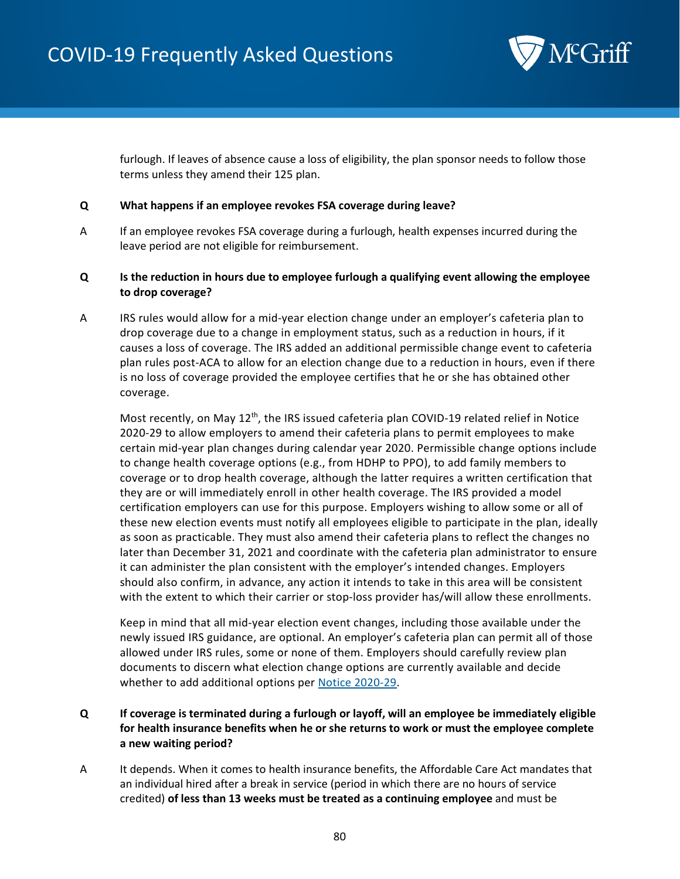

furlough. If leaves of absence cause a loss of eligibility, the plan sponsor needs to follow those terms unless they amend their 125 plan.

#### **Q What happens if an employee revokes FSA coverage during leave?**

A If an employee revokes FSA coverage during a furlough, health expenses incurred during the leave period are not eligible for reimbursement.

## **Q Is the reduction in hours due to employee furlough a qualifying event allowing the employee to drop coverage?**

A IRS rules would allow for a mid-year election change under an employer's cafeteria plan to drop coverage due to a change in employment status, such as a reduction in hours, if it causes a loss of coverage. The IRS added an additional permissible change event to cafeteria plan rules post-ACA to allow for an election change due to a reduction in hours, even if there is no loss of coverage provided the employee certifies that he or she has obtained other coverage.

Most recently, on May  $12<sup>th</sup>$ , the IRS issued cafeteria plan COVID-19 related relief in Notice 2020-29 to allow employers to amend their cafeteria plans to permit employees to make certain mid-year plan changes during calendar year 2020. Permissible change options include to change health coverage options (e.g., from HDHP to PPO), to add family members to coverage or to drop health coverage, although the latter requires a written certification that they are or will immediately enroll in other health coverage. The IRS provided a model certification employers can use for this purpose. Employers wishing to allow some or all of these new election events must notify all employees eligible to participate in the plan, ideally as soon as practicable. They must also amend their cafeteria plans to reflect the changes no later than December 31, 2021 and coordinate with the cafeteria plan administrator to ensure it can administer the plan consistent with the employer's intended changes. Employers should also confirm, in advance, any action it intends to take in this area will be consistent with the extent to which their carrier or stop-loss provider has/will allow these enrollments.

Keep in mind that all mid-year election event changes, including those available under the newly issued IRS guidance, are optional. An employer's cafeteria plan can permit all of those allowed under IRS rules, some or none of them. Employers should carefully review plan documents to discern what election change options are currently available and decide whether to add additional options per [Notice 2020-29.](https://www.irs.gov/pub/irs-drop/n-20-29.pdf)

# **Q If coverage is terminated during a furlough or layoff, will an employee be immediately eligible for health insurance benefits when he or she returns to work or must the employee complete a new waiting period?**

A It depends. When it comes to health insurance benefits, the Affordable Care Act mandates that an individual hired after a break in service (period in which there are no hours of service credited) **of less than 13 weeks must be treated as a continuing employee** and must be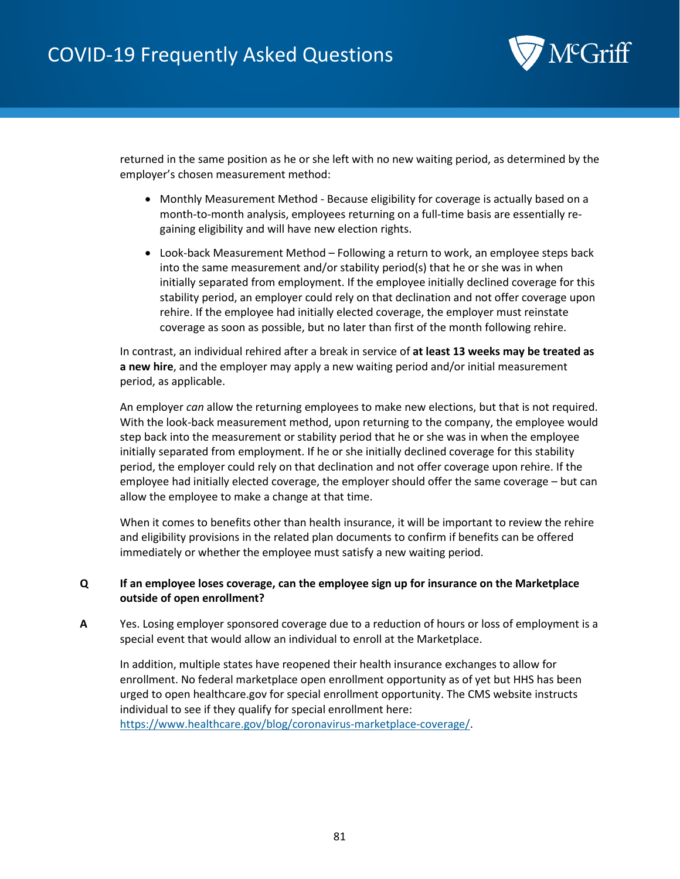

returned in the same position as he or she left with no new waiting period, as determined by the employer's chosen measurement method:

- Monthly Measurement Method Because eligibility for coverage is actually based on a month-to-month analysis, employees returning on a full-time basis are essentially regaining eligibility and will have new election rights.
- Look-back Measurement Method Following a return to work, an employee steps back into the same measurement and/or stability period(s) that he or she was in when initially separated from employment. If the employee initially declined coverage for this stability period, an employer could rely on that declination and not offer coverage upon rehire. If the employee had initially elected coverage, the employer must reinstate coverage as soon as possible, but no later than first of the month following rehire.

In contrast, an individual rehired after a break in service of **at least 13 weeks may be treated as a new hire**, and the employer may apply a new waiting period and/or initial measurement period, as applicable.

An employer *can* allow the returning employees to make new elections, but that is not required. With the look-back measurement method, upon returning to the company, the employee would step back into the measurement or stability period that he or she was in when the employee initially separated from employment. If he or she initially declined coverage for this stability period, the employer could rely on that declination and not offer coverage upon rehire. If the employee had initially elected coverage, the employer should offer the same coverage – but can allow the employee to make a change at that time.

When it comes to benefits other than health insurance, it will be important to review the rehire and eligibility provisions in the related plan documents to confirm if benefits can be offered immediately or whether the employee must satisfy a new waiting period.

### **Q If an employee loses coverage, can the employee sign up for insurance on the Marketplace outside of open enrollment?**

**A** Yes. Losing employer sponsored coverage due to a reduction of hours or loss of employment is a special event that would allow an individual to enroll at the Marketplace.

In addition, multiple states have reopened their health insurance exchanges to allow for enrollment. No federal marketplace open enrollment opportunity as of yet but HHS has been urged to open healthcare.gov for special enrollment opportunity. The CMS website instructs individual to see if they qualify for special enrollment here:

[https://www.healthcare.gov/blog/coronavirus-marketplace-coverage/.](https://www.healthcare.gov/blog/coronavirus-marketplace-coverage/)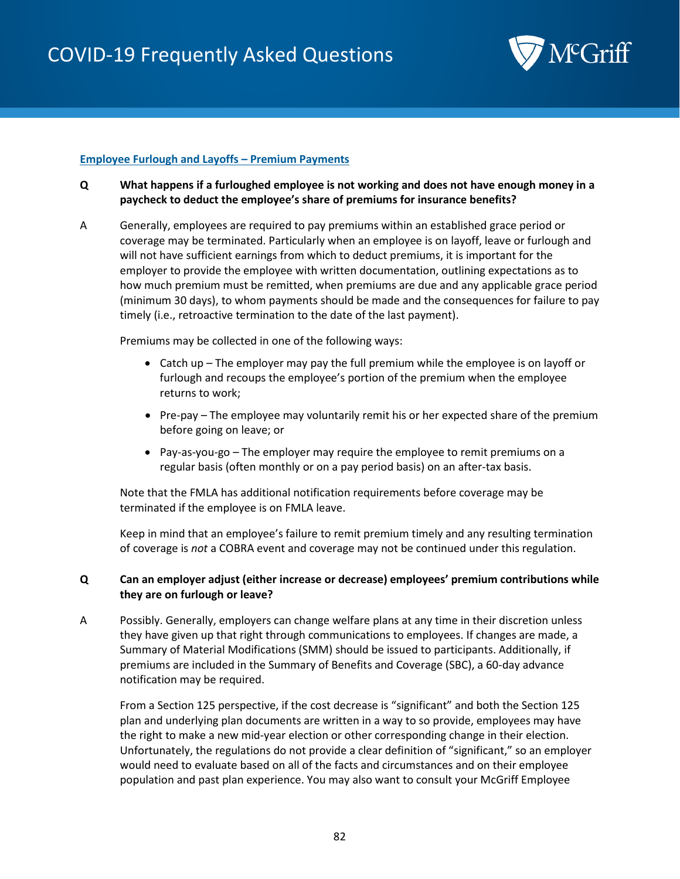

### **Employee Furlough and Layoffs – Premium Payments**

- **Q What happens if a furloughed employee is not working and does not have enough money in a paycheck to deduct the employee's share of premiums for insurance benefits?**
- A Generally, employees are required to pay premiums within an established grace period or coverage may be terminated. Particularly when an employee is on layoff, leave or furlough and will not have sufficient earnings from which to deduct premiums, it is important for the employer to provide the employee with written documentation, outlining expectations as to how much premium must be remitted, when premiums are due and any applicable grace period (minimum 30 days), to whom payments should be made and the consequences for failure to pay timely (i.e., retroactive termination to the date of the last payment).

Premiums may be collected in one of the following ways:

- Catch up The employer may pay the full premium while the employee is on layoff or furlough and recoups the employee's portion of the premium when the employee returns to work;
- Pre-pay The employee may voluntarily remit his or her expected share of the premium before going on leave; or
- Pay-as-you-go The employer may require the employee to remit premiums on a regular basis (often monthly or on a pay period basis) on an after-tax basis.

Note that the FMLA has additional notification requirements before coverage may be terminated if the employee is on FMLA leave.

Keep in mind that an employee's failure to remit premium timely and any resulting termination of coverage is *not* a COBRA event and coverage may not be continued under this regulation.

### **Q Can an employer adjust (either increase or decrease) employees' premium contributions while they are on furlough or leave?**

A Possibly. Generally, employers can change welfare plans at any time in their discretion unless they have given up that right through communications to employees. If changes are made, a Summary of Material Modifications (SMM) should be issued to participants. Additionally, if premiums are included in the Summary of Benefits and Coverage (SBC), a 60-day advance notification may be required.

From a Section 125 perspective, if the cost decrease is "significant" and both the Section 125 plan and underlying plan documents are written in a way to so provide, employees may have the right to make a new mid-year election or other corresponding change in their election. Unfortunately, the regulations do not provide a clear definition of "significant," so an employer would need to evaluate based on all of the facts and circumstances and on their employee population and past plan experience. You may also want to consult your McGriff Employee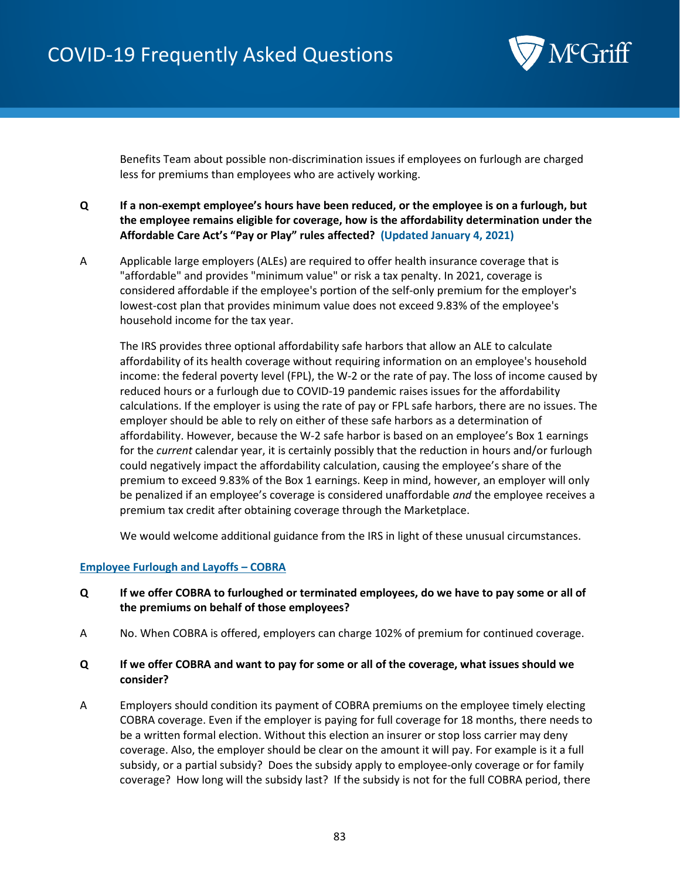

Benefits Team about possible non-discrimination issues if employees on furlough are charged less for premiums than employees who are actively working.

- **Q If a non-exempt employee's hours have been reduced, or the employee is on a furlough, but the employee remains eligible for coverage, how is the affordability determination under the Affordable Care Act's "Pay or Play" rules affected? (Updated January 4, 2021)**
- A Applicable large employers (ALEs) are required to offer health insurance coverage that is "affordable" and provides "minimum value" or risk a tax penalty. In 2021, coverage is considered affordable if the employee's portion of the self-only premium for the employer's lowest-cost plan that provides minimum value does not exceed 9.83% of the employee's household income for the tax year.

The IRS provides three optional affordability safe harbors that allow an ALE to calculate affordability of its health coverage without requiring information on an employee's household income: the federal poverty level (FPL), the W-2 or the rate of pay. The loss of income caused by reduced hours or a furlough due to COVID-19 pandemic raises issues for the affordability calculations. If the employer is using the rate of pay or FPL safe harbors, there are no issues. The employer should be able to rely on either of these safe harbors as a determination of affordability. However, because the W-2 safe harbor is based on an employee's Box 1 earnings for the *current* calendar year, it is certainly possibly that the reduction in hours and/or furlough could negatively impact the affordability calculation, causing the employee's share of the premium to exceed 9.83% of the Box 1 earnings. Keep in mind, however, an employer will only be penalized if an employee's coverage is considered unaffordable *and* the employee receives a premium tax credit after obtaining coverage through the Marketplace.

We would welcome additional guidance from the IRS in light of these unusual circumstances.

### **Employee Furlough and Layoffs – COBRA**

- **Q If we offer COBRA to furloughed or terminated employees, do we have to pay some or all of the premiums on behalf of those employees?**
- A No. When COBRA is offered, employers can charge 102% of premium for continued coverage.

### **Q If we offer COBRA and want to pay for some or all of the coverage, what issues should we consider?**

A Employers should condition its payment of COBRA premiums on the employee timely electing COBRA coverage. Even if the employer is paying for full coverage for 18 months, there needs to be a written formal election. Without this election an insurer or stop loss carrier may deny coverage. Also, the employer should be clear on the amount it will pay. For example is it a full subsidy, or a partial subsidy? Does the subsidy apply to employee-only coverage or for family coverage? How long will the subsidy last? If the subsidy is not for the full COBRA period, there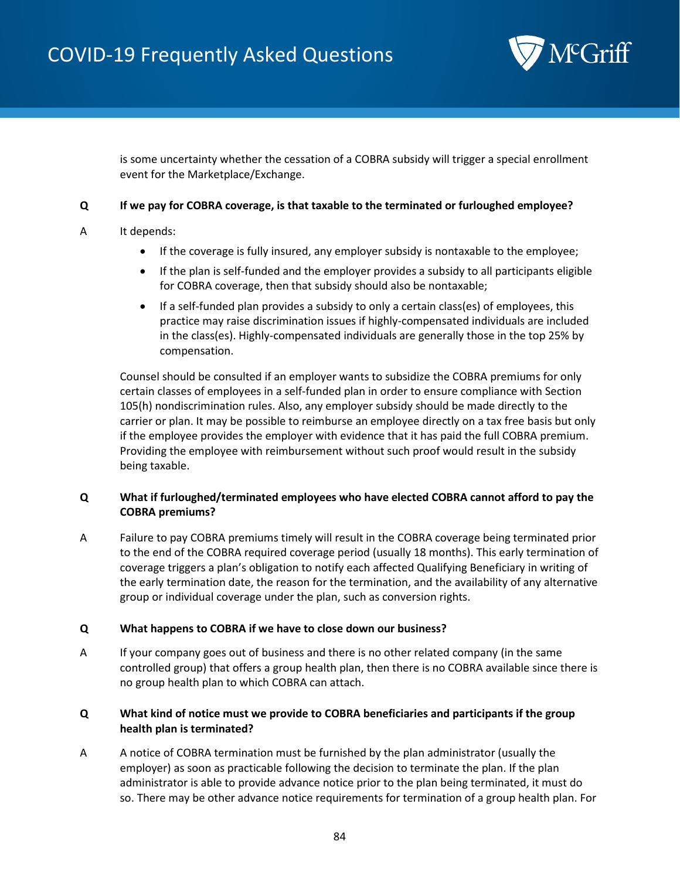

is some uncertainty whether the cessation of a COBRA subsidy will trigger a special enrollment event for the Marketplace/Exchange.

## **Q If we pay for COBRA coverage, is that taxable to the terminated or furloughed employee?**

- A It depends:
	- If the coverage is fully insured, any employer subsidy is nontaxable to the employee;
	- If the plan is self-funded and the employer provides a subsidy to all participants eligible for COBRA coverage, then that subsidy should also be nontaxable;
	- If a self-funded plan provides a subsidy to only a certain class(es) of employees, this practice may raise discrimination issues if highly-compensated individuals are included in the class(es). Highly-compensated individuals are generally those in the top 25% by compensation.

Counsel should be consulted if an employer wants to subsidize the COBRA premiums for only certain classes of employees in a self-funded plan in order to ensure compliance with Section 105(h) nondiscrimination rules. Also, any employer subsidy should be made directly to the carrier or plan. It may be possible to reimburse an employee directly on a tax free basis but only if the employee provides the employer with evidence that it has paid the full COBRA premium. Providing the employee with reimbursement without such proof would result in the subsidy being taxable.

# **Q What if furloughed/terminated employees who have elected COBRA cannot afford to pay the COBRA premiums?**

A Failure to pay COBRA premiums timely will result in the COBRA coverage being terminated prior to the end of the COBRA required coverage period (usually 18 months). This early termination of coverage triggers a plan's obligation to notify each affected Qualifying Beneficiary in writing of the early termination date, the reason for the termination, and the availability of any alternative group or individual coverage under the plan, such as conversion rights.

### **Q What happens to COBRA if we have to close down our business?**

A If your company goes out of business and there is no other related company (in the same controlled group) that offers a group health plan, then there is no COBRA available since there is no group health plan to which COBRA can attach.

## **Q What kind of notice must we provide to COBRA beneficiaries and participants if the group health plan is terminated?**

A A notice of COBRA termination must be furnished by the plan administrator (usually the employer) as soon as practicable following the decision to terminate the plan. If the plan administrator is able to provide advance notice prior to the plan being terminated, it must do so. There may be other advance notice requirements for termination of a group health plan. For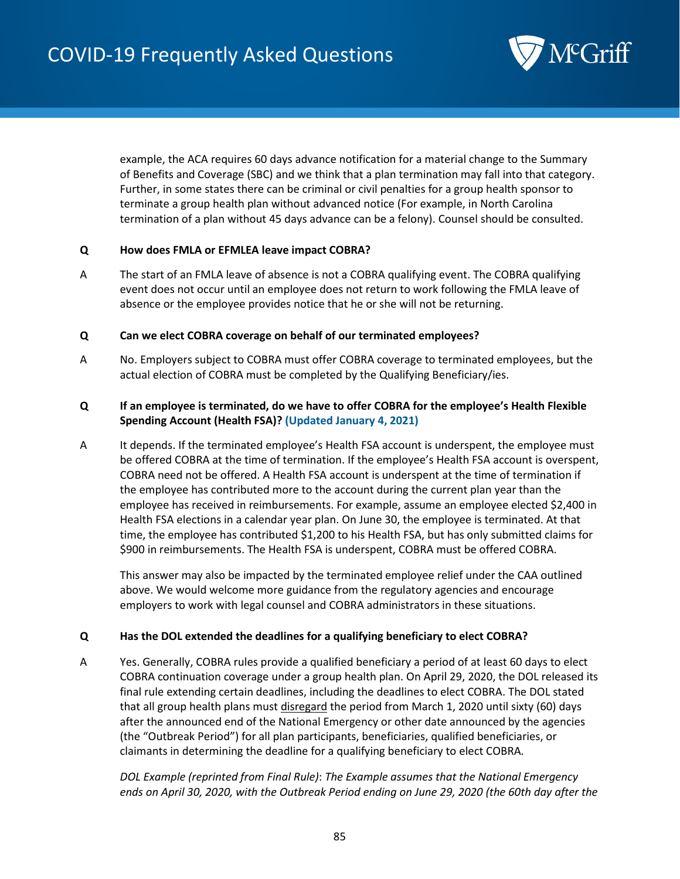

example, the ACA requires 60 days advance notification for a material change to the Summary of Benefits and Coverage (SBC) and we think that a plan termination may fall into that category. Further, in some states there can be criminal or civil penalties for a group health sponsor to terminate a group health plan without advanced notice (For example, in North Carolina termination of a plan without 45 days advance can be a felony). Counsel should be consulted.

## **Q How does FMLA or EFMLEA leave impact COBRA?**

A The start of an FMLA leave of absence is not a COBRA qualifying event. The COBRA qualifying event does not occur until an employee does not return to work following the FMLA leave of absence or the employee provides notice that he or she will not be returning.

### **Q Can we elect COBRA coverage on behalf of our terminated employees?**

A No. Employers subject to COBRA must offer COBRA coverage to terminated employees, but the actual election of COBRA must be completed by the Qualifying Beneficiary/ies.

# **Q If an employee is terminated, do we have to offer COBRA for the employee's Health Flexible Spending Account (Health FSA)? (Updated January 4, 2021)**

A It depends. If the terminated employee's Health FSA account is underspent, the employee must be offered COBRA at the time of termination. If the employee's Health FSA account is overspent, COBRA need not be offered. A Health FSA account is underspent at the time of termination if the employee has contributed more to the account during the current plan year than the employee has received in reimbursements. For example, assume an employee elected \$2,400 in Health FSA elections in a calendar year plan. On June 30, the employee is terminated. At that time, the employee has contributed \$1,200 to his Health FSA, but has only submitted claims for \$900 in reimbursements. The Health FSA is underspent, COBRA must be offered COBRA.

This answer may also be impacted by the terminated employee relief under the CAA outlined above. We would welcome more guidance from the regulatory agencies and encourage employers to work with legal counsel and COBRA administrators in these situations.

### **Q Has the DOL extended the deadlines for a qualifying beneficiary to elect COBRA?**

A Yes. Generally, COBRA rules provide a qualified beneficiary a period of at least 60 days to elect COBRA continuation coverage under a group health plan. On April 29, 2020, the DOL released its final rule extending certain deadlines, including the deadlines to elect COBRA. The DOL stated that all group health plans must disregard the period from March 1, 2020 until sixty (60) days after the announced end of the National Emergency or other date announced by the agencies (the "Outbreak Period") for all plan participants, beneficiaries, qualified beneficiaries, or claimants in determining the deadline for a qualifying beneficiary to elect COBRA.

*DOL Example (reprinted from Final Rule)*: *The Example assumes that the National Emergency ends on April 30, 2020, with the Outbreak Period ending on June 29, 2020 (the 60th day after the*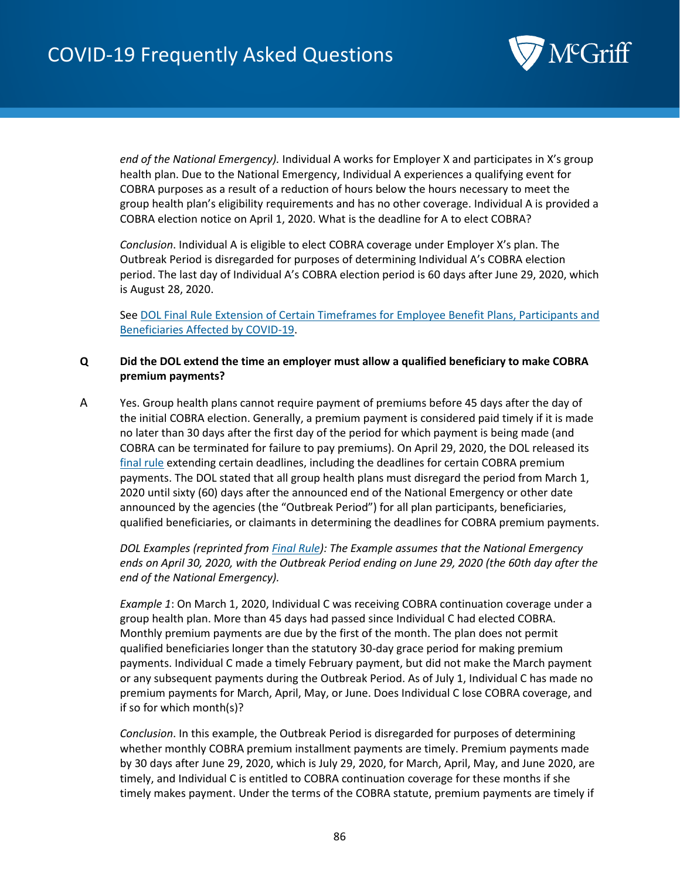

*end of the National Emergency).* Individual A works for Employer X and participates in X's group health plan. Due to the National Emergency, Individual A experiences a qualifying event for COBRA purposes as a result of a reduction of hours below the hours necessary to meet the group health plan's eligibility requirements and has no other coverage. Individual A is provided a COBRA election notice on April 1, 2020. What is the deadline for A to elect COBRA?

*Conclusion*. Individual A is eligible to elect COBRA coverage under Employer X's plan. The Outbreak Period is disregarded for purposes of determining Individual A's COBRA election period. The last day of Individual A's COBRA election period is 60 days after June 29, 2020, which is August 28, 2020.

Se[e DOL Final Rule Extension of Certain Timeframes for Employee Benefit Plans, Participants and](https://www.federalregister.gov/documents/2020/05/04/2020-09399/extension-of-certain-timeframes-for-employee-benefit-plans-participants-and-beneficiaries-affected)  [Beneficiaries Affected by COVID-19.](https://www.federalregister.gov/documents/2020/05/04/2020-09399/extension-of-certain-timeframes-for-employee-benefit-plans-participants-and-beneficiaries-affected)

### **Q Did the DOL extend the time an employer must allow a qualified beneficiary to make COBRA premium payments?**

A Yes. Group health plans cannot require payment of premiums before 45 days after the day of the initial COBRA election. Generally, a premium payment is considered paid timely if it is made no later than 30 days after the first day of the period for which payment is being made (and COBRA can be terminated for failure to pay premiums). On April 29, 2020, the DOL released its [final rule](https://www.federalregister.gov/documents/2020/05/04/2020-09399/extension-of-certain-timeframes-for-employee-benefit-plans-participants-and-beneficiaries-affected) extending certain deadlines, including the deadlines for certain COBRA premium payments. The DOL stated that all group health plans must disregard the period from March 1, 2020 until sixty (60) days after the announced end of the National Emergency or other date announced by the agencies (the "Outbreak Period") for all plan participants, beneficiaries, qualified beneficiaries, or claimants in determining the deadlines for COBRA premium payments.

*DOL Examples (reprinted from [Final Rule\)](https://www.federalregister.gov/documents/2020/05/04/2020-09399/extension-of-certain-timeframes-for-employee-benefit-plans-participants-and-beneficiaries-affected): The Example assumes that the National Emergency ends on April 30, 2020, with the Outbreak Period ending on June 29, 2020 (the 60th day after the end of the National Emergency).*

*Example 1*: On March 1, 2020, Individual C was receiving COBRA continuation coverage under a group health plan. More than 45 days had passed since Individual C had elected COBRA. Monthly premium payments are due by the first of the month. The plan does not permit qualified beneficiaries longer than the statutory 30-day grace period for making premium payments. Individual C made a timely February payment, but did not make the March payment or any subsequent payments during the Outbreak Period. As of July 1, Individual C has made no premium payments for March, April, May, or June. Does Individual C lose COBRA coverage, and if so for which month(s)?

*Conclusion*. In this example, the Outbreak Period is disregarded for purposes of determining whether monthly COBRA premium installment payments are timely. Premium payments made by 30 days after June 29, 2020, which is July 29, 2020, for March, April, May, and June 2020, are timely, and Individual C is entitled to COBRA continuation coverage for these months if she timely makes payment. Under the terms of the COBRA statute, premium payments are timely if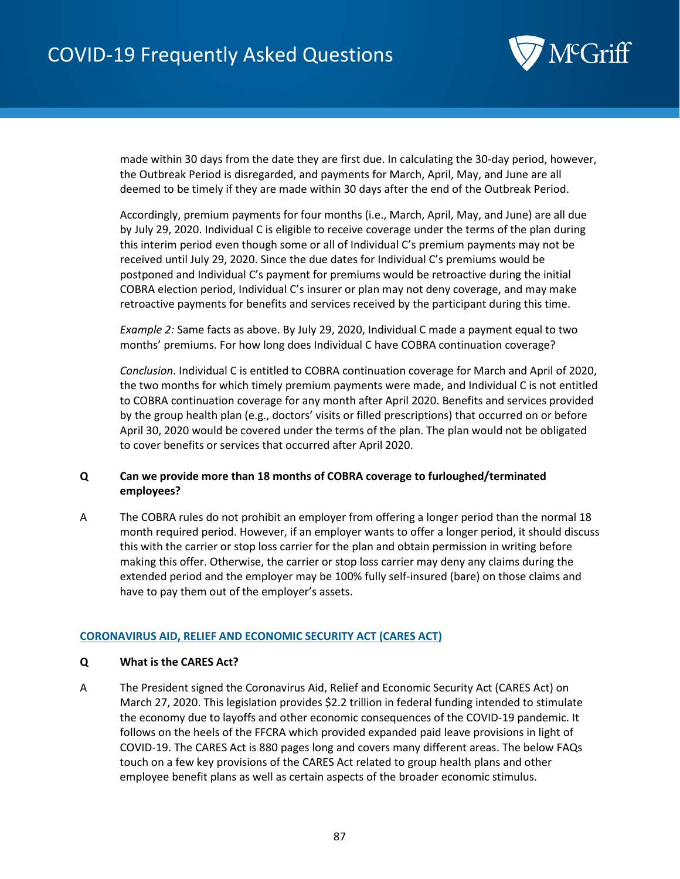

made within 30 days from the date they are first due. In calculating the 30-day period, however, the Outbreak Period is disregarded, and payments for March, April, May, and June are all deemed to be timely if they are made within 30 days after the end of the Outbreak Period.

Accordingly, premium payments for four months (i.e., March, April, May, and June) are all due by July 29, 2020. Individual C is eligible to receive coverage under the terms of the plan during this interim period even though some or all of Individual C's premium payments may not be received until July 29, 2020. Since the due dates for Individual C's premiums would be postponed and Individual C's payment for premiums would be retroactive during the initial COBRA election period, Individual C's insurer or plan may not deny coverage, and may make retroactive payments for benefits and services received by the participant during this time.

*Example 2:* Same facts as above. By July 29, 2020, Individual C made a payment equal to two months' premiums. For how long does Individual C have COBRA continuation coverage?

*Conclusion*. Individual C is entitled to COBRA continuation coverage for March and April of 2020, the two months for which timely premium payments were made, and Individual C is not entitled to COBRA continuation coverage for any month after April 2020. Benefits and services provided by the group health plan (e.g., doctors' visits or filled prescriptions) that occurred on or before April 30, 2020 would be covered under the terms of the plan. The plan would not be obligated to cover benefits or services that occurred after April 2020.

## **Q Can we provide more than 18 months of COBRA coverage to furloughed/terminated employees?**

A The COBRA rules do not prohibit an employer from offering a longer period than the normal 18 month required period. However, if an employer wants to offer a longer period, it should discuss this with the carrier or stop loss carrier for the plan and obtain permission in writing before making this offer. Otherwise, the carrier or stop loss carrier may deny any claims during the extended period and the employer may be 100% fully self-insured (bare) on those claims and have to pay them out of the employer's assets.

### **CORONAVIRUS AID, RELIEF AND ECONOMIC SECURITY ACT [\(CARES ACT\)](https://www.congress.gov/bill/116th-congress/house-bill/748/text)**

### **Q What is the CARES Act?**

A The President signed the Coronavirus Aid, Relief and Economic Security Act (CARES Act) on March 27, 2020. This legislation provides \$2.2 trillion in federal funding intended to stimulate the economy due to layoffs and other economic consequences of the COVID-19 pandemic. It follows on the heels of the FFCRA which provided expanded paid leave provisions in light of COVID-19. The CARES Act is 880 pages long and covers many different areas. The below FAQs touch on a few key provisions of the CARES Act related to group health plans and other employee benefit plans as well as certain aspects of the broader economic stimulus.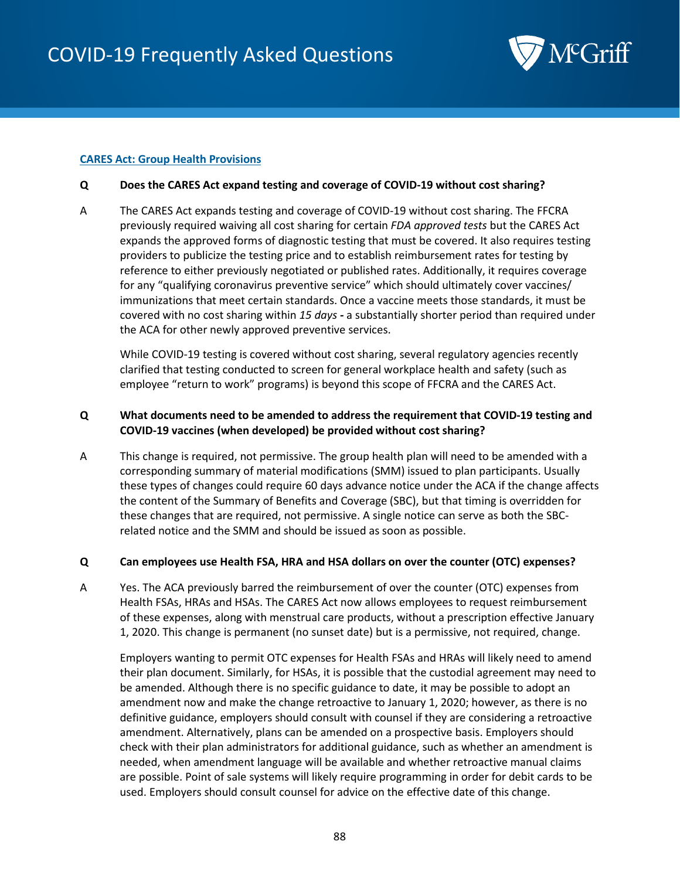

#### **CARES Act: Group Health Provisions**

#### **Q Does the CARES Act expand testing and coverage of COVID-19 without cost sharing?**

A The CARES Act expands testing and coverage of COVID-19 without cost sharing. The FFCRA previously required waiving all cost sharing for certain *FDA approved tests* but the CARES Act expands the approved forms of diagnostic testing that must be covered. It also requires testing providers to publicize the testing price and to establish reimbursement rates for testing by reference to either previously negotiated or published rates. Additionally, it requires coverage for any "qualifying coronavirus preventive service" which should ultimately cover vaccines/ immunizations that meet certain standards. Once a vaccine meets those standards, it must be covered with no cost sharing within *15 days -* a substantially shorter period than required under the ACA for other newly approved preventive services.

While COVID-19 testing is covered without cost sharing, several regulatory agencies recently clarified that testing conducted to screen for general workplace health and safety (such as employee "return to work" programs) is beyond this scope of FFCRA and the CARES Act.

## **Q What documents need to be amended to address the requirement that COVID-19 testing and COVID-19 vaccines (when developed) be provided without cost sharing?**

A This change is required, not permissive. The group health plan will need to be amended with a corresponding summary of material modifications (SMM) issued to plan participants. Usually these types of changes could require 60 days advance notice under the ACA if the change affects the content of the Summary of Benefits and Coverage (SBC), but that timing is overridden for these changes that are required, not permissive. A single notice can serve as both the SBCrelated notice and the SMM and should be issued as soon as possible.

### **Q Can employees use Health FSA, HRA and HSA dollars on over the counter (OTC) expenses?**

A Yes. The ACA previously barred the reimbursement of over the counter (OTC) expenses from Health FSAs, HRAs and HSAs. The CARES Act now allows employees to request reimbursement of these expenses, along with menstrual care products, without a prescription effective January 1, 2020. This change is permanent (no sunset date) but is a permissive, not required, change.

Employers wanting to permit OTC expenses for Health FSAs and HRAs will likely need to amend their plan document. Similarly, for HSAs, it is possible that the custodial agreement may need to be amended. Although there is no specific guidance to date, it may be possible to adopt an amendment now and make the change retroactive to January 1, 2020; however, as there is no definitive guidance, employers should consult with counsel if they are considering a retroactive amendment. Alternatively, plans can be amended on a prospective basis. Employers should check with their plan administrators for additional guidance, such as whether an amendment is needed, when amendment language will be available and whether retroactive manual claims are possible. Point of sale systems will likely require programming in order for debit cards to be used. Employers should consult counsel for advice on the effective date of this change.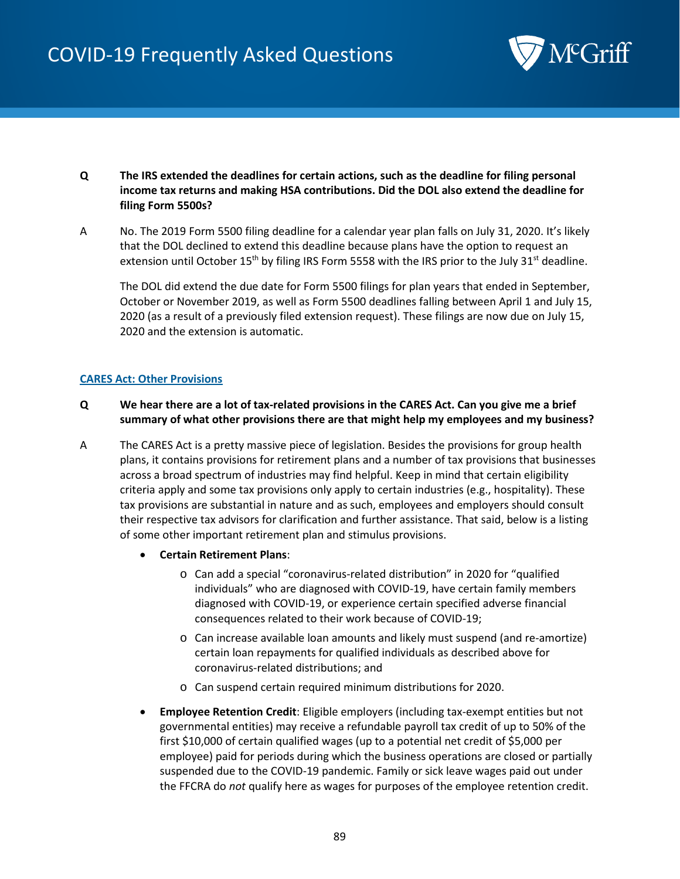

- **Q The IRS extended the deadlines for certain actions, such as the deadline for filing personal income tax returns and making HSA contributions. Did the DOL also extend the deadline for filing Form 5500s?**
- A No. The 2019 Form 5500 filing deadline for a calendar year plan falls on July 31, 2020. It's likely that the DOL declined to extend this deadline because plans have the option to request an extension until October 15<sup>th</sup> by filing IRS Form 5558 with the IRS prior to the July 31<sup>st</sup> deadline.

The DOL did extend the due date for Form 5500 filings for plan years that ended in September, October or November 2019, as well as Form 5500 deadlines falling between April 1 and July 15, 2020 (as a result of a previously filed extension request). These filings are now due on July 15, 2020 and the extension is automatic.

#### **CARES Act: Other Provisions**

- **Q We hear there are a lot of tax-related provisions in the CARES Act. Can you give me a brief summary of what other provisions there are that might help my employees and my business?**
- A The CARES Act is a pretty massive piece of legislation. Besides the provisions for group health plans, it contains provisions for retirement plans and a number of tax provisions that businesses across a broad spectrum of industries may find helpful. Keep in mind that certain eligibility criteria apply and some tax provisions only apply to certain industries (e.g., hospitality). These tax provisions are substantial in nature and as such, employees and employers should consult their respective tax advisors for clarification and further assistance. That said, below is a listing of some other important retirement plan and stimulus provisions.
	- **Certain Retirement Plans**:
		- o Can add a special "coronavirus-related distribution" in 2020 for "qualified individuals" who are diagnosed with COVID-19, have certain family members diagnosed with COVID-19, or experience certain specified adverse financial consequences related to their work because of COVID-19;
		- o Can increase available loan amounts and likely must suspend (and re-amortize) certain loan repayments for qualified individuals as described above for coronavirus-related distributions; and
		- o Can suspend certain required minimum distributions for 2020.
	- **Employee Retention Credit**: Eligible employers (including tax-exempt entities but not governmental entities) may receive a refundable payroll tax credit of up to 50% of the first \$10,000 of certain qualified wages (up to a potential net credit of \$5,000 per employee) paid for periods during which the business operations are closed or partially suspended due to the COVID-19 pandemic. Family or sick leave wages paid out under the FFCRA do *not* qualify here as wages for purposes of the employee retention credit.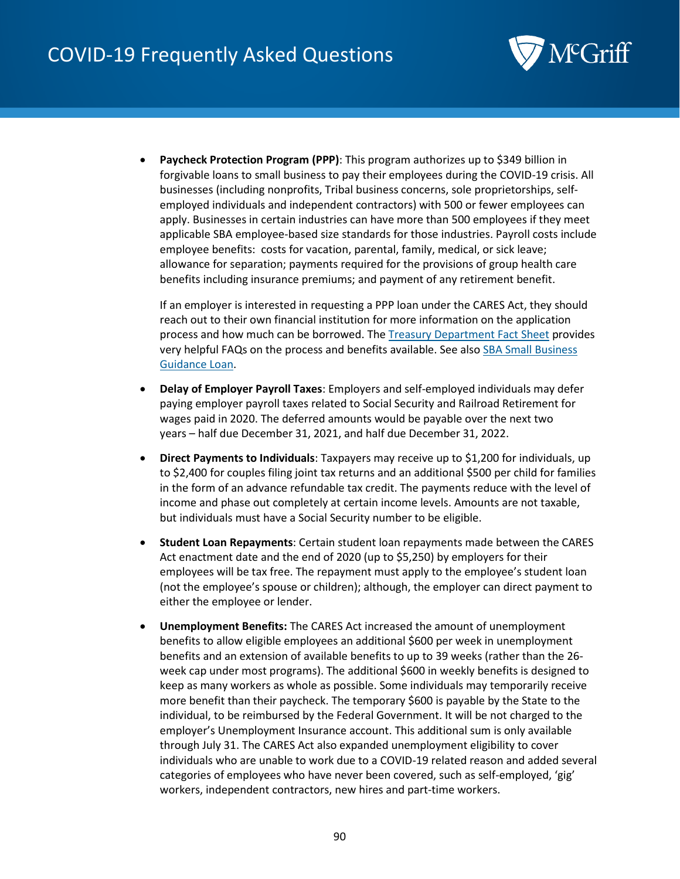

• **Paycheck Protection Program (PPP)**: This program authorizes up to \$349 billion in forgivable loans to small business to pay their employees during the COVID-19 crisis. All businesses (including nonprofits, Tribal business concerns, sole proprietorships, selfemployed individuals and independent contractors) with 500 or fewer employees can apply. Businesses in certain industries can have more than 500 employees if they meet applicable SBA employee-based size standards for those industries. Payroll costs include employee benefits: costs for vacation, parental, family, medical, or sick leave; allowance for separation; payments required for the provisions of group health care benefits including insurance premiums; and payment of any retirement benefit.

If an employer is interested in requesting a PPP loan under the CARES Act, they should reach out to their own financial institution for more information on the application process and how much can be borrowed. The [Treasury Department Fact Sheet](https://home.treasury.gov/system/files/136/PPP--Fact-Sheet.pdf) provides very helpful FAQs on the process and benefits available. See also [SBA Small Business](https://www.sba.gov/page/coronavirus-covid-19-small-business-guidance-loan-resources?mkt_tok=eyJpIjoiTVROa05ERTVOVEUxWldFeCIsInQiOiI4XC9kdXJJOENLeWxEb2dwRnZDd1NtRXV5NytUXC9mRnd2OWsxeDMyVytoWkpMcGdTVnVEKzdaN24zY0RjZVZua2pRbXRmb0NsQjhQY0xtcklYOGdyNVJuY2o0ZVNGcGgrVGlBU3BGQUI5MzJwaDBXeFdValNWczRVNkdMT2NyMGFrIn0%3D)  [Guidance Loan.](https://www.sba.gov/page/coronavirus-covid-19-small-business-guidance-loan-resources?mkt_tok=eyJpIjoiTVROa05ERTVOVEUxWldFeCIsInQiOiI4XC9kdXJJOENLeWxEb2dwRnZDd1NtRXV5NytUXC9mRnd2OWsxeDMyVytoWkpMcGdTVnVEKzdaN24zY0RjZVZua2pRbXRmb0NsQjhQY0xtcklYOGdyNVJuY2o0ZVNGcGgrVGlBU3BGQUI5MzJwaDBXeFdValNWczRVNkdMT2NyMGFrIn0%3D)

- **Delay of Employer Payroll Taxes**: Employers and self-employed individuals may defer paying employer payroll taxes related to Social Security and Railroad Retirement for wages paid in 2020. The deferred amounts would be payable over the next two years – half due December 31, 2021, and half due December 31, 2022.
- **Direct Payments to Individuals**: Taxpayers may receive up to \$1,200 for individuals, up to \$2,400 for couples filing joint tax returns and an additional \$500 per child for families in the form of an advance refundable tax credit. The payments reduce with the level of income and phase out completely at certain income levels. Amounts are not taxable, but individuals must have a Social Security number to be eligible.
- **Student Loan Repayments**: Certain student loan repayments made between the CARES Act enactment date and the end of 2020 (up to \$5,250) by employers for their employees will be tax free. The repayment must apply to the employee's student loan (not the employee's spouse or children); although, the employer can direct payment to either the employee or lender.
- **Unemployment Benefits:** The CARES Act increased the amount of unemployment benefits to allow eligible employees an additional \$600 per week in unemployment benefits and an extension of available benefits to up to 39 weeks (rather than the 26 week cap under most programs). The additional \$600 in weekly benefits is designed to keep as many workers as whole as possible. Some individuals may temporarily receive more benefit than their paycheck. The temporary \$600 is payable by the State to the individual, to be reimbursed by the Federal Government. It will be not charged to the employer's Unemployment Insurance account. This additional sum is only available through July 31. The CARES Act also expanded unemployment eligibility to cover individuals who are unable to work due to a COVID-19 related reason and added several categories of employees who have never been covered, such as self-employed, 'gig' workers, independent contractors, new hires and part-time workers.